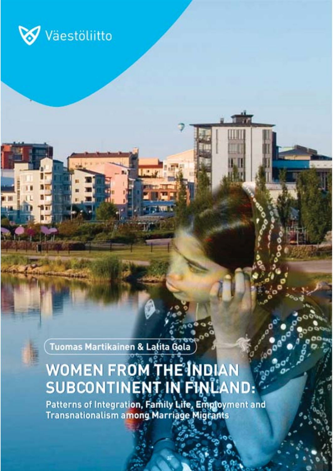

Tuomas Martikainen & Lalita Gola

# WOMEN FROM THE INDIAN<br>SUBCONTINENT IN FINLAND:

 $\mathfrak{b}'$ 

760

Patterns of Integration, Family Life, Employment and<br>Transnationalism among Marriage Migrants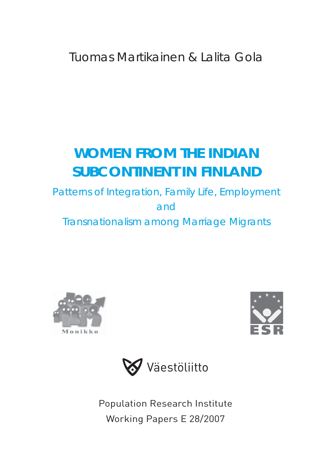Tuomas Martikainen & Lalita Gola

# **WOMEN FROM THE INDIAN SUBCONTINENT IN FINLAND**

Patterns of Integration, Family Life, Employment and Transnationalism among Marriage Migrants







Population Research Institute Working Papers E 28/2007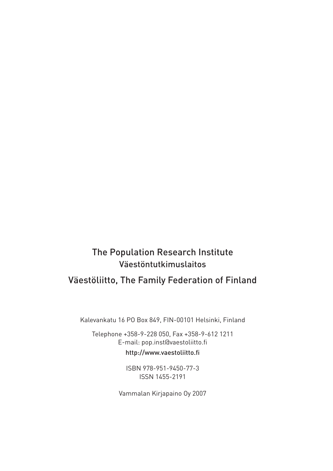## The Population Research Institute Väestöntutkimuslaitos Väestöliitto, The Family Federation of Finland

Kalevankatu 16 PO Box 849, FIN-00101 Helsinki, Finland

Telephone +358-9-228 050, Fax +358-9-612 1211 E-mail: pop.inst@vaestoliitto.fi http://www.vaestoliitto.fi

> ISBN 978-951-9450-77-3 ISSN 1455-2191

Vammalan Kirjapaino Oy 2007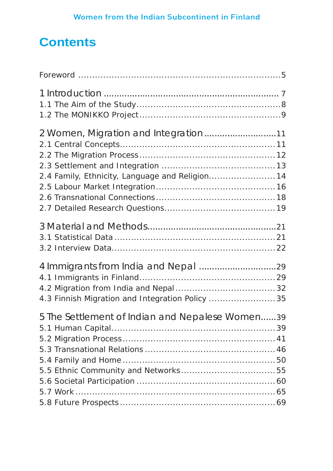## **Contents**

| 2 Women, Migration and Integration11<br>2.4 Family, Ethnicity, Language and Religion 14 |  |
|-----------------------------------------------------------------------------------------|--|
|                                                                                         |  |
| 4.3 Finnish Migration and Integration Policy  35                                        |  |
| 5 The Settlement of Indian and Nepalese Women39                                         |  |
|                                                                                         |  |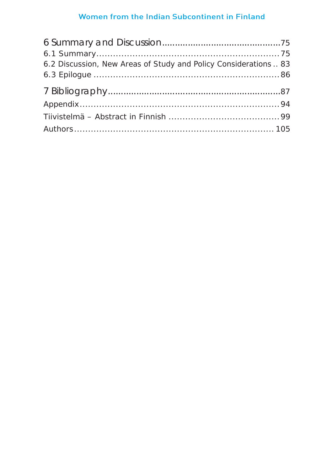| 6.2 Discussion, New Areas of Study and Policy Considerations  83 |  |
|------------------------------------------------------------------|--|
|                                                                  |  |
|                                                                  |  |
|                                                                  |  |
|                                                                  |  |
|                                                                  |  |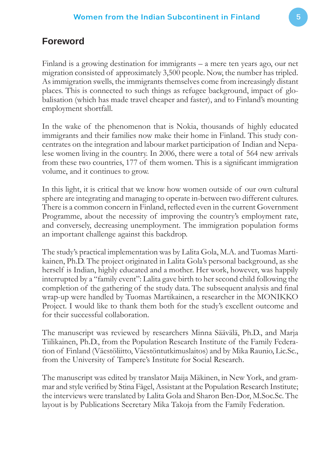## **Foreword**

Finland is a growing destination for immigrants – a mere ten years ago, our net migration consisted of approximately 3,500 people. Now, the number has tripled. As immigration swells, the immigrants themselves come from increasingly distant places. This is connected to such things as refugee background, impact of globalisation (which has made travel cheaper and faster), and to Finland's mounting employment shortfall.

In the wake of the phenomenon that is Nokia, thousands of highly educated immigrants and their families now make their home in Finland. This study concentrates on the integration and labour market participation of Indian and Nepalese women living in the country. In 2006, there were a total of 564 new arrivals from these two countries, 177 of them women. This is a significant immigration volume, and it continues to grow.

In this light, it is critical that we know how women outside of our own cultural sphere are integrating and managing to operate in-between two different cultures. There is a common concern in Finland, reflected even in the current Government Programme, about the necessity of improving the country's employment rate, and conversely, decreasing unemployment. The immigration population forms an important challenge against this backdrop.

The study's practical implementation was by Lalita Gola, M.A. and Tuomas Martikainen, Ph.D. The project originated in Lalita Gola's personal background, as she herself is Indian, highly educated and a mother. Her work, however, was happily interrupted by a "family event": Lalita gave birth to her second child following the completion of the gathering of the study data. The subsequent analysis and final wrap-up were handled by Tuomas Martikainen, a researcher in the MONIKKO Project. I would like to thank them both for the study's excellent outcome and for their successful collaboration.

The manuscript was reviewed by researchers Minna Säävälä, Ph.D., and Marja Tiilikainen, Ph.D., from the Population Research Institute of the Family Federation of Finland (Väestöliitto, Väestöntutkimuslaitos) and by Mika Raunio, Lic.Sc., from the University of Tampere's Institute for Social Research.

The manuscript was edited by translator Maija Mäkinen, in New York, and grammar and style verified by Stina Fågel, Assistant at the Population Research Institute; the interviews were translated by Lalita Gola and Sharon Ben-Dor, M.Soc.Sc. The layout is by Publications Secretary Mika Takoja from the Family Federation.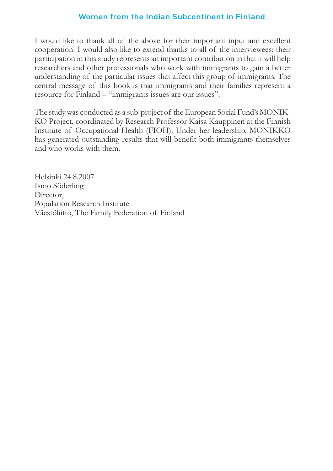I would like to thank all of the above for their important input and excellent cooperation. I would also like to extend thanks to all of the interviewees: their participation in this study represents an important contribution in that it will help researchers and other professionals who work with immigrants to gain a better understanding of the particular issues that affect this group of immigrants. The central message of this book is that immigrants and their families represent a resource for Finland – "immigrants issues are our issues".

The study was conducted as a sub-project of the European Social Fund's MONIK-KO Project, coordinated by Research Professor Kaisa Kauppinen at the Finnish Institute of Occupational Health (FIOH). Under her leadership, MONIKKO has generated outstanding results that will benefit both immigrants themselves and who works with them.

Helsinki 24.8.2007 Ismo Söderling Director, Population Research Institute Väestöliitto, The Family Federation of Finland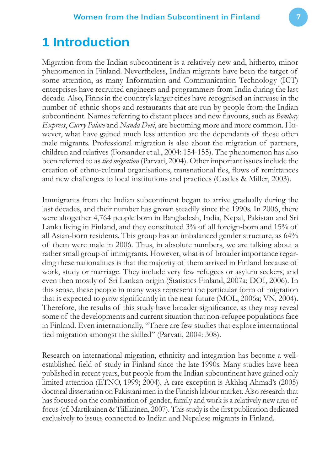## **1 Introduction**

Migration from the Indian subcontinent is a relatively new and, hitherto, minor phenomenon in Finland. Nevertheless, Indian migrants have been the target of some attention, as many Information and Communication Technology (ICT) enterprises have recruited engineers and programmers from India during the last decade. Also, Finns in the country's larger cities have recognised an increase in the number of ethnic shops and restaurants that are run by people from the Indian subcontinent. Names referring to distant places and new flavours, such as *Bombay Express*, *Curry Palace* and *Nanda Devi*, are becoming more and more common. However, what have gained much less attention are the dependants of these often male migrants. Professional migration is also about the migration of partners, children and relatives (Forsander et al., 2004: 154-155). The phenomenon has also been referred to as *tied migration* (Parvati, 2004). Other important issues include the creation of ethno-cultural organisations, transnational ties, flows of remittances and new challenges to local institutions and practices (Castles & Miller, 2003).

Immigrants from the Indian subcontinent began to arrive gradually during the last decades, and their number has grown steadily since the 1990s. In 2006, there were altogether 4,764 people born in Bangladesh, India, Nepal, Pakistan and Sri Lanka living in Finland, and they constituted 3% of all foreign-born and 15% of all Asian-born residents. This group has an imbalanced gender structure, as 64% of them were male in 2006. Thus, in absolute numbers, we are talking about a rather small group of immigrants. However, what is of broader importance regarding these nationalities is that the majority of them arrived in Finland because of work, study or marriage. They include very few refugees or asylum seekers, and even then mostly of Sri Lankan origin (Statistics Finland, 2007a; DOI, 2006). In this sense, these people in many ways represent the particular form of migration that is expected to grow significantly in the near future (MOL, 2006a; VN, 2004). Therefore, the results of this study have broader significance, as they may reveal some of the developments and current situation that non-refugee populations face in Finland. Even internationally, "There are few studies that explore international tied migration amongst the skilled" (Parvati, 2004: 308).

Research on international migration, ethnicity and integration has become a wellestablished field of study in Finland since the late 1990s. Many studies have been published in recent years, but people from the Indian subcontinent have gained only limited attention (ETNO, 1999; 2004). A rare exception is Akhlaq Ahmad's (2005) doctoral dissertation on Pakistani men in the Finnish labour market. Also research that has focused on the combination of gender, family and work is a relatively new area of focus (cf. Martikainen & Tiilikainen, 2007). This study is the first publication dedicated exclusively to issues connected to Indian and Nepalese migrants in Finland.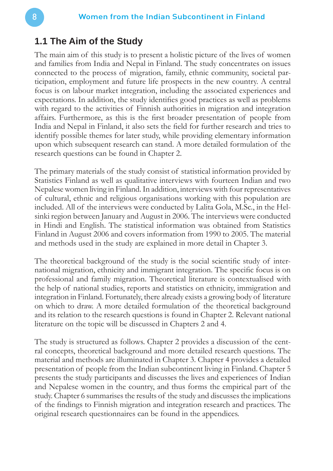#### **1.1 The Aim of the Study**

The main aim of this study is to present a holistic picture of the lives of women and families from India and Nepal in Finland. The study concentrates on issues connected to the process of migration, family, ethnic community, societal participation, employment and future life prospects in the new country. A central focus is on labour market integration, including the associated experiences and expectations. In addition, the study identifies good practices as well as problems with regard to the activities of Finnish authorities in migration and integration affairs. Furthermore, as this is the first broader presentation of people from India and Nepal in Finland, it also sets the field for further research and tries to identify possible themes for later study, while providing elementary information upon which subsequent research can stand. A more detailed formulation of the research questions can be found in Chapter 2.

The primary materials of the study consist of statistical information provided by Statistics Finland as well as qualitative interviews with fourteen Indian and two Nepalese women living in Finland. In addition, interviews with four representatives of cultural, ethnic and religious organisations working with this population are included. All of the interviews were conducted by Lalita Gola, M.Sc., in the Helsinki region between January and August in 2006. The interviews were conducted in Hindi and English. The statistical information was obtained from Statistics Finland in August 2006 and covers information from 1990 to 2005. The material and methods used in the study are explained in more detail in Chapter 3.

The theoretical background of the study is the social scientific study of international migration, ethnicity and immigrant integration. The specific focus is on professional and family migration. Theoretical literature is contextualised with the help of national studies, reports and statistics on ethnicity, immigration and integration in Finland. Fortunately, there already exists a growing body of literature on which to draw. A more detailed formulation of the theoretical background and its relation to the research questions is found in Chapter 2. Relevant national literature on the topic will be discussed in Chapters 2 and 4.

The study is structured as follows. Chapter 2 provides a discussion of the central concepts, theoretical background and more detailed research questions. The material and methods are illuminated in Chapter 3. Chapter 4 provides a detailed presentation of people from the Indian subcontinent living in Finland. Chapter 5 presents the study participants and discusses the lives and experiences of Indian and Nepalese women in the country, and thus forms the empirical part of the study. Chapter 6 summarises the results of the study and discusses the implications of the findings to Finnish migration and integration research and practices. The original research questionnaires can be found in the appendices.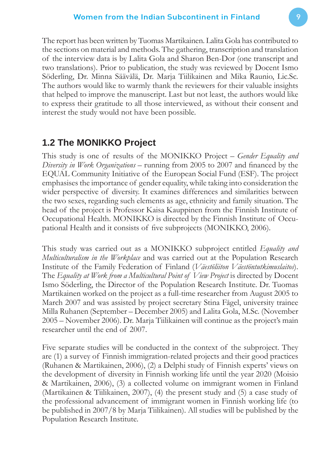The report has been written by Tuomas Martikainen. Lalita Gola has contributed to the sections on material and methods. The gathering, transcription and translation of the interview data is by Lalita Gola and Sharon Ben-Dor (one transcript and two translations). Prior to publication, the study was reviewed by Docent Ismo Söderling, Dr. Minna Säävälä, Dr. Marja Tiilikainen and Mika Raunio, Lic.Sc. The authors would like to warmly thank the reviewers for their valuable insights that helped to improve the manuscript. Last but not least, the authors would like to express their gratitude to all those interviewed, as without their consent and interest the study would not have been possible.

## **1.2 The MONIKKO Project**

This study is one of results of the MONIKKO Project – *Gender Equality and Diversity in Work Organizations* – running from 2005 to 2007 and financed by the EQUAL Community Initiative of the European Social Fund (ESF). The project emphasises the importance of gender equality, while taking into consideration the wider perspective of diversity. It examines differences and similarities between the two sexes, regarding such elements as age, ethnicity and family situation. The head of the project is Professor Kaisa Kauppinen from the Finnish Institute of Occupational Health. MONIKKO is directed by the Finnish Institute of Occupational Health and it consists of five subprojects (MONIKKO, 2006).

This study was carried out as a MONIKKO subproject entitled *Equality and Multiculturalism in the Workplace* and was carried out at the Population Research Institute of the Family Federation of Finland (*Väestöliiton Väestöntutkimuslaitos*). The *Equality at Work from a Multicultural Point of View Project* is directed by Docent Ismo Söderling, the Director of the Population Research Institute. Dr. Tuomas Martikainen worked on the project as a full-time researcher from August 2005 to March 2007 and was assisted by project secretary Stina Fågel, university trainee Milla Ruhanen (September – December 2005) and Lalita Gola, M.Sc. (November 2005 – November 2006). Dr. Marja Tiilikainen will continue as the project's main researcher until the end of 2007.

Five separate studies will be conducted in the context of the subproject. They are (1) a survey of Finnish immigration-related projects and their good practices (Ruhanen & Martikainen, 2006), (2) a Delphi study of Finnish experts' views on the development of diversity in Finnish working life until the year 2020 (Moisio & Martikainen, 2006), (3) a collected volume on immigrant women in Finland (Martikainen & Tiilikainen, 2007), (4) the present study and (5) a case study of the professional advancement of immigrant women in Finnish working life (to be published in 2007/8 by Marja Tiilikainen). All studies will be published by the Population Research Institute.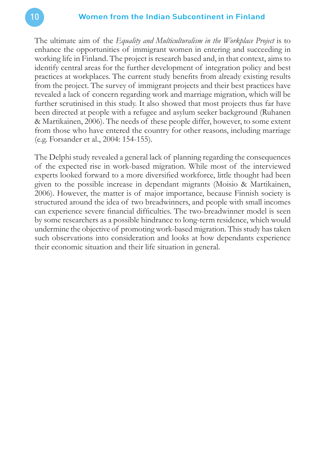The ultimate aim of the *Equality and Multiculturalism in the Workplace Project* is to enhance the opportunities of immigrant women in entering and succeeding in working life in Finland. The project is research based and, in that context, aims to identify central areas for the further development of integration policy and best practices at workplaces. The current study benefits from already existing results from the project. The survey of immigrant projects and their best practices have revealed a lack of concern regarding work and marriage migration, which will be further scrutinised in this study. It also showed that most projects thus far have been directed at people with a refugee and asylum seeker background (Ruhanen & Martikainen, 2006). The needs of these people differ, however, to some extent from those who have entered the country for other reasons, including marriage (e.g. Forsander et al., 2004: 154-155).

The Delphi study revealed a general lack of planning regarding the consequences of the expected rise in work-based migration. While most of the interviewed experts looked forward to a more diversified workforce, little thought had been given to the possible increase in dependant migrants (Moisio & Martikainen, 2006). However, the matter is of major importance, because Finnish society is structured around the idea of two breadwinners, and people with small incomes can experience severe financial difficulties. The two-breadwinner model is seen by some researchers as a possible hindrance to long-term residence, which would undermine the objective of promoting work-based migration. This study has taken such observations into consideration and looks at how dependants experience their economic situation and their life situation in general.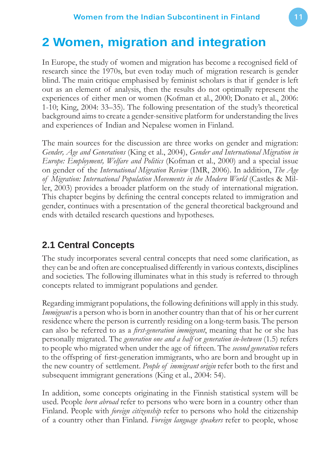## **2 Women, migration and integration**

In Europe, the study of women and migration has become a recognised field of research since the 1970s, but even today much of migration research is gender blind. The main critique emphasised by feminist scholars is that if gender is left out as an element of analysis, then the results do not optimally represent the experiences of either men or women (Kofman et al., 2000; Donato et al., 2006: 1-10; King, 2004: 33–35). The following presentation of the study's theoretical background aims to create a gender-sensitive platform for understanding the lives and experiences of Indian and Nepalese women in Finland.

The main sources for the discussion are three works on gender and migration: *Gender, Age and Generations* (King et al., 2004), *Gender and International Migration in Europe: Employment, Welfare and Politics* (Kofman et al., 2000) and a special issue on gender of the *International Migration Review* (IMR, 2006). In addition, *The Age of Migration: International Population Movements in the Modern World* (Castles & Miller, 2003) provides a broader platform on the study of international migration. This chapter begins by defining the central concepts related to immigration and gender, continues with a presentation of the general theoretical background and ends with detailed research questions and hypotheses.

## **2.1 Central Concepts**

The study incorporates several central concepts that need some clarification, as they can be and often are conceptualised differently in various contexts, disciplines and societies. The following illuminates what in this study is referred to through concepts related to immigrant populations and gender.

Regarding immigrant populations, the following definitions will apply in this study. *Immigrant* is a person who is born in another country than that of his or her current residence where the person is currently residing on a long-term basis. The person can also be referred to as a *first-generation immigrant*, meaning that he or she has personally migrated. The *generation one and a half* or *generation in-between* (1.5) refers to people who migrated when under the age of fifteen. The *second generation* refers to the offspring of first-generation immigrants, who are born and brought up in the new country of settlement. *People of immigrant origin* refer both to the first and subsequent immigrant generations (King et al., 2004: 54).

In addition, some concepts originating in the Finnish statistical system will be used. People *born abroad* refer to persons who were born in a country other than Finland. People with *foreign citizenship* refer to persons who hold the citizenship of a country other than Finland. *Foreign language speakers* refer to people, whose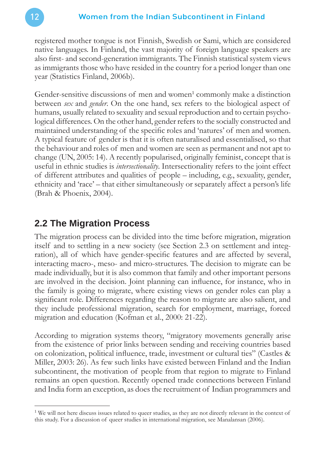registered mother tongue is not Finnish, Swedish or Sami, which are considered native languages. In Finland, the vast majority of foreign language speakers are also first- and second-generation immigrants. The Finnish statistical system views as immigrants those who have resided in the country for a period longer than one year (Statistics Finland, 2006b).

Gender-sensitive discussions of men and women<sup>1</sup> commonly make a distinction between *sex* and *gender*. On the one hand, sex refers to the biological aspect of humans, usually related to sexuality and sexual reproduction and to certain psychological differences. On the other hand, gender refers to the socially constructed and maintained understanding of the specific roles and 'natures' of men and women. A typical feature of gender is that it is often naturalised and essentialised, so that the behaviour and roles of men and women are seen as permanent and not apt to change (UN, 2005: 14). A recently popularised, originally feminist, concept that is useful in ethnic studies is *intersectionality*. Intersectionality refers to the joint effect of different attributes and qualities of people – including, e.g., sexuality, gender, ethnicity and 'race' – that either simultaneously or separately affect a person's life (Brah & Phoenix, 2004).

## **2.2 The Migration Process**

The migration process can be divided into the time before migration, migration itself and to settling in a new society (see Section 2.3 on settlement and integration), all of which have gender-specific features and are affected by several, interacting macro-, meso- and micro-structures. The decision to migrate can be made individually, but it is also common that family and other important persons are involved in the decision. Joint planning can influence, for instance, who in the family is going to migrate, where existing views on gender roles can play a significant role. Differences regarding the reason to migrate are also salient, and they include professional migration, search for employment, marriage, forced migration and education (Kofman et al., 2000: 21-22).

According to migration systems theory, "migratory movements generally arise from the existence of prior links between sending and receiving countries based on colonization, political influence, trade, investment or cultural ties" (Castles  $\&$ Miller, 2003: 26). As few such links have existed between Finland and the Indian subcontinent, the motivation of people from that region to migrate to Finland remains an open question. Recently opened trade connections between Finland and India form an exception, as does the recruitment of Indian programmers and

<sup>&</sup>lt;sup>1</sup> We will not here discuss issues related to queer studies, as they are not directly relevant in the context of this study. For a discussion of queer studies in international migration, see Manalansan (2006).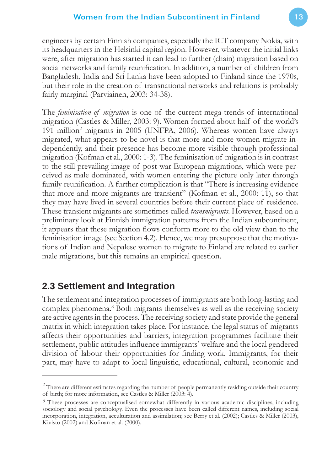engineers by certain Finnish companies, especially the ICT company Nokia, with its headquarters in the Helsinki capital region. However, whatever the initial links were, after migration has started it can lead to further (chain) migration based on social networks and family reunification. In addition, a number of children from Bangladesh, India and Sri Lanka have been adopted to Finland since the 1970s, but their role in the creation of transnational networks and relations is probably fairly marginal (Parviainen, 2003: 34-38).

The *feminisation of migration* is one of the current mega-trends of international migration (Castles & Miller, 2003: 9). Women formed about half of the world's 191 million<sup>2</sup> migrants in 2005 (UNFPA, 2006). Whereas women have always migrated, what appears to be novel is that more and more women migrate independently, and their presence has become more visible through professional migration (Kofman et al., 2000: 1-3). The feminisation of migration is in contrast to the still prevailing image of post-war European migrations, which were perceived as male dominated, with women entering the picture only later through family reunification. A further complication is that "There is increasing evidence that more and more migrants are transient" (Kofman et al., 2000: 11), so that they may have lived in several countries before their current place of residence. These transient migrants are sometimes called *transmigrants*. However, based on a preliminary look at Finnish immigration patterns from the Indian subcontinent, it appears that these migration flows conform more to the old view than to the feminisation image (see Section 4.2). Hence, we may presuppose that the motivations of Indian and Nepalese women to migrate to Finland are related to earlier male migrations, but this remains an empirical question.

## **2.3 Settlement and Integration**

The settlement and integration processes of immigrants are both long-lasting and complex phenomena.<sup>3</sup> Both migrants themselves as well as the receiving society are active agents in the process. The receiving society and state provide the general matrix in which integration takes place. For instance, the legal status of migrants affects their opportunities and barriers, integration programmes facilitate their settlement, public attitudes influence immigrants' welfare and the local gendered division of labour their opportunities for finding work. Immigrants, for their part, may have to adapt to local linguistic, educational, cultural, economic and

 $\overline{a}$  $2$  There are different estimates regarding the number of people permanently residing outside their country of birth; for more information, see Castles & Miller (2003: 4).

<sup>&</sup>lt;sup>3</sup> These processes are conceptualised somewhat differently in various academic disciplines, including sociology and social psychology. Even the processes have been called different names, including social incorporation, integration, acculturation and assimilation; see Berry et al. (2002); Castles & Miller (2003), Kivisto (2002) and Kofman et al. (2000).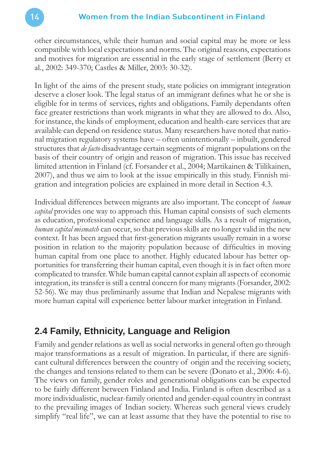other circumstances, while their human and social capital may be more or less compatible with local expectations and norms. The original reasons, expectations and motives for migration are essential in the early stage of settlement (Berry et al., 2002: 349-370; Castles & Miller, 2003: 30-32).

In light of the aims of the present study, state policies on immigrant integration deserve a closer look. The legal status of an immigrant defines what he or she is eligible for in terms of services, rights and obligations. Family dependants often face greater restrictions than work migrants in what they are allowed to do. Also, for instance, the kinds of employment, education and health-care services that are available can depend on residence status. Many researchers have noted that national migration regulatory systems have – often unintentionally – inbuilt, gendered structures that *de facto* disadvantage certain segments of migrant populations on the basis of their country of origin and reason of migration. This issue has received limited attention in Finland (cf. Forsander et al., 2004; Martikainen & Tiilikainen, 2007), and thus we aim to look at the issue empirically in this study. Finnish migration and integration policies are explained in more detail in Section 4.3.

Individual differences between migrants are also important. The concept of *human capital* provides one way to approach this. Human capital consists of such elements as education, professional experience and language skills. As a result of migration, *human capital mismatch* can occur, so that previous skills are no longer valid in the new context. It has been argued that first-generation migrants usually remain in a worse position in relation to the majority population because of difficulties in moving human capital from one place to another. Highly educated labour has better opportunities for transferring their human capital, even though it is in fact often more complicated to transfer. While human capital cannot explain all aspects of economic integration, its transfer is still a central concern for many migrants (Forsander, 2002: 52-56). We may thus preliminarily assume that Indian and Nepalese migrants with more human capital will experience better labour market integration in Finland.

## **2.4 Family, Ethnicity, Language and Religion**

Family and gender relations as well as social networks in general often go through major transformations as a result of migration. In particular, if there are significant cultural differences between the country of origin and the receiving society, the changes and tensions related to them can be severe (Donato et al., 2006: 4-6). The views on family, gender roles and generational obligations can be expected to be fairly different between Finland and India. Finland is often described as a more individualistic, nuclear-family oriented and gender-equal country in contrast to the prevailing images of Indian society. Whereas such general views crudely simplify "real life", we can at least assume that they have the potential to rise to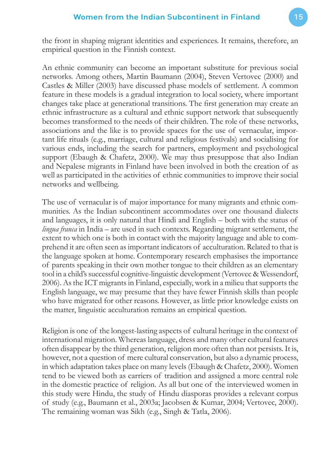the front in shaping migrant identities and experiences. It remains, therefore, an empirical question in the Finnish context.

An ethnic community can become an important substitute for previous social networks. Among others, Martin Baumann (2004), Steven Vertovec (2000) and Castles & Miller (2003) have discussed phase models of settlement. A common feature in these models is a gradual integration to local society, where important changes take place at generational transitions. The first generation may create an ethnic infrastructure as a cultural and ethnic support network that subsequently becomes transformed to the needs of their children. The role of these networks, associations and the like is to provide spaces for the use of vernacular, important life rituals (e.g., marriage, cultural and religious festivals) and socialising for various ends, including the search for partners, employment and psychological support (Ebaugh & Chafetz, 2000). We may thus presuppose that also Indian and Nepalese migrants in Finland have been involved in both the creation of as well as participated in the activities of ethnic communities to improve their social networks and wellbeing.

The use of vernacular is of major importance for many migrants and ethnic communities. As the Indian subcontinent accommodates over one thousand dialects and languages, it is only natural that Hindi and English – both with the status of *lingua franca* in India – are used in such contexts. Regarding migrant settlement, the extent to which one is both in contact with the majority language and able to comprehend it are often seen as important indicators of acculturation. Related to that is the language spoken at home. Contemporary research emphasises the importance of parents speaking in their own mother tongue to their children as an elementary tool in a child's successful cognitive-linguistic development (Vertovec & Wessendorf, 2006). As the ICT migrants in Finland, especially, work in a milieu that supports the English language, we may presume that they have fewer Finnish skills than people who have migrated for other reasons. However, as little prior knowledge exists on the matter, linguistic acculturation remains an empirical question.

Religion is one of the longest-lasting aspects of cultural heritage in the context of international migration. Whereas language, dress and many other cultural features often disappear by the third generation, religion more often than not persists. It is, however, not a question of mere cultural conservation, but also a dynamic process, in which adaptation takes place on many levels (Ebaugh & Chafetz, 2000). Women tend to be viewed both as carriers of tradition and assigned a more central role in the domestic practice of religion. As all but one of the interviewed women in this study were Hindu, the study of Hindu diasporas provides a relevant corpus of study (e.g., Baumann et al., 2003a; Jacobsen & Kumar, 2004; Vertovec, 2000). The remaining woman was Sikh (e.g., Singh & Tatla, 2006).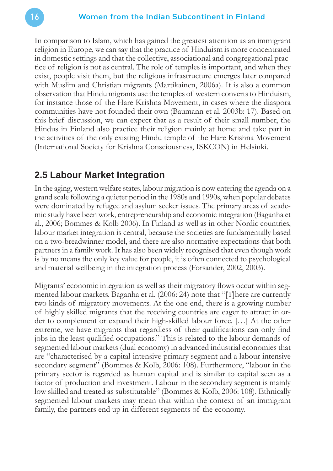In comparison to Islam, which has gained the greatest attention as an immigrant religion in Europe, we can say that the practice of Hinduism is more concentrated in domestic settings and that the collective, associational and congregational practice of religion is not as central. The role of temples is important, and when they exist, people visit them, but the religious infrastructure emerges later compared with Muslim and Christian migrants (Martikainen, 2006a). It is also a common observation that Hindu migrants use the temples of western converts to Hinduism, for instance those of the Hare Krishna Movement, in cases where the diaspora communities have not founded their own (Baumann et al. 2003b: 17). Based on this brief discussion, we can expect that as a result of their small number, the Hindus in Finland also practice their religion mainly at home and take part in the activities of the only existing Hindu temple of the Hare Krishna Movement (International Society for Krishna Consciousness, ISKCON) in Helsinki.

## **2.5 Labour Market Integration**

In the aging, western welfare states, labour migration is now entering the agenda on a grand scale following a quieter period in the 1980s and 1990s, when popular debates were dominated by refugee and asylum seeker issues. The primary areas of academic study have been work, entrepreneurship and economic integration (Baganha et al., 2006; Bommes & Kolb 2006). In Finland as well as in other Nordic countries, labour market integration is central, because the societies are fundamentally based on a two-breadwinner model, and there are also normative expectations that both partners in a family work. It has also been widely recognised that even though work is by no means the only key value for people, it is often connected to psychological and material wellbeing in the integration process (Forsander, 2002, 2003).

Migrants' economic integration as well as their migratory flows occur within segmented labour markets. Baganha et al. (2006: 24) note that "[T]here are currently two kinds of migratory movements. At the one end, there is a growing number of highly skilled migrants that the receiving countries are eager to attract in order to complement or expand their high-skilled labour force. […] At the other extreme, we have migrants that regardless of their qualifications can only find jobs in the least qualified occupations." This is related to the labour demands of segmented labour markets (dual economy) in advanced industrial economies that are "characterised by a capital-intensive primary segment and a labour-intensive secondary segment" (Bommes & Kolb, 2006: 108). Furthermore, "labour in the primary sector is regarded as human capital and is similar to capital seen as a factor of production and investment. Labour in the secondary segment is mainly low skilled and treated as substitutable" (Bommes & Kolb, 2006: 108). Ethnically segmented labour markets may mean that within the context of an immigrant family, the partners end up in different segments of the economy.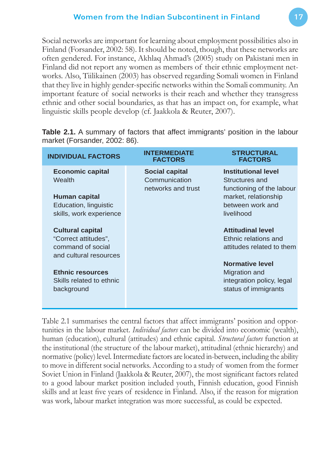Social networks are important for learning about employment possibilities also in Finland (Forsander, 2002: 58). It should be noted, though, that these networks are often gendered. For instance, Akhlaq Ahmad's (2005) study on Pakistani men in Finland did not report any women as members of their ethnic employment networks. Also, Tiilikainen (2003) has observed regarding Somali women in Finland that they live in highly gender-specific networks within the Somali community. An important feature of social networks is their reach and whether they transgress ethnic and other social boundaries, as that has an impact on, for example, what linguistic skills people develop (cf. Jaakkola & Reuter, 2007).

| <b>INDIVIDUAL FACTORS</b>                                                                              | <b>INTERMEDIATE</b><br><b>FACTORS</b>                        | <b>STRUCTURAL</b><br><b>FACTORS</b>                                                                                                 |
|--------------------------------------------------------------------------------------------------------|--------------------------------------------------------------|-------------------------------------------------------------------------------------------------------------------------------------|
| <b>Economic capital</b><br>Wealth<br>Human capital<br>Education, linguistic<br>skills, work experience | <b>Social capital</b><br>Communication<br>networks and trust | <b>Institutional level</b><br>Structures and<br>functioning of the labour<br>market, relationship<br>between work and<br>livelihood |
| <b>Cultural capital</b><br>"Correct attitudes",<br>command of social<br>and cultural resources         |                                                              | <b>Attitudinal level</b><br>Ethnic relations and<br>attitudes related to them<br><b>Normative level</b>                             |
| <b>Ethnic resources</b><br>Skills related to ethnic<br>background                                      |                                                              | Migration and<br>integration policy, legal<br>status of immigrants                                                                  |

**Table 2.1.** A summary of factors that affect immigrants' position in the labour market (Forsander, 2002: 86).

Table 2.1 summarises the central factors that affect immigrants' position and opportunities in the labour market. *Individual factors* can be divided into economic (wealth), human (education), cultural (attitudes) and ethnic capital. *Structural factors* function at the institutional (the structure of the labour market), attitudinal (ethnic hierarchy) and normative (policy) level. Intermediate factors are located in-between, including the ability to move in different social networks. According to a study of women from the former Soviet Union in Finland (Jaakkola & Reuter, 2007), the most significant factors related to a good labour market position included youth, Finnish education, good Finnish skills and at least five years of residence in Finland. Also, if the reason for migration was work, labour market integration was more successful, as could be expected.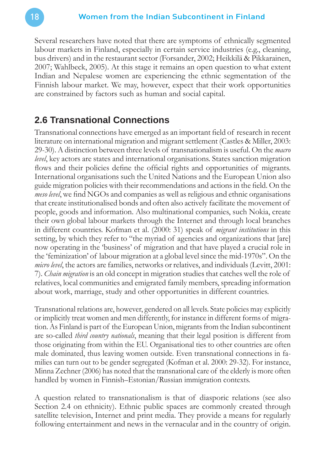Several researchers have noted that there are symptoms of ethnically segmented labour markets in Finland, especially in certain service industries (e.g., cleaning, bus drivers) and in the restaurant sector (Forsander, 2002; Heikkilä & Pikkarainen, 2007; Wahlbeck, 2005). At this stage it remains an open question to what extent Indian and Nepalese women are experiencing the ethnic segmentation of the Finnish labour market. We may, however, expect that their work opportunities are constrained by factors such as human and social capital.

#### **2.6 Transnational Connections**

Transnational connections have emerged as an important field of research in recent literature on international migration and migrant settlement (Castles & Miller, 2003: 29-30). A distinction between three levels of transnationalism is useful. On the *macro level*, key actors are states and international organisations. States sanction migration flows and their policies define the official rights and opportunities of migrants. International organisations such the United Nations and the European Union also guide migration policies with their recommendations and actions in the field. On the *meso level*, we find NGOs and companies as well as religious and ethnic organisations that create institutionalised bonds and often also actively facilitate the movement of people, goods and information. Also multinational companies, such Nokia, create their own global labour markets through the Internet and through local branches in different countries. Kofman et al. (2000: 31) speak of *migrant institutions* in this setting, by which they refer to "the myriad of agencies and organizations that [are] now operating in the 'business' of migration and that have played a crucial role in the 'feminization' of labour migration at a global level since the mid-1970s". On the *micro level*, the actors are families, networks or relatives, and individuals (Levitt, 2001: 7). *Chain migration* is an old concept in migration studies that catches well the role of relatives, local communities and emigrated family members, spreading information about work, marriage, study and other opportunities in different countries.

Transnational relations are, however, gendered on all levels. State policies may explicitly or implicitly treat women and men differently, for instance in different forms of migration. As Finland is part of the European Union, migrants from the Indian subcontinent are so-called *third country nationals*, meaning that their legal position is different from those originating from within the EU. Organisational ties to other countries are often male dominated, thus leaving women outside. Even transnational connections in families can turn out to be gender segregated (Kofman et al. 2000: 29-32). For instance, Minna Zechner (2006) has noted that the transnational care of the elderly is more often handled by women in Finnish–Estonian/Russian immigration contexts.

A question related to transnationalism is that of diasporic relations (see also Section 2.4 on ethnicity). Ethnic public spaces are commonly created through satellite television, Internet and print media. They provide a means for regularly following entertainment and news in the vernacular and in the country of origin.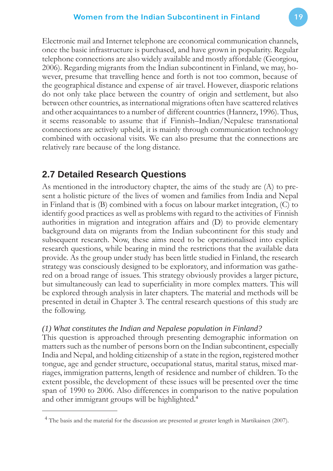Electronic mail and Internet telephone are economical communication channels, once the basic infrastructure is purchased, and have grown in popularity. Regular telephone connections are also widely available and mostly affordable (Georgiou, 2006). Regarding migrants from the Indian subcontinent in Finland, we may, however, presume that travelling hence and forth is not too common, because of the geographical distance and expense of air travel. However, diasporic relations do not only take place between the country of origin and settlement, but also between other countries, as international migrations often have scattered relatives and other acquaintances to a number of different countries (Hannerz, 1996). Thus, it seems reasonable to assume that if Finnish–Indian/Nepalese transnational connections are actively upheld, it is mainly through communication technology combined with occasional visits. We can also presume that the connections are relatively rare because of the long distance.

## **2.7 Detailed Research Questions**

As mentioned in the introductory chapter, the aims of the study are (A) to present a holistic picture of the lives of women and families from India and Nepal in Finland that is (B) combined with a focus on labour market integration, (C) to identify good practices as well as problems with regard to the activities of Finnish authorities in migration and integration affairs and (D) to provide elementary background data on migrants from the Indian subcontinent for this study and subsequent research. Now, these aims need to be operationalised into explicit research questions, while bearing in mind the restrictions that the available data provide. As the group under study has been little studied in Finland, the research strategy was consciously designed to be exploratory, and information was gathered on a broad range of issues. This strategy obviously provides a larger picture, but simultaneously can lead to superficiality in more complex matters. This will be explored through analysis in later chapters. The material and methods will be presented in detail in Chapter 3. The central research questions of this study are the following.

#### *(1) What constitutes the Indian and Nepalese population in Finland?*

This question is approached through presenting demographic information on matters such as the number of persons born on the Indian subcontinent, especially India and Nepal, and holding citizenship of a state in the region, registered mother tongue, age and gender structure, occupational status, marital status, mixed marriages, immigration patterns, length of residence and number of children. To the extent possible, the development of these issues will be presented over the time span of 1990 to 2006. Also differences in comparison to the native population and other immigrant groups will be highlighted.<sup>4</sup>

<sup>&</sup>lt;sup>4</sup> The basis and the material for the discussion are presented at greater length in Martikainen (2007).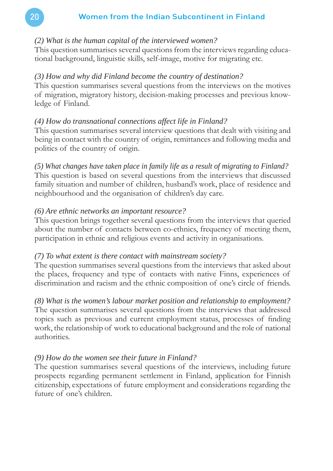#### *(2) What is the human capital of the interviewed women?*

This question summarises several questions from the interviews regarding educational background, linguistic skills, self-image, motive for migrating etc.

#### *(3) How and why did Finland become the country of destination?*

This question summarises several questions from the interviews on the motives of migration, migratory history, decision-making processes and previous knowledge of Finland.

#### *(4) How do transnational connections affect life in Finland?*

This question summarises several interview questions that dealt with visiting and being in contact with the country of origin, remittances and following media and politics of the country of origin.

*(5) What changes have taken place in family life as a result of migrating to Finland?* This question is based on several questions from the interviews that discussed family situation and number of children, husband's work, place of residence and neighbourhood and the organisation of children's day care.

#### *(6) Are ethnic networks an important resource?*

This question brings together several questions from the interviews that queried about the number of contacts between co-ethnics, frequency of meeting them, participation in ethnic and religious events and activity in organisations.

#### *(7) To what extent is there contact with mainstream society?*

The question summarises several questions from the interviews that asked about the places, frequency and type of contacts with native Finns, experiences of discrimination and racism and the ethnic composition of one's circle of friends.

*(8) What is the women's labour market position and relationship to employment?* The question summarises several questions from the interviews that addressed topics such as previous and current employment status, processes of finding work, the relationship of work to educational background and the role of national authorities.

#### *(9) How do the women see their future in Finland?*

The question summarises several questions of the interviews, including future prospects regarding permanent settlement in Finland, application for Finnish citizenship, expectations of future employment and considerations regarding the future of one's children.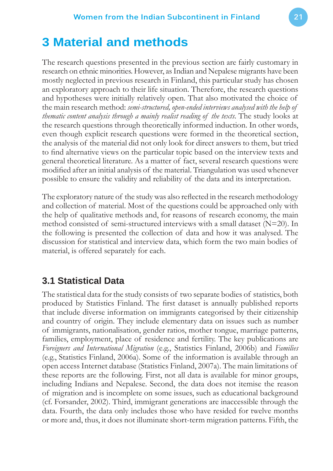The research questions presented in the previous section are fairly customary in research on ethnic minorities. However, as Indian and Nepalese migrants have been mostly neglected in previous research in Finland, this particular study has chosen an exploratory approach to their life situation. Therefore, the research questions and hypotheses were initially relatively open. That also motivated the choice of the main research method: *semi-structured, open-ended interviews analysed with the help of thematic content analysis through a mainly realist reading of the texts*. The study looks at the research questions through theoretically informed induction. In other words, even though explicit research questions were formed in the theoretical section, the analysis of the material did not only look for direct answers to them, but tried to find alternative views on the particular topic based on the interview texts and general theoretical literature. As a matter of fact, several research questions were modified after an initial analysis of the material. Triangulation was used whenever possible to ensure the validity and reliability of the data and its interpretation.

The exploratory nature of the study was also reflected in the research methodology and collection of material. Most of the questions could be approached only with the help of qualitative methods and, for reasons of research economy, the main method consisted of semi-structured interviews with a small dataset  $(N=20)$ . In the following is presented the collection of data and how it was analysed. The discussion for statistical and interview data, which form the two main bodies of material, is offered separately for each.

## **3.1 Statistical Data**

The statistical data for the study consists of two separate bodies of statistics, both produced by Statistics Finland. The first dataset is annually published reports that include diverse information on immigrants categorised by their citizenship and country of origin. They include elementary data on issues such as number of immigrants, nationalisation, gender ratios, mother tongue, marriage patterns, families, employment, place of residence and fertility. The key publications are *Foreigners and International Migration* (e.g., Statistics Finland, 2006b) and *Families* (e.g., Statistics Finland, 2006a). Some of the information is available through an open access Internet database (Statistics Finland, 2007a). The main limitations of these reports are the following. First, not all data is available for minor groups, including Indians and Nepalese. Second, the data does not itemise the reason of migration and is incomplete on some issues, such as educational background (cf. Forsander, 2002). Third, immigrant generations are inaccessible through the data. Fourth, the data only includes those who have resided for twelve months or more and, thus, it does not illuminate short-term migration patterns. Fifth, the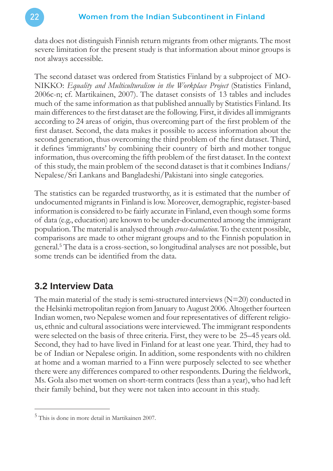data does not distinguish Finnish return migrants from other migrants. The most severe limitation for the present study is that information about minor groups is not always accessible.

The second dataset was ordered from Statistics Finland by a subproject of MO-NIKKO: *Equality and Multiculturalism in the Workplace Project* (Statistics Finland, 2006c-n; cf. Martikainen, 2007). The dataset consists of 13 tables and includes much of the same information as that published annually by Statistics Finland. Its main differences to the first dataset are the following. First, it divides all immigrants according to 24 areas of origin, thus overcoming part of the first problem of the first dataset. Second, the data makes it possible to access information about the second generation, thus overcoming the third problem of the first dataset. Third, it defines 'immigrants' by combining their country of birth and mother tongue information, thus overcoming the fifth problem of the first dataset. In the context of this study, the main problem of the second dataset is that it combines Indians/ Nepalese/Sri Lankans and Bangladeshi/Pakistani into single categories.

The statistics can be regarded trustworthy, as it is estimated that the number of undocumented migrants in Finland is low. Moreover, demographic, register-based information is considered to be fairly accurate in Finland, even though some forms of data (e.g., education) are known to be under-documented among the immigrant population. The material is analysed through *cross-tabulation*. To the extent possible, comparisons are made to other migrant groups and to the Finnish population in general.<sup>5</sup> The data is a cross-section, so longitudinal analyses are not possible, but some trends can be identified from the data.

## **3.2 Interview Data**

The main material of the study is semi-structured interviews  $(N=20)$  conducted in the Helsinki metropolitan region from January to August 2006. Altogether fourteen Indian women, two Nepalese women and four representatives of different religious, ethnic and cultural associations were interviewed. The immigrant respondents were selected on the basis of three criteria. First, they were to be 25–45 years old. Second, they had to have lived in Finland for at least one year. Third, they had to be of Indian or Nepalese origin. In addition, some respondents with no children at home and a woman married to a Finn were purposely selected to see whether there were any differences compared to other respondents. During the fieldwork, Ms. Gola also met women on short-term contracts (less than a year), who had left their family behind, but they were not taken into account in this study.

<sup>5</sup> This is done in more detail in Martikainen 2007.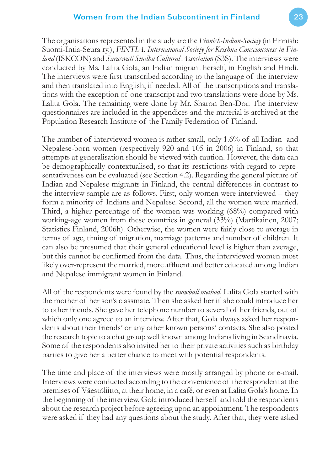The organisations represented in the study are the *Finnish-Indian-Society* (in Finnish: Suomi-Intia-Seura ry.), *FINTIA*, *International Society for Krishna Consciousness in Finland* (ISKCON) and *Saraswati Sindhu Cultural Association* (S3S). The interviews were conducted by Ms. Lalita Gola, an Indian migrant herself, in English and Hindi. The interviews were first transcribed according to the language of the interview and then translated into English, if needed. All of the transcriptions and translations with the exception of one transcript and two translations were done by Ms. Lalita Gola. The remaining were done by Mr. Sharon Ben-Dor. The interview questionnaires are included in the appendices and the material is archived at the Population Research Institute of the Family Federation of Finland.

The number of interviewed women is rather small, only 1.6% of all Indian- and Nepalese-born women (respectively 920 and 105 in 2006) in Finland, so that attempts at generalisation should be viewed with caution. However, the data can be demographically contextualised, so that its restrictions with regard to representativeness can be evaluated (see Section 4.2). Regarding the general picture of Indian and Nepalese migrants in Finland, the central differences in contrast to the interview sample are as follows. First, only women were interviewed – they form a minority of Indians and Nepalese. Second, all the women were married. Third, a higher percentage of the women was working (68%) compared with working-age women from these countries in general (33%) (Martikainen, 2007; Statistics Finland, 2006h). Otherwise, the women were fairly close to average in terms of age, timing of migration, marriage patterns and number of children. It can also be presumed that their general educational level is higher than average, but this cannot be confirmed from the data. Thus, the interviewed women most likely over-represent the married, more affluent and better educated among Indian and Nepalese immigrant women in Finland.

All of the respondents were found by the *snowball method*. Lalita Gola started with the mother of her son's classmate. Then she asked her if she could introduce her to other friends. She gave her telephone number to several of her friends, out of which only one agreed to an interview. After that, Gola always asked her respondents about their friends' or any other known persons' contacts. She also posted the research topic to a chat group well known among Indians living in Scandinavia. Some of the respondents also invited her to their private activities such as birthday parties to give her a better chance to meet with potential respondents.

The time and place of the interviews were mostly arranged by phone or e-mail. Interviews were conducted according to the convenience of the respondent at the premises of Väestöliitto, at their home, in a café, or even at Lalita Gola's home. In the beginning of the interview, Gola introduced herself and told the respondents about the research project before agreeing upon an appointment. The respondents were asked if they had any questions about the study. After that, they were asked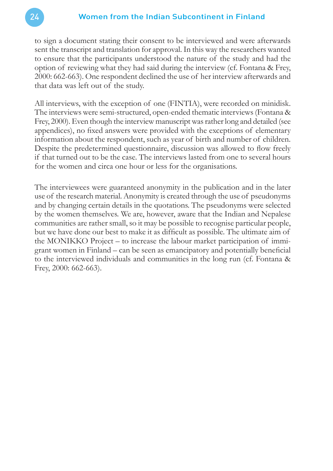to sign a document stating their consent to be interviewed and were afterwards sent the transcript and translation for approval. In this way the researchers wanted to ensure that the participants understood the nature of the study and had the option of reviewing what they had said during the interview (cf. Fontana & Frey, 2000: 662-663). One respondent declined the use of her interview afterwards and that data was left out of the study.

All interviews, with the exception of one (FINTIA), were recorded on minidisk. The interviews were semi-structured, open-ended thematic interviews (Fontana & Frey, 2000). Even though the interview manuscript was rather long and detailed (see appendices), no fixed answers were provided with the exceptions of elementary information about the respondent, such as year of birth and number of children. Despite the predetermined questionnaire, discussion was allowed to flow freely if that turned out to be the case. The interviews lasted from one to several hours for the women and circa one hour or less for the organisations.

The interviewees were guaranteed anonymity in the publication and in the later use of the research material. Anonymity is created through the use of pseudonyms and by changing certain details in the quotations. The pseudonyms were selected by the women themselves. We are, however, aware that the Indian and Nepalese communities are rather small, so it may be possible to recognise particular people, but we have done our best to make it as difficult as possible. The ultimate aim of the MONIKKO Project – to increase the labour market participation of immigrant women in Finland – can be seen as emancipatory and potentially beneficial to the interviewed individuals and communities in the long run (cf. Fontana & Frey, 2000: 662-663).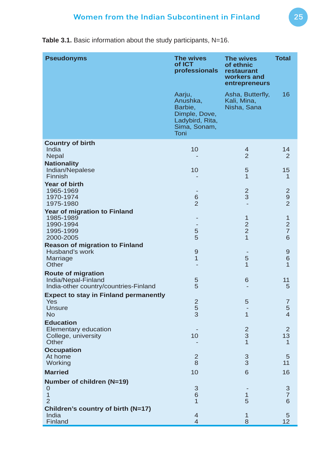Table 3.1. Basic information about the study participants, N=16.

| <b>Pseudonyms</b>                                   | The wives<br>of ICT<br>professionals                                                      | The wives<br>of ethnic<br>restaurant<br>workers and<br>entrepreneurs | <b>Total</b>                     |
|-----------------------------------------------------|-------------------------------------------------------------------------------------------|----------------------------------------------------------------------|----------------------------------|
|                                                     | Aarju,<br>Anushka,<br>Barbie,<br>Dimple, Dove,<br>Ladybird, Rita,<br>Sima, Sonam,<br>Toni | Asha, Butterfly,<br>Kali, Mina,<br>Nisha, Sana                       | 16                               |
| <b>Country of birth</b>                             |                                                                                           |                                                                      |                                  |
| India<br><b>Nepal</b>                               | 10                                                                                        | 4<br>$\overline{2}$                                                  | 14<br>$\overline{2}$             |
| <b>Nationality</b>                                  |                                                                                           |                                                                      |                                  |
| Indian/Nepalese                                     | 10                                                                                        | 5                                                                    | 15                               |
| Finnish<br><b>Year of birth</b>                     |                                                                                           | 1                                                                    | 1                                |
| 1965-1969                                           |                                                                                           | $\overline{\mathbf{c}}$                                              | $\overline{c}$                   |
| 1970-1974                                           | $6\phantom{1}6$<br>$\overline{2}$                                                         | 3                                                                    | 9<br>$\overline{2}$              |
| 1975-1980<br>Year of migration to Finland           |                                                                                           |                                                                      |                                  |
| 1985-1989                                           |                                                                                           | 1                                                                    | 1                                |
| 1990-1994                                           |                                                                                           | $\overline{2}$                                                       | $\overline{2}$<br>$\overline{7}$ |
| 1995-1999<br>2000-2005                              | 5<br>5                                                                                    | $\overline{c}$<br>$\overline{1}$                                     | 6                                |
| <b>Reason of migration to Finland</b>               |                                                                                           |                                                                      |                                  |
| Husband's work                                      | $\overline{9}$<br>$\overline{1}$                                                          | 5                                                                    | 9<br>6                           |
| Marriage<br>Other                                   |                                                                                           | 1                                                                    | $\overline{1}$                   |
| <b>Route of migration</b>                           |                                                                                           |                                                                      |                                  |
| India/Nepal-Finland                                 | 5                                                                                         | 6                                                                    | 11                               |
| India-other country/countries-Finland               | 5                                                                                         |                                                                      | 5                                |
| <b>Expect to stay in Finland permanently</b><br>Yes | $\overline{2}$                                                                            | 5                                                                    | $\overline{7}$                   |
| <b>Unsure</b>                                       | $\frac{5}{3}$                                                                             |                                                                      | 5                                |
| <b>No</b>                                           |                                                                                           | 1                                                                    | $\overline{4}$                   |
| <b>Education</b><br><b>Elementary education</b>     |                                                                                           |                                                                      | $\overline{2}$                   |
| College, university                                 | 10                                                                                        | $\frac{2}{3}$                                                        | 13                               |
| Other<br><b>Occupation</b>                          |                                                                                           | 1                                                                    | 1                                |
| At home                                             | $\overline{2}$                                                                            | 3                                                                    | 5                                |
| Working                                             | 8                                                                                         | 3                                                                    | 11                               |
| <b>Married</b>                                      | 10                                                                                        | 6                                                                    | 16                               |
| Number of children (N=19)                           |                                                                                           |                                                                      |                                  |
| $\mathbf 0$<br>$\mathbf{1}$                         | 3<br>6                                                                                    | 1                                                                    | 3<br>$\overline{7}$              |
| $\overline{2}$                                      | $\overline{1}$                                                                            | 5                                                                    | 6                                |
| Children's country of birth (N=17)                  |                                                                                           |                                                                      |                                  |
| India<br>Finland                                    | $\overline{4}$<br>$\overline{4}$                                                          | 1<br>8                                                               | 5<br>12                          |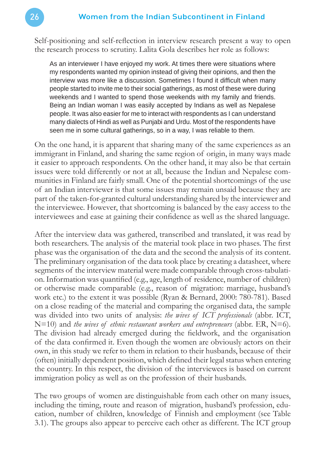Self-positioning and self-reflection in interview research present a way to open the research process to scrutiny. Lalita Gola describes her role as follows:

As an interviewer I have enjoyed my work. At times there were situations where my respondents wanted my opinion instead of giving their opinions, and then the interview was more like a discussion. Sometimes I found it difficult when many people started to invite me to their social gatherings, as most of these were during weekends and I wanted to spend those weekends with my family and friends. Being an Indian woman I was easily accepted by Indians as well as Nepalese people. It was also easier for me to interact with respondents as I can understand many dialects of Hindi as well as Punjabi and Urdu. Most of the respondents have seen me in some cultural gatherings, so in a way, I was reliable to them.

On the one hand, it is apparent that sharing many of the same experiences as an immigrant in Finland, and sharing the same region of origin, in many ways made it easier to approach respondents. On the other hand, it may also be that certain issues were told differently or not at all, because the Indian and Nepalese communities in Finland are fairly small. One of the potential shortcomings of the use of an Indian interviewer is that some issues may remain unsaid because they are part of the taken-for-granted cultural understanding shared by the interviewer and the interviewee. However, that shortcoming is balanced by the easy access to the interviewees and ease at gaining their confidence as well as the shared language.

After the interview data was gathered, transcribed and translated, it was read by both researchers. The analysis of the material took place in two phases. The first phase was the organisation of the data and the second the analysis of its content. The preliminary organisation of the data took place by creating a datasheet, where segments of the interview material were made comparable through cross-tabulation. Information was quantified (e.g., age, length of residence, number of children) or otherwise made comparable (e.g., reason of migration: marriage, husband's work etc.) to the extent it was possible (Ryan & Bernard, 2000: 780-781). Based on a close reading of the material and comparing the organised data, the sample was divided into two units of analysis: *the wives of ICT professionals* (abbr. ICT, N=10) and *the wives of ethnic restaurant workers and entrepreneurs* (abbr. ER, N=6). The division had already emerged during the fieldwork, and the organisation of the data confirmed it. Even though the women are obviously actors on their own, in this study we refer to them in relation to their husbands, because of their (often) initially dependent position, which defined their legal status when entering the country. In this respect, the division of the interviewees is based on current immigration policy as well as on the profession of their husbands.

The two groups of women are distinguishable from each other on many issues, including the timing, route and reason of migration, husband's profession, education, number of children, knowledge of Finnish and employment (see Table 3.1). The groups also appear to perceive each other as different. The ICT group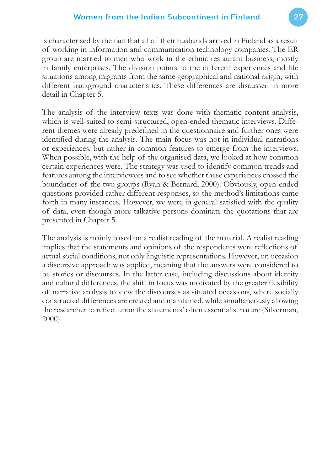is characterised by the fact that all of their husbands arrived in Finland as a result of working in information and communication technology companies. The ER group are married to men who work in the ethnic restaurant business, mostly in family enterprises. The division points to the different experiences and life situations among migrants from the same geographical and national origin, with different background characteristics. These differences are discussed in more detail in Chapter 5.

The analysis of the interview texts was done with thematic content analysis, which is well-suited to semi-structured, open-ended thematic interviews. Different themes were already predefined in the questionnaire and further ones were identified during the analysis. The main focus was not in individual narrations or experiences, but rather in common features to emerge from the interviews. When possible, with the help of the organised data, we looked at how common certain experiences were. The strategy was used to identify common trends and features among the interviewees and to see whether these experiences crossed the boundaries of the two groups (Ryan & Bernard, 2000). Obviously, open-ended questions provided rather different responses, so the method's limitations came forth in many instances. However, we were in general satisfied with the quality of data, even though more talkative persons dominate the quotations that are presented in Chapter 5.

The analysis is mainly based on a realist reading of the material. A realist reading implies that the statements and opinions of the respondents were reflections of actual social conditions, not only linguistic representations. However, on occasion a discursive approach was applied, meaning that the answers were considered to be stories or discourses. In the latter case, including discussions about identity and cultural differences, the shift in focus was motivated by the greater flexibility of narrative analysis to view the discourses as situated occasions, where socially constructed differences are created and maintained, while simultaneously allowing the researcher to reflect upon the statements' often essentialist nature (Silverman, 2000).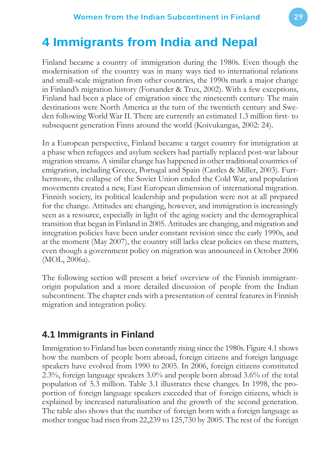## **4 Immigrants from India and Nepal**

Finland became a country of immigration during the 1980s. Even though the modernisation of the country was in many ways tied to international relations and small-scale migration from other countries, the 1990s mark a major change in Finland's migration history (Forsander & Trux, 2002). With a few exceptions, Finland had been a place of emigration since the nineteenth century. The main destinations were North America at the turn of the twentieth century and Sweden following World War II. There are currently an estimated 1.3 million first- to subsequent generation Finns around the world (Koivukangas, 2002: 24).

In a European perspective, Finland became a target country for immigration at a phase when refugees and asylum seekers had partially replaced post-war labour migration streams. A similar change has happened in other traditional countries of emigration, including Greece, Portugal and Spain (Castles & Miller, 2003). Furthermore, the collapse of the Soviet Union ended the Cold War, and population movements created a new, East European dimension of international migration. Finnish society, its political leadership and population were not at all prepared for the change. Attitudes are changing, however, and immigration is increasingly seen as a resource, especially in light of the aging society and the demographical transition that began in Finland in 2005. Attitudes are changing, and migration and integration policies have been under constant revision since the early 1990s, and at the moment (May 2007), the country still lacks clear policies on these matters, even though a government policy on migration was announced in October 2006 (MOL, 2006a).

The following section will present a brief overview of the Finnish immigrantorigin population and a more detailed discussion of people from the Indian subcontinent. The chapter ends with a presentation of central features in Finnish migration and integration policy.

## **4.1 Immigrants in Finland**

Immigration to Finland has been constantly rising since the 1980s. Figure 4.1 shows how the numbers of people born abroad, foreign citizens and foreign language speakers have evolved from 1990 to 2005. In 2006, foreign citizens constituted 2.3%, foreign language speakers 3.0% and people born abroad 3.6% of the total population of 5.3 million. Table 3.1 illustrates these changes. In 1998, the proportion of foreign language speakers exceeded that of foreign citizens, which is explained by increased naturalisation and the growth of the second generation. The table also shows that the number of foreign born with a foreign language as mother tongue had risen from 22,239 to 125,730 by 2005. The rest of the foreign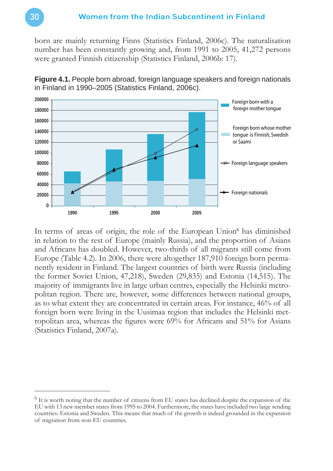born are mainly returning Finns (Statistics Finland, 2006c). The naturalisation number has been constantly growing and, from 1991 to 2005, 41,272 persons were granted Finnish citizenship (Statistics Finland, 2006b: 17).



**Figure 4.1.** People born abroad, foreign language speakers and foreign nationals in Finland in 1990–2005 (Statistics Finland, 2006c).

In terms of areas of origin, the role of the European Union<sup>6</sup> has diminished in relation to the rest of Europe (mainly Russia), and the proportion of Asians and Africans has doubled. However, two-thirds of all migrants still come from Europe (Table 4.2). In 2006, there were altogether 187,910 foreign born permanently resident in Finland. The largest countries of birth were Russia (including the former Soviet Union, 47,218), Sweden (29,835) and Estonia (14,515). The majority of immigrants live in large urban centres, especially the Helsinki metropolitan region. There are, however, some differences between national groups, as to what extent they are concentrated in certain areas. For instance, 46% of all foreign born were living in the Uusimaa region that includes the Helsinki metropolitan area, whereas the figures were  $69%$  for Africans and  $51%$  for Asians (Statistics Finland, 2007a).

 $<sup>6</sup>$  It is worth noting that the number of citizens from EU states has declined despite the expansion of the</sup> EU with 13 new member states from 1995 to 2004. Furthermore, the states have included two large sending countries: Estonia and Sweden. This means that much of the growth is indeed grounded in the expansion of migration from non-EU countries.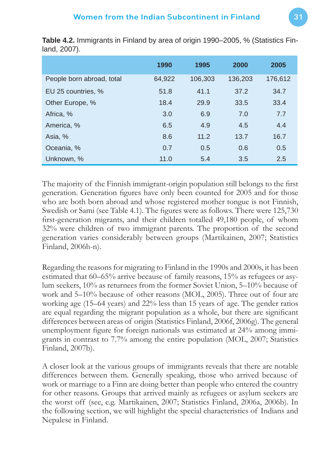|                           | 1990   | 1995    | 2000    | 2005    |
|---------------------------|--------|---------|---------|---------|
| People born abroad, total | 64,922 | 106,303 | 136,203 | 176,612 |
| EU 25 countries, %        | 51.8   | 41.1    | 37.2    | 34.7    |
| Other Europe, %           | 18.4   | 29.9    | 33.5    | 33.4    |
| Africa, %                 | 3.0    | 6.9     | 7.0     | 7.7     |
| America, %                | 6.5    | 4.9     | 4.5     | 4.4     |
| Asia, %                   | 8.6    | 11.2    | 13.7    | 16.7    |
| Oceania, %                | 0.7    | 0.5     | 0.6     | 0.5     |
| Unknown, %                | 11.0   | 5.4     | 3.5     | 2.5     |

**Table 4.2.** Immigrants in Finland by area of origin 1990–2005, % (Statistics Finland, 2007).

The majority of the Finnish immigrant-origin population still belongs to the first generation. Generation figures have only been counted for 2005 and for those who are both born abroad and whose registered mother tongue is not Finnish, Swedish or Sami (see Table 4.1). The figures were as follows. There were 125,730 first-generation migrants, and their children totalled 49,180 people, of whom 32% were children of two immigrant parents. The proportion of the second generation varies considerably between groups (Martikainen, 2007; Statistics Finland, 2006h-n).

Regarding the reasons for migrating to Finland in the 1990s and 2000s, it has been estimated that 60–65% arrive because of family reasons, 15% as refugees or asylum seekers, 10% as returnees from the former Soviet Union, 5–10% because of work and 5–10% because of other reasons (MOL, 2005). Three out of four are working age (15–64 years) and 22% less than 15 years of age. The gender ratios are equal regarding the migrant population as a whole, but there are significant differences between areas of origin (Statistics Finland, 2006f, 2006g). The general unemployment figure for foreign nationals was estimated at 24% among immigrants in contrast to 7.7% among the entire population (MOL, 2007; Statistics Finland, 2007b).

A closer look at the various groups of immigrants reveals that there are notable differences between them. Generally speaking, those who arrived because of work or marriage to a Finn are doing better than people who entered the country for other reasons. Groups that arrived mainly as refugees or asylum seekers are the worst off (see, e.g. Martikainen, 2007; Statistics Finland, 2006a, 2006b). In the following section, we will highlight the special characteristics of Indians and Nepalese in Finland.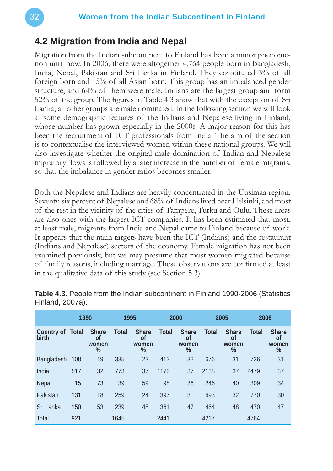#### **4.2 Migration from India and Nepal**

Migration from the Indian subcontinent to Finland has been a minor phenomenon until now. In 2006, there were altogether 4,764 people born in Bangladesh, India, Nepal, Pakistan and Sri Lanka in Finland. They constituted 3% of all foreign born and 15% of all Asian born. This group has an imbalanced gender structure, and 64% of them were male. Indians are the largest group and form 52% of the group. The figures in Table 4.3 show that with the exception of Sri Lanka, all other groups are male dominated. In the following section we will look at some demographic features of the Indians and Nepalese living in Finland, whose number has grown especially in the 2000s. A major reason for this has been the recruitment of ICT professionals from India. The aim of the section is to contextualise the interviewed women within these national groups. We will also investigate whether the original male domination of Indian and Nepalese migratory flows is followed by a later increase in the number of female migrants, so that the imbalance in gender ratios becomes smaller.

Both the Nepalese and Indians are heavily concentrated in the Uusimaa region. Seventy-six percent of Nepalese and 68% of Indians lived near Helsinki, and most of the rest in the vicinity of the cities of Tampere, Turku and Oulu. These areas are also ones with the largest ICT companies. It has been estimated that most, at least male, migrants from India and Nepal came to Finland because of work. It appears that the main targets have been the ICT (Indians) and the restaurant (Indians and Nepalese) sectors of the economy. Female migration has not been examined previously, but we may presume that most women migrated because of family reasons, including marriage. These observations are confirmed at least in the qualitative data of this study (see Section 5.3).

|                            | 1990         |                                                     | 1995         |                                                     |              | 2000                                                |              | 2005                                                | 2006         |                                                     |
|----------------------------|--------------|-----------------------------------------------------|--------------|-----------------------------------------------------|--------------|-----------------------------------------------------|--------------|-----------------------------------------------------|--------------|-----------------------------------------------------|
| <b>Country of</b><br>birth | <b>Total</b> | <b>Share</b><br><b>of</b><br>women<br>$\frac{0}{0}$ | <b>Total</b> | <b>Share</b><br><b>of</b><br>women<br>$\frac{0}{0}$ | <b>Total</b> | <b>Share</b><br><b>of</b><br>women<br>$\frac{0}{0}$ | <b>Total</b> | <b>Share</b><br><b>of</b><br>women<br>$\frac{0}{0}$ | <b>Total</b> | <b>Share</b><br><b>of</b><br>women<br>$\frac{0}{0}$ |
| Bangladesh                 | 108          | 19                                                  | 335          | 23                                                  | 413          | 32                                                  | 676          | 31                                                  | 736          | 31                                                  |
| India                      | 517          | 32                                                  | 773          | 37                                                  | 1172         | 37                                                  | 2138         | 37                                                  | 2479         | 37                                                  |
| Nepal                      | 15           | 73                                                  | 39           | 59                                                  | 98           | 36                                                  | 246          | 40                                                  | 309          | 34                                                  |
| Pakistan                   | 131          | 18                                                  | 259          | 24                                                  | 397          | 31                                                  | 693          | 32                                                  | 770          | 30                                                  |
| Sri Lanka                  | 150          | 53                                                  | 239          | 48                                                  | 361          | 47                                                  | 464          | 48                                                  | 470          | 47                                                  |
| <b>Total</b>               | 921          |                                                     | 1645         |                                                     | 2441         |                                                     | 4217         |                                                     | 4764         |                                                     |

**Table 4.3.** People from the Indian subcontinent in Finland 1990-2006 (Statistics Finland, 2007a).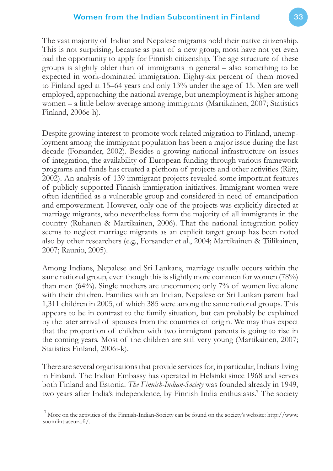The vast majority of Indian and Nepalese migrants hold their native citizenship. This is not surprising, because as part of a new group, most have not yet even had the opportunity to apply for Finnish citizenship. The age structure of these groups is slightly older than of immigrants in general – also something to be expected in work-dominated immigration. Eighty-six percent of them moved to Finland aged at 15–64 years and only 13% under the age of 15. Men are well employed, approaching the national average, but unemployment is higher among women – a little below average among immigrants (Martikainen, 2007; Statistics Finland, 2006e-h).

Despite growing interest to promote work related migration to Finland, unemployment among the immigrant population has been a major issue during the last decade (Forsander, 2002). Besides a growing national infrastructure on issues of integration, the availability of European funding through various framework programs and funds has created a plethora of projects and other activities (Räty, 2002). An analysis of 139 immigrant projects revealed some important features of publicly supported Finnish immigration initiatives. Immigrant women were often identified as a vulnerable group and considered in need of emancipation and empowerment. However, only one of the projects was explicitly directed at marriage migrants, who nevertheless form the majority of all immigrants in the country (Ruhanen & Martikainen, 2006). That the national integration policy seems to neglect marriage migrants as an explicit target group has been noted also by other researchers (e.g., Forsander et al., 2004; Martikainen & Tiilikainen, 2007; Raunio, 2005).

Among Indians, Nepalese and Sri Lankans, marriage usually occurs within the same national group, even though this is slightly more common for women (78%) than men (64%). Single mothers are uncommon; only 7% of women live alone with their children. Families with an Indian, Nepalese or Sri Lankan parent had 1,311 children in 2005, of which 385 were among the same national groups. This appears to be in contrast to the family situation, but can probably be explained by the later arrival of spouses from the countries of origin. We may thus expect that the proportion of children with two immigrant parents is going to rise in the coming years. Most of the children are still very young (Martikainen, 2007; Statistics Finland, 2006i-k).

There are several organisations that provide services for, in particular, Indians living in Finland. The Indian Embassy has operated in Helsinki since 1968 and serves both Finland and Estonia. *The Finnish-Indian-Society* was founded already in 1949, two years after India's independence, by Finnish India enthusiasts.<sup>7</sup> The society

 $7$  More on the activities of the Finnish-Indian-Society can be found on the society's website: http://www. suomiintiaseura.fi /.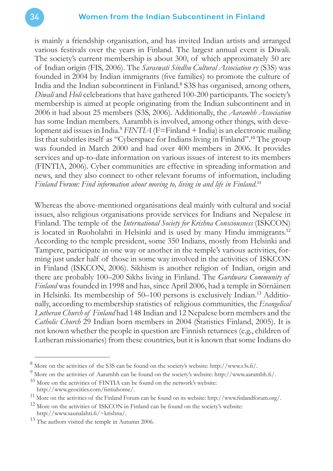is mainly a friendship organisation, and has invited Indian artists and arranged various festivals over the years in Finland. The largest annual event is Diwali. The society's current membership is about 300, of which approximately 50 are of Indian origin (FIS, 2006). The *Saraswati Sindhu Cultural Association ry* (S3S) was founded in 2004 by Indian immigrants (five families) to promote the culture of India and the Indian subcontinent in Finland.<sup>8</sup> S3S has organised, among others, *Diwali* and *Holi* celebrations that have gathered 100-200 participants. The society's membership is aimed at people originating from the Indian subcontinent and in 2006 it had about 25 members (S3S, 2006). Additionally, the *Aarambh Association* has some Indian members. Aarambh is involved, among other things, with development aid issues in India.<sup>9</sup> *FINTIA* (F=Finland + India) is an electronic mailing list that subtitles itself as "Cyberspace for Indians living in Finland".<sup>10</sup> The group was founded in March 2000 and had over 400 members in 2006. It provides services and up-to-date information on various issues of interest to its members (FINTIA, 2006). Cyber communities are effective in spreading information and news, and they also connect to other relevant forums of information, including Finland Forum: Find information about moving to, living in and life in Finland.<sup>11</sup>

Whereas the above-mentioned organisations deal mainly with cultural and social issues, also religious organisations provide services for Indians and Nepalese in Finland. The temple of the *International Society for Krishna Consciousness* (ISKCON) is located in Ruoholahti in Helsinki and is used by many Hindu immigrants.<sup>12</sup> According to the temple president, some 350 Indians, mostly from Helsinki and Tampere, participate in one way or another in the temple's various activities, forming just under half of those in some way involved in the activities of ISKCON in Finland (ISKCON, 2006). Sikhism is another religion of Indian, origin and there are probably 100–200 Sikhs living in Finland. The *Gurdwara Community of Finland* was founded in 1998 and has, since April 2006, had a temple in Sörnäinen in Helsinki. Its membership of 50–100 persons is exclusively Indian.13 Additionally, according to membership statistics of religious communities, the *Evangelical Lutheran Church of Finland* had 148 Indian and 12 Nepalese born members and the *Catholic Church* 29 Indian born members in 2004 (Statistics Finland, 2005). It is not known whether the people in question are Finnish returnees (e.g., children of Lutheran missionaries) from these countries, but it is known that some Indians do

 $8$  More on the activities of the S3S can be found on the society's website: http://www.s3s.fi/.

<sup>&</sup>lt;sup>9</sup> More on the activities of Aarambh can be found on the society's website: http://www.aarambh.fi/.

 $10$  More on the activities of FINTIA can be found on the network's website: http://www.geocities.com/fintiahome/.

 $11$  More on the activities of the Finland Forum can be found on its website: http://www.finlandforum.org/.

 $12$  More on the activities of ISKCON in Finland can be found on the society's website: http://www.saunalahti.fi/~krishna/.

<sup>&</sup>lt;sup>13</sup> The authors visited the temple in Autumn 2006.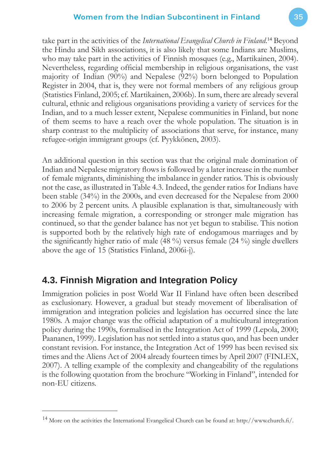take part in the activities of the *International Evangelical Church in Finland*. <sup>14</sup> Beyond the Hindu and Sikh associations, it is also likely that some Indians are Muslims, who may take part in the activities of Finnish mosques (e.g., Martikainen, 2004). Nevertheless, regarding official membership in religious organisations, the vast majority of Indian (90%) and Nepalese (92%) born belonged to Population Register in 2004, that is, they were not formal members of any religious group (Statistics Finland, 2005; cf. Martikainen, 2006b). In sum, there are already several cultural, ethnic and religious organisations providing a variety of services for the Indian, and to a much lesser extent, Nepalese communities in Finland, but none of them seems to have a reach over the whole population. The situation is in sharp contrast to the multiplicity of associations that serve, for instance, many refugee-origin immigrant groups (cf. Pyykkönen, 2003).

An additional question in this section was that the original male domination of Indian and Nepalese migratory flows is followed by a later increase in the number of female migrants, diminishing the imbalance in gender ratios. This is obviously not the case, as illustrated in Table 4.3. Indeed, the gender ratios for Indians have been stable (34%) in the 2000s, and even decreased for the Nepalese from 2000 to 2006 by 2 percent units. A plausible explanation is that, simultaneously with increasing female migration, a corresponding or stronger male migration has continued, so that the gender balance has not yet begun to stabilise. This notion is supported both by the relatively high rate of endogamous marriages and by the significantly higher ratio of male  $(48\%)$  versus female  $(24\%)$  single dwellers above the age of 15 (Statistics Finland, 2006i-j).

## **4.3. Finnish Migration and Integration Policy**

Immigration policies in post World War II Finland have often been described as exclusionary. However, a gradual but steady movement of liberalisation of immigration and integration policies and legislation has occurred since the late 1980s. A major change was the official adaptation of a multicultural integration policy during the 1990s, formalised in the Integration Act of 1999 (Lepola, 2000; Paananen, 1999). Legislation has not settled into a status quo, and has been under constant revision. For instance, the Integration Act of 1999 has been revised six times and the Aliens Act of 2004 already fourteen times by April 2007 (FINLEX, 2007). A telling example of the complexity and changeability of the regulations is the following quotation from the brochure "Working in Finland", intended for non-EU citizens.

<sup>&</sup>lt;sup>14</sup> More on the activities the International Evangelical Church can be found at: http://www.church.fi/.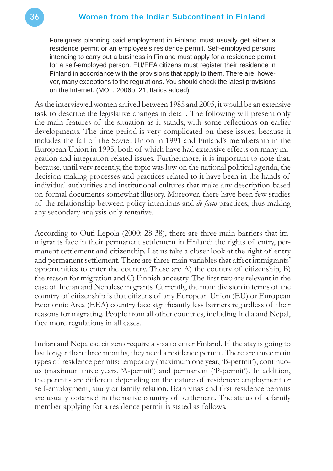Foreigners planning paid employment in Finland must usually get either a residence permit or an employee's residence permit. Self-employed persons intending to carry out a business in Finland must apply for a residence permit for a self-employed person. EU/EEA citizens must register their residence in Finland in accordance with the provisions that apply to them. There are, however, many exceptions to the regulations. You should check the latest provisions on the Internet. (MOL, 2006b: 21; Italics added)

As the interviewed women arrived between 1985 and 2005, it would be an extensive task to describe the legislative changes in detail. The following will present only the main features of the situation as it stands, with some reflections on earlier developments. The time period is very complicated on these issues, because it includes the fall of the Soviet Union in 1991 and Finland's membership in the European Union in 1995, both of which have had extensive effects on many migration and integration related issues. Furthermore, it is important to note that, because, until very recently, the topic was low on the national political agenda, the decision-making processes and practices related to it have been in the hands of individual authorities and institutional cultures that make any description based on formal documents somewhat illusory. Moreover, there have been few studies of the relationship between policy intentions and *de facto* practices, thus making any secondary analysis only tentative.

According to Outi Lepola (2000: 28-38), there are three main barriers that immigrants face in their permanent settlement in Finland: the rights of entry, permanent settlement and citizenship. Let us take a closer look at the right of entry and permanent settlement. There are three main variables that affect immigrants' opportunities to enter the country. These are A) the country of citizenship, B) the reason for migration and C) Finnish ancestry. The first two are relevant in the case of Indian and Nepalese migrants. Currently, the main division in terms of the country of citizenship is that citizens of any European Union (EU) or European Economic Area (EEA) country face significantly less barriers regardless of their reasons for migrating. People from all other countries, including India and Nepal, face more regulations in all cases.

Indian and Nepalese citizens require a visa to enter Finland. If the stay is going to last longer than three months, they need a residence permit. There are three main types of residence permits: temporary (maximum one year, 'B-permit'), continuous (maximum three years, 'A-permit') and permanent ('P-permit'). In addition, the permits are different depending on the nature of residence: employment or self-employment, study or family relation. Both visas and first residence permits are usually obtained in the native country of settlement. The status of a family member applying for a residence permit is stated as follows.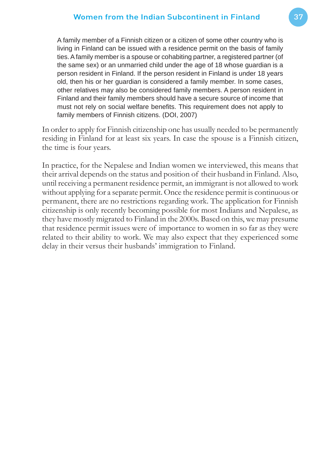A family member of a Finnish citizen or a citizen of some other country who is living in Finland can be issued with a residence permit on the basis of family ties. A family member is a spouse or cohabiting partner, a registered partner (of the same sex) or an unmarried child under the age of 18 whose guardian is a person resident in Finland. If the person resident in Finland is under 18 years old, then his or her guardian is considered a family member. In some cases, other relatives may also be considered family members. A person resident in Finland and their family members should have a secure source of income that must not rely on social welfare benefits. This requirement does not apply to family members of Finnish citizens. (DOI, 2007)

In order to apply for Finnish citizenship one has usually needed to be permanently residing in Finland for at least six years. In case the spouse is a Finnish citizen, the time is four years.

In practice, for the Nepalese and Indian women we interviewed, this means that their arrival depends on the status and position of their husband in Finland. Also, until receiving a permanent residence permit, an immigrant is not allowed to work without applying for a separate permit. Once the residence permit is continuous or permanent, there are no restrictions regarding work. The application for Finnish citizenship is only recently becoming possible for most Indians and Nepalese, as they have mostly migrated to Finland in the 2000s. Based on this, we may presume that residence permit issues were of importance to women in so far as they were related to their ability to work. We may also expect that they experienced some delay in their versus their husbands' immigration to Finland.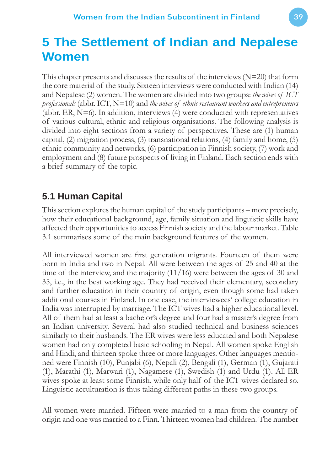# **5 The Settlement of Indian and Nepalese Women**

This chapter presents and discusses the results of the interviews  $(N=20)$  that form the core material of the study. Sixteen interviews were conducted with Indian (14) and Nepalese (2) women. The women are divided into two groups: *the wives of ICT professionals* (abbr. ICT, N=10) and *the wives of ethnic restaurant workers and entrepreneurs* (abbr. ER,  $N=6$ ). In addition, interviews (4) were conducted with representatives of various cultural, ethnic and religious organisations. The following analysis is divided into eight sections from a variety of perspectives. These are (1) human capital, (2) migration process, (3) transnational relations, (4) family and home, (5) ethnic community and networks, (6) participation in Finnish society, (7) work and employment and (8) future prospects of living in Finland. Each section ends with a brief summary of the topic.

## **5.1 Human Capital**

This section explores the human capital of the study participants – more precisely, how their educational background, age, family situation and linguistic skills have affected their opportunities to access Finnish society and the labour market. Table 3.1 summarises some of the main background features of the women.

All interviewed women are first generation migrants. Fourteen of them were born in India and two in Nepal. All were between the ages of 25 and 40 at the time of the interview, and the majority (11/16) were between the ages of 30 and 35, i.e., in the best working age. They had received their elementary, secondary and further education in their country of origin, even though some had taken additional courses in Finland. In one case, the interviewees' college education in India was interrupted by marriage. The ICT wives had a higher educational level. All of them had at least a bachelor's degree and four had a master's degree from an Indian university. Several had also studied technical and business sciences similarly to their husbands. The ER wives were less educated and both Nepalese women had only completed basic schooling in Nepal. All women spoke English and Hindi, and thirteen spoke three or more languages. Other languages mentioned were Finnish (10), Punjabi (6), Nepali (2), Bengali (1), German (1), Gujarati (1), Marathi (1), Marwari (1), Nagamese (1), Swedish (1) and Urdu (1). All ER wives spoke at least some Finnish, while only half of the ICT wives declared so. Linguistic acculturation is thus taking different paths in these two groups.

All women were married. Fifteen were married to a man from the country of origin and one was married to a Finn. Thirteen women had children. The number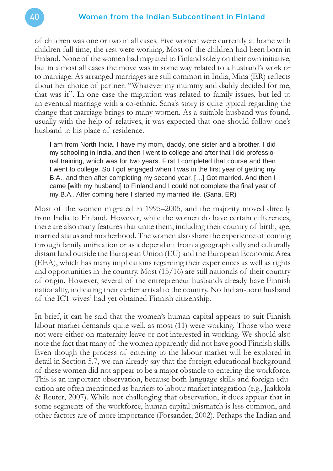#### 40 Women from the Indian Subcontinent in Finland

of children was one or two in all cases. Five women were currently at home with children full time, the rest were working. Most of the children had been born in Finland. None of the women had migrated to Finland solely on their own initiative, but in almost all cases the move was in some way related to a husband's work or to marriage. As arranged marriages are still common in India, Mina (ER) reflects about her choice of partner: "Whatever my mummy and daddy decided for me, that was it". In one case the migration was related to family issues, but led to an eventual marriage with a co-ethnic. Sana's story is quite typical regarding the change that marriage brings to many women. As a suitable husband was found, usually with the help of relatives, it was expected that one should follow one's husband to his place of residence.

I am from North India. I have my mom, daddy, one sister and a brother. I did my schooling in India, and then I went to college and after that I did professional training, which was for two years. First I completed that course and then I went to college. So I got engaged when I was in the first year of getting my B.A., and then after completing my second year. […] Got married. And then I came [with my husband] to Finland and I could not complete the final year of my B.A.. After coming here I started my married life. (Sana, ER)

Most of the women migrated in 1995–2005, and the majority moved directly from India to Finland. However, while the women do have certain differences, there are also many features that unite them, including their country of birth, age, married status and motherhood. The women also share the experience of coming through family unification or as a dependant from a geographically and culturally distant land outside the European Union (EU) and the European Economic Area (EEA), which has many implications regarding their experiences as well as rights and opportunities in the country. Most (15/16) are still nationals of their country of origin. However, several of the entrepreneur husbands already have Finnish nationality, indicating their earlier arrival to the country. No Indian-born husband of the ICT wives' had yet obtained Finnish citizenship.

In brief, it can be said that the women's human capital appears to suit Finnish labour market demands quite well, as most (11) were working. Those who were not were either on maternity leave or not interested in working. We should also note the fact that many of the women apparently did not have good Finnish skills. Even though the process of entering to the labour market will be explored in detail in Section 5.7, we can already say that the foreign educational background of these women did not appear to be a major obstacle to entering the workforce. This is an important observation, because both language skills and foreign education are often mentioned as barriers to labour market integration (e.g., Jaakkola & Reuter, 2007). While not challenging that observation, it does appear that in some segments of the workforce, human capital mismatch is less common, and other factors are of more importance (Forsander, 2002). Perhaps the Indian and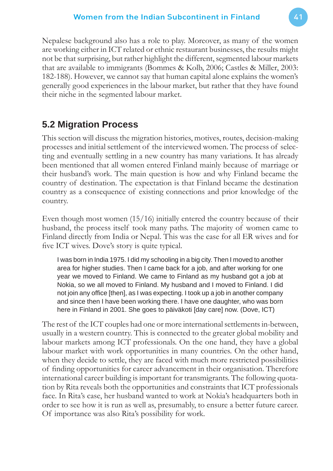Nepalese background also has a role to play. Moreover, as many of the women are working either in ICT related or ethnic restaurant businesses, the results might not be that surprising, but rather highlight the different, segmented labour markets that are available to immigrants (Bommes & Kolb, 2006; Castles & Miller, 2003: 182-188). However, we cannot say that human capital alone explains the women's generally good experiences in the labour market, but rather that they have found their niche in the segmented labour market.

## **5.2 Migration Process**

This section will discuss the migration histories, motives, routes, decision-making processes and initial settlement of the interviewed women. The process of selecting and eventually settling in a new country has many variations. It has already been mentioned that all women entered Finland mainly because of marriage or their husband's work. The main question is how and why Finland became the country of destination. The expectation is that Finland became the destination country as a consequence of existing connections and prior knowledge of the country.

Even though most women  $(15/16)$  initially entered the country because of their husband, the process itself took many paths. The majority of women came to Finland directly from India or Nepal. This was the case for all ER wives and for five ICT wives. Dove's story is quite typical.

I was born in India 1975. I did my schooling in a big city. Then I moved to another area for higher studies. Then I came back for a job, and after working for one year we moved to Finland. We came to Finland as my husband got a job at Nokia, so we all moved to Finland. My husband and I moved to Finland. I did not join any office [then], as I was expecting. I took up a job in another company and since then I have been working there. I have one daughter, who was born here in Finland in 2001. She goes to päiväkoti [day care] now. (Dove, ICT)

The rest of the ICT couples had one or more international settlements in-between, usually in a western country. This is connected to the greater global mobility and labour markets among ICT professionals. On the one hand, they have a global labour market with work opportunities in many countries. On the other hand, when they decide to settle, they are faced with much more restricted possibilities of finding opportunities for career advancement in their organisation. Therefore international career building is important for transmigrants. The following quotation by Rita reveals both the opportunities and constraints that ICT professionals face. In Rita's case, her husband wanted to work at Nokia's headquarters both in order to see how it is run as well as, presumably, to ensure a better future career. Of importance was also Rita's possibility for work.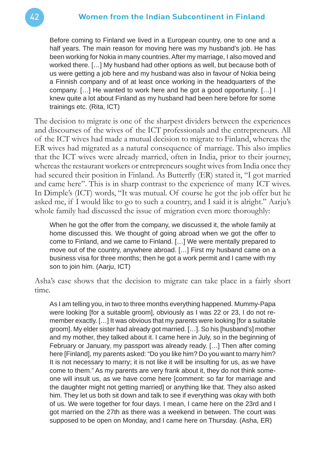Before coming to Finland we lived in a European country, one to one and a half years. The main reason for moving here was my husband's job. He has been working for Nokia in many countries. After my marriage, I also moved and worked there. […] My husband had other options as well, but because both of us were getting a job here and my husband was also in favour of Nokia being a Finnish company and of at least once working in the headquarters of the company. […] He wanted to work here and he got a good opportunity. […] I knew quite a lot about Finland as my husband had been here before for some trainings etc. (Rita, ICT)

The decision to migrate is one of the sharpest dividers between the experiences and discourses of the wives of the ICT professionals and the entrepreneurs. All of the ICT wives had made a mutual decision to migrate to Finland, whereas the ER wives had migrated as a natural consequence of marriage. This also implies that the ICT wives were already married, often in India, prior to their journey, whereas the restaurant workers or entrepreneurs sought wives from India once they had secured their position in Finland. As Butterfly (ER) stated it, "I got married and came here". This is in sharp contrast to the experience of many ICT wives. In Dimple's (ICT) words, "It was mutual. Of course he got the job offer but he asked me, if I would like to go to such a country, and I said it is alright." Aarju's whole family had discussed the issue of migration even more thoroughly:

When he got the offer from the company, we discussed it, the whole family at home discussed this. We thought of going abroad when we got the offer to come to Finland, and we came to Finland. […] We were mentally prepared to move out of the country, anywhere abroad. […] First my husband came on a business visa for three months; then he got a work permit and I came with my son to join him. (Aarju, ICT)

Asha's case shows that the decision to migrate can take place in a fairly short time.

As I am telling you, in two to three months everything happened. Mummy-Papa were looking [for a suitable groom], obviously as I was 22 or 23, I do not remember exactly. […] It was obvious that my parents were looking [for a suitable groom]. My elder sister had already got married. […]. So his [husband's] mother and my mother, they talked about it. I came here in July, so in the beginning of February or January, my passport was already ready. […] Then after coming here [Finland], my parents asked: "Do you like him? Do you want to marry him? It is not necessary to marry; it is not like it will be insulting for us, as we have come to them." As my parents are very frank about it, they do not think someone will insult us, as we have come here [comment: so far for marriage and the daughter might not getting married] or anything like that. They also asked him. They let us both sit down and talk to see if everything was okay with both of us. We were together for four days. I mean, I came here on the 23rd and I got married on the 27th as there was a weekend in between. The court was supposed to be open on Monday, and I came here on Thursday. (Asha, ER)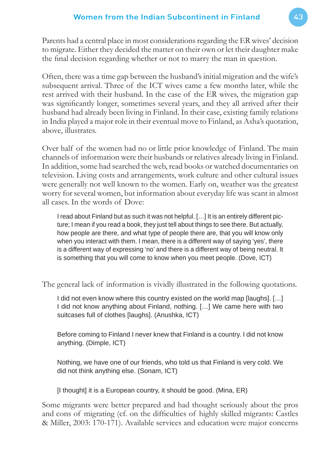Parents had a central place in most considerations regarding the ER wives' decision to migrate. Either they decided the matter on their own or let their daughter make the final decision regarding whether or not to marry the man in question.

Often, there was a time gap between the husband's initial migration and the wife's subsequent arrival. Three of the ICT wives came a few months later, while the rest arrived with their husband. In the case of the ER wives, the migration gap was significantly longer, sometimes several years, and they all arrived after their husband had already been living in Finland. In their case, existing family relations in India played a major role in their eventual move to Finland, as Asha's quotation, above, illustrates.

Over half of the women had no or little prior knowledge of Finland. The main channels of information were their husbands or relatives already living in Finland. In addition, some had searched the web, read books or watched documentaries on television. Living costs and arrangements, work culture and other cultural issues were generally not well known to the women. Early on, weather was the greatest worry for several women, but information about everyday life was scant in almost all cases. In the words of Dove:

I read about Finland but as such it was not helpful. […] It is an entirely different picture; I mean if you read a book, they just tell about things to see there. But actually, how people are there, and what type of people there are, that you will know only when you interact with them. I mean, there is a different way of saying 'yes', there is a different way of expressing 'no' and there is a different way of being neutral. It is something that you will come to know when you meet people. (Dove, ICT)

The general lack of information is vividly illustrated in the following quotations.

I did not even know where this country existed on the world map [laughs]. […] I did not know anything about Finland, nothing. […] We came here with two suitcases full of clothes [laughs]. (Anushka, ICT)

Before coming to Finland I never knew that Finland is a country. I did not know anything. (Dimple, ICT)

Nothing, we have one of our friends, who told us that Finland is very cold. We did not think anything else. (Sonam, ICT)

[I thought] it is a European country, it should be good. (Mina, ER)

Some migrants were better prepared and had thought seriously about the pros and cons of migrating (cf. on the difficulties of highly skilled migrants: Castles & Miller, 2003: 170-171). Available services and education were major concerns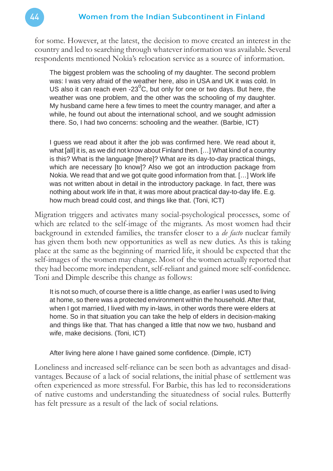for some. However, at the latest, the decision to move created an interest in the country and led to searching through whatever information was available. Several respondents mentioned Nokia's relocation service as a source of information.

The biggest problem was the schooling of my daughter. The second problem was: I was very afraid of the weather here, also in USA and UK it was cold. In US also it can reach even -23 $^{\circ}$ C, but only for one or two days. But here, the weather was one problem, and the other was the schooling of my daughter. My husband came here a few times to meet the country manager, and after a while, he found out about the international school, and we sought admission there. So, I had two concerns: schooling and the weather. (Barbie, ICT)

I guess we read about it after the job was confirmed here. We read about it, what [all] it is, as we did not know about Finland then. […] What kind of a country is this? What is the language [there]? What are its day-to-day practical things, which are necessary [to know]? Also we got an introduction package from Nokia. We read that and we got quite good information from that. […] Work life was not written about in detail in the introductory package. In fact, there was nothing about work life in that, it was more about practical day-to-day life. E.g. how much bread could cost, and things like that. (Toni, ICT)

Migration triggers and activates many social-psychological processes, some of which are related to the self-image of the migrants. As most women had their background in extended families, the transfer closer to a *de facto* nuclear family has given them both new opportunities as well as new duties. As this is taking place at the same as the beginning of married life, it should be expected that the self-images of the women may change. Most of the women actually reported that they had become more independent, self-reliant and gained more self-confidence. Toni and Dimple describe this change as follows:

It is not so much, of course there is a little change, as earlier I was used to living at home, so there was a protected environment within the household. After that, when I got married, I lived with my in-laws, in other words there were elders at home. So in that situation you can take the help of elders in decision-making and things like that. That has changed a little that now we two, husband and wife, make decisions. (Toni, ICT)

After living here alone I have gained some confidence. (Dimple, ICT)

Loneliness and increased self-reliance can be seen both as advantages and disadvantages. Because of a lack of social relations, the initial phase of settlement was often experienced as more stressful. For Barbie, this has led to reconsiderations of native customs and understanding the situatedness of social rules. Butterfly has felt pressure as a result of the lack of social relations.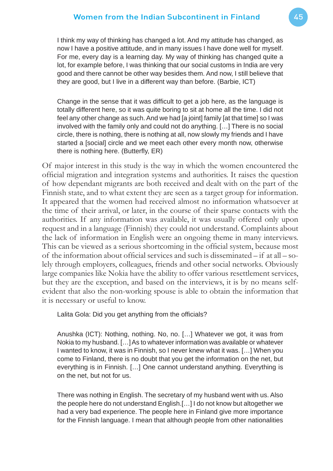I think my way of thinking has changed a lot. And my attitude has changed, as now I have a positive attitude, and in many issues I have done well for myself. For me, every day is a learning day. My way of thinking has changed quite a lot, for example before, I was thinking that our social customs in India are very good and there cannot be other way besides them. And now, I still believe that they are good, but I live in a different way than before. (Barbie, ICT)

Change in the sense that it was difficult to get a job here, as the language is totally different here, so it was quite boring to sit at home all the time. I did not feel any other change as such. And we had [a joint] family [at that time] so I was involved with the family only and could not do anything. […] There is no social circle, there is nothing, there is nothing at all, now slowly my friends and I have started a [social] circle and we meet each other every month now, otherwise there is nothing here. (Butterfly, ER)

Of major interest in this study is the way in which the women encountered the official migration and integration systems and authorities. It raises the question of how dependant migrants are both received and dealt with on the part of the Finnish state, and to what extent they are seen as a target group for information. It appeared that the women had received almost no information whatsoever at the time of their arrival, or later, in the course of their sparse contacts with the authorities. If any information was available, it was usually offered only upon request and in a language (Finnish) they could not understand. Complaints about the lack of information in English were an ongoing theme in many interviews. This can be viewed as a serious shortcoming in the official system, because most of the information about official services and such is disseminated  $-$  if at all  $-$  solely through employers, colleagues, friends and other social networks. Obviously large companies like Nokia have the ability to offer various resettlement services, but they are the exception, and based on the interviews, it is by no means selfevident that also the non-working spouse is able to obtain the information that it is necessary or useful to know.

Lalita Gola: Did you get anything from the officials?

Anushka (ICT): Nothing, nothing. No, no. […] Whatever we got, it was from Nokia to my husband. […] As to whatever information was available or whatever I wanted to know, it was in Finnish, so I never knew what it was. […] When you come to Finland, there is no doubt that you get the information on the net, but everything is in Finnish. […] One cannot understand anything. Everything is on the net, but not for us.

There was nothing in English. The secretary of my husband went with us. Also the people here do not understand English.[…] I do not know but altogether we had a very bad experience. The people here in Finland give more importance for the Finnish language. I mean that although people from other nationalities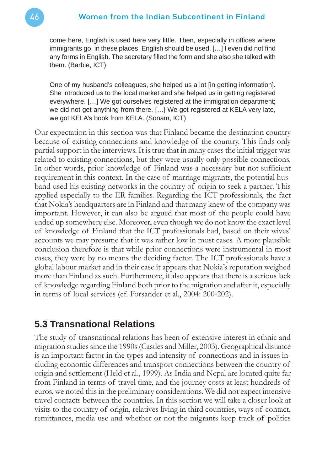come here, English is used here very little. Then, especially in offices where immigrants go, in these places, English should be used. [...] I even did not find any forms in English. The secretary filled the form and she also she talked with them. (Barbie, ICT)

One of my husband's colleagues, she helped us a lot [in getting information]. She introduced us to the local market and she helped us in getting registered everywhere. […] We got ourselves registered at the immigration department; we did not get anything from there. […] We got registered at KELA very late, we got KELA's book from KELA. (Sonam, ICT)

Our expectation in this section was that Finland became the destination country because of existing connections and knowledge of the country. This finds only partial support in the interviews. It is true that in many cases the initial trigger was related to existing connections, but they were usually only possible connections. In other words, prior knowledge of Finland was a necessary but not sufficient requirement in this context. In the case of marriage migrants, the potential husband used his existing networks in the country of origin to seek a partner. This applied especially to the ER families. Regarding the ICT professionals, the fact that Nokia's headquarters are in Finland and that many knew of the company was important. However, it can also be argued that most of the people could have ended up somewhere else. Moreover, even though we do not know the exact level of knowledge of Finland that the ICT professionals had, based on their wives' accounts we may presume that it was rather low in most cases. A more plausible conclusion therefore is that while prior connections were instrumental in most cases, they were by no means the deciding factor. The ICT professionals have a global labour market and in their case it appears that Nokia's reputation weighed more than Finland as such. Furthermore, it also appears that there is a serious lack of knowledge regarding Finland both prior to the migration and after it, especially in terms of local services (cf. Forsander et al., 2004: 200-202).

### **5.3 Transnational Relations**

The study of transnational relations has been of extensive interest in ethnic and migration studies since the 1990s (Castles and Miller, 2003). Geographical distance is an important factor in the types and intensity of connections and in issues including economic differences and transport connections between the country of origin and settlement (Held et al., 1999). As India and Nepal are located quite far from Finland in terms of travel time, and the journey costs at least hundreds of euros, we noted this in the preliminary considerations. We did not expect intensive travel contacts between the countries. In this section we will take a closer look at visits to the country of origin, relatives living in third countries, ways of contact, remittances, media use and whether or not the migrants keep track of politics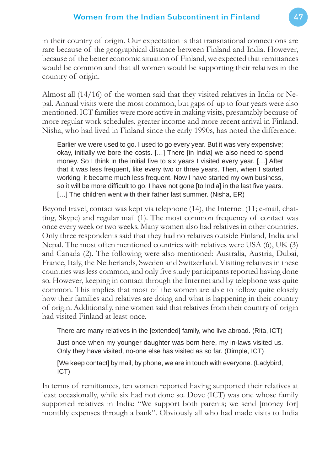in their country of origin. Our expectation is that transnational connections are rare because of the geographical distance between Finland and India. However, because of the better economic situation of Finland, we expected that remittances would be common and that all women would be supporting their relatives in the country of origin.

Almost all (14/16) of the women said that they visited relatives in India or Nepal. Annual visits were the most common, but gaps of up to four years were also mentioned. ICT families were more active in making visits, presumably because of more regular work schedules, greater income and more recent arrival in Finland. Nisha, who had lived in Finland since the early 1990s, has noted the difference:

Earlier we were used to go. I used to go every year. But it was very expensive; okay, initially we bore the costs. […] There [in India] we also need to spend money. So I think in the initial five to six years I visited every year. [...] After that it was less frequent, like every two or three years. Then, when I started working, it became much less frequent. Now I have started my own business, so it will be more difficult to go. I have not gone [to India] in the last five years. [...] The children went with their father last summer. (Nisha, ER)

Beyond travel, contact was kept via telephone (14), the Internet (11; e-mail, chatting, Skype) and regular mail (1). The most common frequency of contact was once every week or two weeks. Many women also had relatives in other countries. Only three respondents said that they had no relatives outside Finland, India and Nepal. The most often mentioned countries with relatives were USA (6), UK (3) and Canada (2). The following were also mentioned: Australia, Austria, Dubai, France, Italy, the Netherlands, Sweden and Switzerland. Visiting relatives in these countries was less common, and only five study participants reported having done so. However, keeping in contact through the Internet and by telephone was quite common. This implies that most of the women are able to follow quite closely how their families and relatives are doing and what is happening in their country of origin. Additionally, nine women said that relatives from their country of origin had visited Finland at least once.

There are many relatives in the [extended] family, who live abroad. (Rita, ICT)

Just once when my younger daughter was born here, my in-laws visited us. Only they have visited, no-one else has visited as so far. (Dimple, ICT)

[We keep contact] by mail, by phone, we are in touch with everyone. (Ladybird, ICT)

In terms of remittances, ten women reported having supported their relatives at least occasionally, while six had not done so. Dove (ICT) was one whose family supported relatives in India: "We support both parents; we send [money for] monthly expenses through a bank". Obviously all who had made visits to India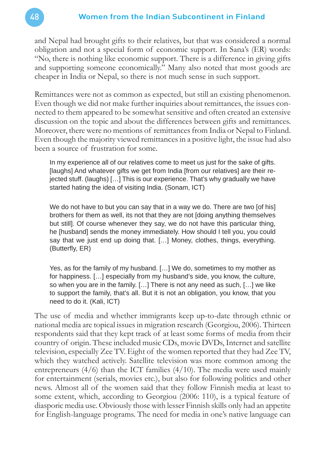and Nepal had brought gifts to their relatives, but that was considered a normal obligation and not a special form of economic support. In Sana's (ER) words: "No, there is nothing like economic support. There is a difference in giving gifts and supporting someone economically." Many also noted that most goods are cheaper in India or Nepal, so there is not much sense in such support.

Remittances were not as common as expected, but still an existing phenomenon. Even though we did not make further inquiries about remittances, the issues connected to them appeared to be somewhat sensitive and often created an extensive discussion on the topic and about the differences between gifts and remittances. Moreover, there were no mentions of remittances from India or Nepal to Finland. Even though the majority viewed remittances in a positive light, the issue had also been a source of frustration for some.

In my experience all of our relatives come to meet us just for the sake of gifts. [laughs] And whatever gifts we get from India [from our relatives] are their rejected stuff. (laughs) […] This is our experience. That's why gradually we have started hating the idea of visiting India. (Sonam, ICT)

We do not have to but you can say that in a way we do. There are two [of his] brothers for them as well, its not that they are not [doing anything themselves but still]. Of course whenever they say, we do not have this particular thing, he [husband] sends the money immediately. How should I tell you, you could say that we just end up doing that. […] Money, clothes, things, everything. (Butterfly, ER)

Yes, as for the family of my husband. […] We do, sometimes to my mother as for happiness. […] especially from my husband's side, you know, the culture, so when you are in the family. […] There is not any need as such, […] we like to support the family, that's all. But it is not an obligation, you know, that you need to do it. (Kali, ICT)

The use of media and whether immigrants keep up-to-date through ethnic or national media are topical issues in migration research (Georgiou, 2006). Thirteen respondents said that they kept track of at least some forms of media from their country of origin. These included music CDs, movie DVDs, Internet and satellite television, especially Zee TV. Eight of the women reported that they had Zee TV, which they watched actively. Satellite television was more common among the entrepreneurs  $(4/6)$  than the ICT families  $(4/10)$ . The media were used mainly for entertainment (serials, movies etc.), but also for following politics and other news. Almost all of the women said that they follow Finnish media at least to some extent, which, according to Georgiou (2006: 110), is a typical feature of diasporic media use. Obviously those with lesser Finnish skills only had an appetite for English-language programs. The need for media in one's native language can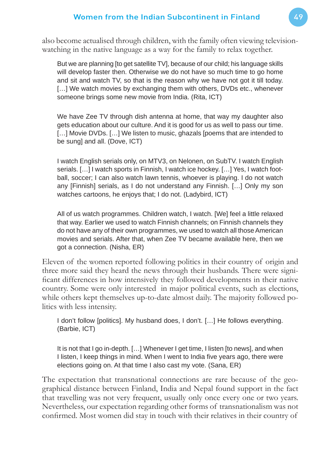also become actualised through children, with the family often viewing televisionwatching in the native language as a way for the family to relax together.

But we are planning [to get satellite TV], because of our child; his language skills will develop faster then. Otherwise we do not have so much time to go home and sit and watch TV, so that is the reason why we have not got it till today. [...] We watch movies by exchanging them with others, DVDs etc., whenever someone brings some new movie from India. (Rita, ICT)

We have Zee TV through dish antenna at home, that way my daughter also gets education about our culture. And it is good for us as well to pass our time. [...] Movie DVDs. [...] We listen to music, ghazals [poems that are intended to be sung] and all. (Dove, ICT)

I watch English serials only, on MTV3, on Nelonen, on SubTV. I watch English serials. [...] I watch sports in Finnish, I watch ice hockey. [...] Yes, I watch football, soccer; I can also watch lawn tennis, whoever is playing. I do not watch any [Finnish] serials, as I do not understand any Finnish. […] Only my son watches cartoons, he enjoys that; I do not. (Ladybird, ICT)

All of us watch programmes. Children watch, I watch. [We] feel a little relaxed that way. Earlier we used to watch Finnish channels; on Finnish channels they do not have any of their own programmes, we used to watch all those American movies and serials. After that, when Zee TV became available here, then we got a connection. (Nisha, ER)

Eleven of the women reported following politics in their country of origin and three more said they heard the news through their husbands. There were significant differences in how intensively they followed developments in their native country. Some were only interested in major political events, such as elections, while others kept themselves up-to-date almost daily. The majority followed politics with less intensity.

I don't follow [politics]. My husband does, I don't. […] He follows everything. (Barbie, ICT)

It is not that I go in-depth. […] Whenever I get time, I listen [to news], and when I listen, I keep things in mind. When I went to India five years ago, there were elections going on. At that time I also cast my vote. (Sana, ER)

The expectation that transnational connections are rare because of the geographical distance between Finland, India and Nepal found support in the fact that travelling was not very frequent, usually only once every one or two years. Nevertheless, our expectation regarding other forms of transnationalism was not confirmed. Most women did stay in touch with their relatives in their country of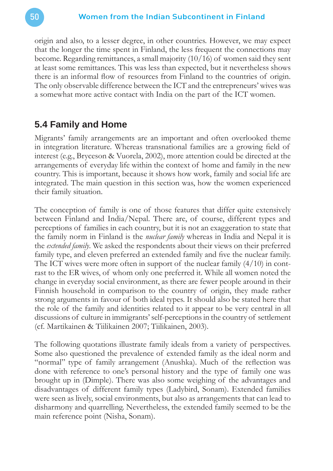origin and also, to a lesser degree, in other countries. However, we may expect that the longer the time spent in Finland, the less frequent the connections may become. Regarding remittances, a small majority (10/16) of women said they sent at least some remittances. This was less than expected, but it nevertheless shows there is an informal flow of resources from Finland to the countries of origin. The only observable difference between the ICT and the entrepreneurs' wives was a somewhat more active contact with India on the part of the ICT women.

### **5.4 Family and Home**

Migrants' family arrangements are an important and often overlooked theme in integration literature. Whereas transnational families are a growing field of interest (e.g., Bryceson & Vuorela, 2002), more attention could be directed at the arrangements of everyday life within the context of home and family in the new country. This is important, because it shows how work, family and social life are integrated. The main question in this section was, how the women experienced their family situation.

The conception of family is one of those features that differ quite extensively between Finland and India/Nepal. There are, of course, different types and perceptions of families in each country, but it is not an exaggeration to state that the family norm in Finland is the *nuclear family* whereas in India and Nepal it is the *extended family*. We asked the respondents about their views on their preferred family type, and eleven preferred an extended family and five the nuclear family. The ICT wives were more often in support of the nuclear family  $(4/10)$  in contrast to the ER wives, of whom only one preferred it. While all women noted the change in everyday social environment, as there are fewer people around in their Finnish household in comparison to the country of origin, they made rather strong arguments in favour of both ideal types. It should also be stated here that the role of the family and identities related to it appear to be very central in all discussions of culture in immigrants' self-perceptions in the country of settlement (cf. Martikainen & Tiilikainen 2007; Tiilikainen, 2003).

The following quotations illustrate family ideals from a variety of perspectives. Some also questioned the prevalence of extended family as the ideal norm and "normal" type of family arrangement (Anushka). Much of the reflection was done with reference to one's personal history and the type of family one was brought up in (Dimple). There was also some weighing of the advantages and disadvantages of different family types (Ladybird, Sonam). Extended families were seen as lively, social environments, but also as arrangements that can lead to disharmony and quarrelling. Nevertheless, the extended family seemed to be the main reference point (Nisha, Sonam).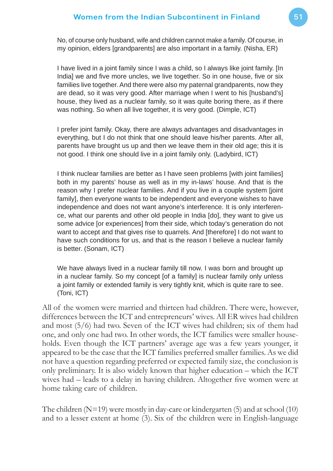No, of course only husband, wife and children cannot make a family. Of course, in my opinion, elders [grandparents] are also important in a family. (Nisha, ER)

I have lived in a joint family since I was a child, so I always like joint family. [In India] we and five more uncles, we live together. So in one house, five or six families live together. And there were also my paternal grandparents, now they are dead, so it was very good. After marriage when I went to his [husband's] house, they lived as a nuclear family, so it was quite boring there, as if there was nothing. So when all live together, it is very good. (Dimple, ICT)

I prefer joint family. Okay, there are always advantages and disadvantages in everything, but I do not think that one should leave his/her parents. After all, parents have brought us up and then we leave them in their old age; this it is not good. I think one should live in a joint family only. (Ladybird, ICT)

I think nuclear families are better as I have seen problems [with joint families] both in my parents' house as well as in my in-laws' house. And that is the reason why I prefer nuclear families. And if you live in a couple system [joint family], then everyone wants to be independent and everyone wishes to have independence and does not want anyone's interference. It is only interference, what our parents and other old people in India [do], they want to give us some advice [or experiences] from their side, which today's generation do not want to accept and that gives rise to quarrels. And [therefore] I do not want to have such conditions for us, and that is the reason I believe a nuclear family is better. (Sonam, ICT)

We have always lived in a nuclear family till now. I was born and brought up in a nuclear family. So my concept [of a family] is nuclear family only unless a joint family or extended family is very tightly knit, which is quite rare to see. (Toni, ICT)

All of the women were married and thirteen had children. There were, however, differences between the ICT and entrepreneurs' wives. All ER wives had children and most (5/6) had two. Seven of the ICT wives had children; six of them had one, and only one had two. In other words, the ICT families were smaller households. Even though the ICT partners' average age was a few years younger, it appeared to be the case that the ICT families preferred smaller families. As we did not have a question regarding preferred or expected family size, the conclusion is only preliminary. It is also widely known that higher education – which the ICT wives had – leads to a delay in having children. Altogether five women were at home taking care of children.

The children  $(N=19)$  were mostly in day-care or kindergarten (5) and at school (10) and to a lesser extent at home (3). Six of the children were in English-language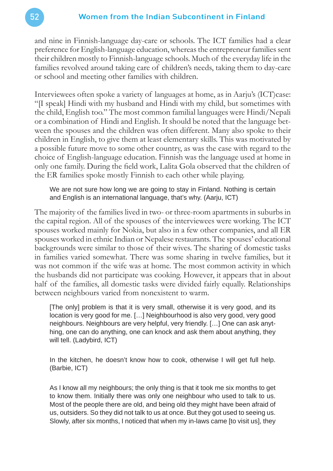and nine in Finnish-language day-care or schools. The ICT families had a clear preference for English-language education, whereas the entrepreneur families sent their children mostly to Finnish-language schools. Much of the everyday life in the families revolved around taking care of children's needs, taking them to day-care or school and meeting other families with children.

Interviewees often spoke a variety of languages at home, as in Aarju's (ICT)case: "[I speak] Hindi with my husband and Hindi with my child, but sometimes with the child, English too." The most common familial languages were Hindi/Nepali or a combination of Hindi and English. It should be noted that the language between the spouses and the children was often different. Many also spoke to their children in English, to give them at least elementary skills. This was motivated by a possible future move to some other country, as was the case with regard to the choice of English-language education. Finnish was the language used at home in only one family. During the field work, Lalita Gola observed that the children of the ER families spoke mostly Finnish to each other while playing.

We are not sure how long we are going to stay in Finland. Nothing is certain and English is an international language, that's why. (Aarju, ICT)

The majority of the families lived in two- or three-room apartments in suburbs in the capital region. All of the spouses of the interviewees were working. The ICT spouses worked mainly for Nokia, but also in a few other companies, and all ER spouses worked in ethnic Indian or Nepalese restaurants. The spouses' educational backgrounds were similar to those of their wives. The sharing of domestic tasks in families varied somewhat. There was some sharing in twelve families, but it was not common if the wife was at home. The most common activity in which the husbands did not participate was cooking. However, it appears that in about half of the families, all domestic tasks were divided fairly equally. Relationships between neighbours varied from nonexistent to warm.

[The only] problem is that it is very small, otherwise it is very good, and its location is very good for me. […] Neighbourhood is also very good, very good neighbours. Neighbours are very helpful, very friendly. […] One can ask anything, one can do anything, one can knock and ask them about anything, they will tell. (Ladybird, ICT)

In the kitchen, he doesn't know how to cook, otherwise I will get full help. (Barbie, ICT)

As I know all my neighbours; the only thing is that it took me six months to get to know them. Initially there was only one neighbour who used to talk to us. Most of the people there are old, and being old they might have been afraid of us, outsiders. So they did not talk to us at once. But they got used to seeing us. Slowly, after six months, I noticed that when my in-laws came [to visit us], they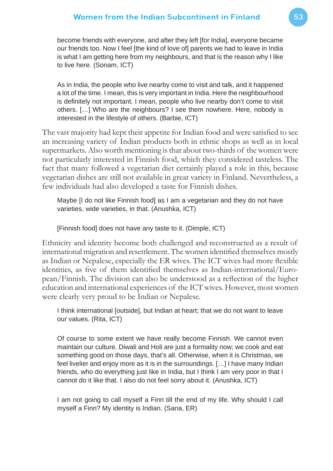become friends with everyone, and after they left [for India], everyone became our friends too. Now I feel [the kind of love of] parents we had to leave in India is what I am getting here from my neighbours, and that is the reason why I like to live here. (Sonam, ICT)

As in India, the people who live nearby come to visit and talk, and it happened a lot of the time. I mean, this is very important in India. Here the neighbourhood is definitely not important. I mean, people who live nearby don't come to visit others. […] Who are the neighbours? I see them nowhere. Here, nobody is interested in the lifestyle of others. (Barbie, ICT)

The vast majority had kept their appetite for Indian food and were satisfied to see an increasing variety of Indian products both in ethnic shops as well as in local supermarkets. Also worth mentioning is that about two-thirds of the women were not particularly interested in Finnish food, which they considered tasteless. The fact that many followed a vegetarian diet certainly played a role in this, because vegetarian dishes are still not available in great variety in Finland. Nevertheless, a few individuals had also developed a taste for Finnish dishes.

Maybe [I do not like Finnish food] as I am a vegetarian and they do not have varieties, wide varieties, in that. (Anushka, ICT)

[Finnish food] does not have any taste to it. (Dimple, ICT)

Ethnicity and identity become both challenged and reconstructed as a result of international migration and resettlement. The women identified themselves mostly as Indian or Nepalese, especially the ER wives. The ICT wives had more flexible identities, as five of them identified themselves as Indian-international/European/Finnish. The division can also be understood as a reflection of the higher education and international experiences of the ICT wives. However, most women were clearly very proud to be Indian or Nepalese.

I think international [outside], but Indian at heart; that we do not want to leave our values. (Rita, ICT)

Of course to some extent we have really become Finnish. We cannot even maintain our culture. Diwali and Holi are just a formality now; we cook and eat something good on those days, that's all. Otherwise, when it is Christmas, we feel livelier and enjoy more as it is in the surroundings. […] I have many Indian friends, who do everything just like in India, but I think I am very poor in that I cannot do it like that. I also do not feel sorry about it. (Anushka, ICT)

I am not going to call myself a Finn till the end of my life. Why should I call myself a Finn? My identity is Indian. (Sana, ER)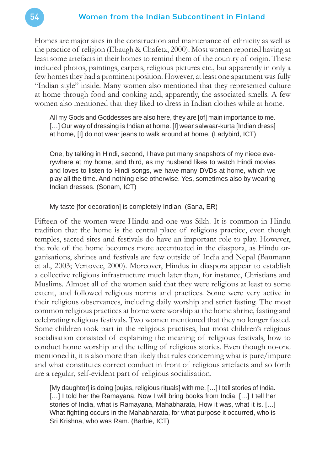Homes are major sites in the construction and maintenance of ethnicity as well as the practice of religion (Ebaugh & Chafetz, 2000). Most women reported having at least some artefacts in their homes to remind them of the country of origin. These included photos, paintings, carpets, religious pictures etc., but apparently in only a few homes they had a prominent position. However, at least one apartment was fully "Indian style" inside. Many women also mentioned that they represented culture at home through food and cooking and, apparently, the associated smells. A few women also mentioned that they liked to dress in Indian clothes while at home.

All my Gods and Goddesses are also here, they are [of] main importance to me. [...] Our way of dressing is Indian at home. [I] wear salwaar-kurta [Indian dress] at home, [I] do not wear jeans to walk around at home. (Ladybird, ICT)

One, by talking in Hindi, second, I have put many snapshots of my niece everywhere at my home, and third, as my husband likes to watch Hindi movies and loves to listen to Hindi songs, we have many DVDs at home, which we play all the time. And nothing else otherwise. Yes, sometimes also by wearing Indian dresses. (Sonam, ICT)

My taste [for decoration] is completely Indian. (Sana, ER)

Fifteen of the women were Hindu and one was Sikh. It is common in Hindu tradition that the home is the central place of religious practice, even though temples, sacred sites and festivals do have an important role to play. However, the role of the home becomes more accentuated in the diaspora, as Hindu organisations, shrines and festivals are few outside of India and Nepal (Baumann et al., 2003; Vertovec, 2000). Moreover, Hindus in diaspora appear to establish a collective religious infrastructure much later than, for instance, Christians and Muslims. Almost all of the women said that they were religious at least to some extent, and followed religious norms and practices. Some were very active in their religious observances, including daily worship and strict fasting. The most common religious practices at home were worship at the home shrine, fasting and celebrating religious festivals. Two women mentioned that they no longer fasted. Some children took part in the religious practises, but most children's religious socialisation consisted of explaining the meaning of religious festivals, how to conduct home worship and the telling of religious stories. Even though no-one mentioned it, it is also more than likely that rules concerning what is pure/impure and what constitutes correct conduct in front of religious artefacts and so forth are a regular, self-evident part of religious socialisation.

[My daughter] is doing [pujas, religious rituals] with me. […] I tell stories of India. [...] I told her the Ramayana. Now I will bring books from India. [...] I tell her stories of India, what is Ramayana, Mahabharata, How it was, what it is. […] What fighting occurs in the Mahabharata, for what purpose it occurred, who is Sri Krishna, who was Ram. (Barbie, ICT)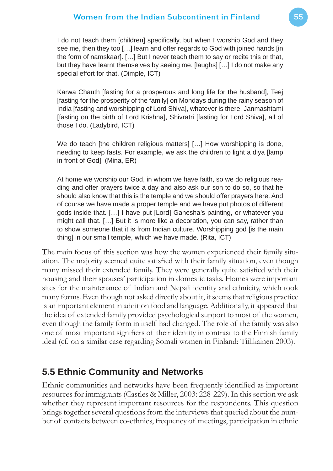I do not teach them [children] specifically, but when I worship God and they see me, then they too […] learn and offer regards to God with joined hands [in the form of namskaar]. […] But I never teach them to say or recite this or that, but they have learnt themselves by seeing me. [laughs] […] I do not make any special effort for that. (Dimple, ICT)

Karwa Chauth [fasting for a prosperous and long life for the husband], Teej [fasting for the prosperity of the family] on Mondays during the rainy season of India [fasting and worshipping of Lord Shiva], whatever is there, Janmashtami [fasting on the birth of Lord Krishna], Shivratri [fasting for Lord Shiva], all of those I do. (Ladybird, ICT)

We do teach [the children religious matters] [...] How worshipping is done, needing to keep fasts. For example, we ask the children to light a diya [lamp in front of God]. (Mina, ER)

At home we worship our God, in whom we have faith, so we do religious reading and offer prayers twice a day and also ask our son to do so, so that he should also know that this is the temple and we should offer prayers here. And of course we have made a proper temple and we have put photos of different gods inside that. […] I have put [Lord] Ganesha's painting, or whatever you might call that. […] But it is more like a decoration, you can say, rather than to show someone that it is from Indian culture. Worshipping god [is the main thing] in our small temple, which we have made. (Rita, ICT)

The main focus of this section was how the women experienced their family situation. The majority seemed quite satisfied with their family situation, even though many missed their extended family. They were generally quite satisfied with their housing and their spouses' participation in domestic tasks. Homes were important sites for the maintenance of Indian and Nepali identity and ethnicity, which took many forms. Even though not asked directly about it, it seems that religious practice is an important element in addition food and language. Additionally, it appeared that the idea of extended family provided psychological support to most of the women, even though the family form in itself had changed. The role of the family was also one of most important signifiers of their identity in contrast to the Finnish family ideal (cf. on a similar case regarding Somali women in Finland: Tiilikainen 2003).

### **5.5 Ethnic Community and Networks**

Ethnic communities and networks have been frequently identified as important resources for immigrants (Castles & Miller, 2003: 228-229). In this section we ask whether they represent important resources for the respondents. This question brings together several questions from the interviews that queried about the number of contacts between co-ethnics, frequency of meetings, participation in ethnic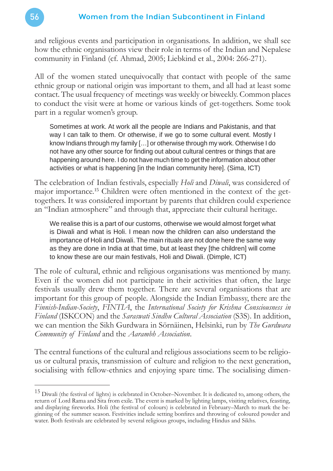and religious events and participation in organisations. In addition, we shall see how the ethnic organisations view their role in terms of the Indian and Nepalese community in Finland (cf. Ahmad, 2005; Liebkind et al., 2004: 266-271).

All of the women stated unequivocally that contact with people of the same ethnic group or national origin was important to them, and all had at least some contact. The usual frequency of meetings was weekly or biweekly. Common places to conduct the visit were at home or various kinds of get-togethers. Some took part in a regular women's group.

Sometimes at work. At work all the people are Indians and Pakistanis, and that way I can talk to them. Or otherwise, if we go to some cultural event. Mostly I know Indians through my family […] or otherwise through my work. Otherwise I do not have any other source for finding out about cultural centres or things that are happening around here. I do not have much time to get the information about other activities or what is happening [in the Indian community here]. (Sima, ICT)

The celebration of Indian festivals, especially *Holi* and *Diwali*, was considered of major importance.15 Children were often mentioned in the context of the gettogethers. It was considered important by parents that children could experience an "Indian atmosphere" and through that, appreciate their cultural heritage.

We realise this is a part of our customs, otherwise we would almost forget what is Diwali and what is Holi. I mean now the children can also understand the importance of Holi and Diwali. The main rituals are not done here the same way as they are done in India at that time, but at least they [the children] will come to know these are our main festivals, Holi and Diwali. (Dimple, ICT)

The role of cultural, ethnic and religious organisations was mentioned by many. Even if the women did not participate in their activities that often, the large festivals usually drew them together. There are several organisations that are important for this group of people. Alongside the Indian Embassy, there are the *Finnish-Indian-Society*, *FINTIA*, the *International Society for Krishna Consciousness in Finland* (ISKCON) and the *Saraswati Sindhu Cultural Association* (S3S). In addition, we can mention the Sikh Gurdwara in Sörnäinen, Helsinki, run by *The Gurdwara Community of Finland* and the *Aarambh Association*.

The central functions of the cultural and religious associations seem to be religious or cultural praxis, transmission of culture and religion to the next generation, socialising with fellow-ethnics and enjoying spare time. The socialising dimen-

<sup>&</sup>lt;sup>15</sup> Diwali (the festival of lights) is celebrated in October–November. It is dedicated to, among others, the return of Lord Rama and Sita from exile. The event is marked by lighting lamps, visiting relatives, feasting, and displaying fireworks. Holi (the festival of colours) is celebrated in February–March to mark the beginning of the summer season. Festivities include setting bonfires and throwing of coloured powder and water. Both festivals are celebrated by several religious groups, including Hindus and Sikhs.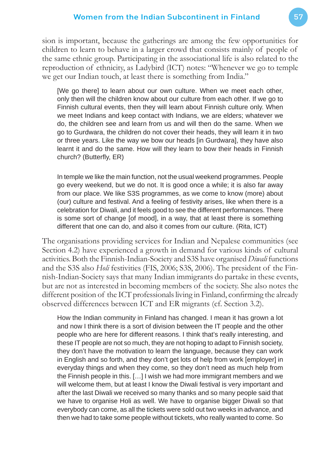sion is important, because the gatherings are among the few opportunities for children to learn to behave in a larger crowd that consists mainly of people of the same ethnic group. Participating in the associational life is also related to the reproduction of ethnicity, as Ladybird (ICT) notes: "Whenever we go to temple we get our Indian touch, at least there is something from India."

[We go there] to learn about our own culture. When we meet each other, only then will the children know about our culture from each other. If we go to Finnish cultural events, then they will learn about Finnish culture only. When we meet Indians and keep contact with Indians, we are elders; whatever we do, the children see and learn from us and will then do the same. When we go to Gurdwara, the children do not cover their heads, they will learn it in two or three years. Like the way we bow our heads [in Gurdwara], they have also learnt it and do the same. How will they learn to bow their heads in Finnish church? (Butterfly, ER)

In temple we like the main function, not the usual weekend programmes. People go every weekend, but we do not. It is good once a while; it is also far away from our place. We like S3S programmes, as we come to know (more) about (our) culture and festival. And a feeling of festivity arises, like when there is a celebration for Diwali, and it feels good to see the different performances. There is some sort of change [of mood], in a way, that at least there is something different that one can do, and also it comes from our culture. (Rita, ICT)

The organisations providing services for Indian and Nepalese communities (see Section 4.2) have experienced a growth in demand for various kinds of cultural activities. Both the Finnish-Indian-Society and S3S have organised *Diwali* functions and the S3S also *Holi* festivities (FIS, 2006; S3S, 2006). The president of the Finnish-Indian-Society says that many Indian immigrants do partake in these events, but are not as interested in becoming members of the society. She also notes the different position of the ICT professionals living in Finland, confirming the already observed differences between ICT and ER migrants (cf. Section 3.2).

How the Indian community in Finland has changed. I mean it has grown a lot and now I think there is a sort of division between the IT people and the other people who are here for different reasons. I think that's really interesting, and these IT people are not so much, they are not hoping to adapt to Finnish society, they don't have the motivation to learn the language, because they can work in English and so forth, and they don't get lots of help from work [employer] in everyday things and when they come, so they don't need as much help from the Finnish people in this. […] I wish we had more immigrant members and we will welcome them, but at least I know the Diwali festival is very important and after the last Diwali we received so many thanks and so many people said that we have to organise Holi as well. We have to organise bigger Diwali so that everybody can come, as all the tickets were sold out two weeks in advance, and then we had to take some people without tickets, who really wanted to come. So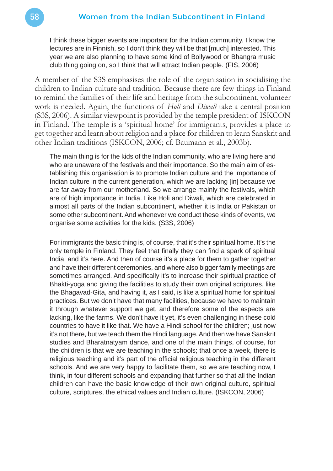I think these bigger events are important for the Indian community. I know the lectures are in Finnish, so I don't think they will be that [much] interested. This year we are also planning to have some kind of Bollywood or Bhangra music club thing going on, so I think that will attract Indian people. (FIS, 2006)

A member of the S3S emphasises the role of the organisation in socialising the children to Indian culture and tradition. Because there are few things in Finland to remind the families of their life and heritage from the subcontinent, volunteer work is needed. Again, the functions of *Holi* and *Diwali* take a central position (S3S, 2006). A similar viewpoint is provided by the temple president of ISKCON in Finland. The temple is a 'spiritual home' for immigrants, provides a place to get together and learn about religion and a place for children to learn Sanskrit and other Indian traditions (ISKCON, 2006; cf. Baumann et al., 2003b).

The main thing is for the kids of the Indian community, who are living here and who are unaware of the festivals and their importance. So the main aim of establishing this organisation is to promote Indian culture and the importance of Indian culture in the current generation, which we are lacking [in] because we are far away from our motherland. So we arrange mainly the festivals, which are of high importance in India. Like Holi and Diwali, which are celebrated in almost all parts of the Indian subcontinent, whether it is India or Pakistan or some other subcontinent. And whenever we conduct these kinds of events, we organise some activities for the kids. (S3S, 2006)

For immigrants the basic thing is, of course, that it's their spiritual home. It's the only temple in Finland. They feel that finally they can find a spark of spiritual India, and it's here. And then of course it's a place for them to gather together and have their different ceremonies, and where also bigger family meetings are sometimes arranged. And specifically it's to increase their spiritual practice of Bhakti-yoga and giving the facilities to study their own original scriptures, like the Bhagavad-Gita, and having it, as I said, is like a spiritual home for spiritual practices. But we don't have that many facilities, because we have to maintain it through whatever support we get, and therefore some of the aspects are lacking, like the farms. We don't have it yet, it's even challenging in these cold countries to have it like that. We have a Hindi school for the children; just now it's not there, but we teach them the Hindi language. And then we have Sanskrit studies and Bharatnatyam dance, and one of the main things, of course, for the children is that we are teaching in the schools; that once a week, there is religious teaching and it's part of the official religious teaching in the different schools. And we are very happy to facilitate them, so we are teaching now, I think, in four different schools and expanding that further so that all the Indian children can have the basic knowledge of their own original culture, spiritual culture, scriptures, the ethical values and Indian culture. (ISKCON, 2006)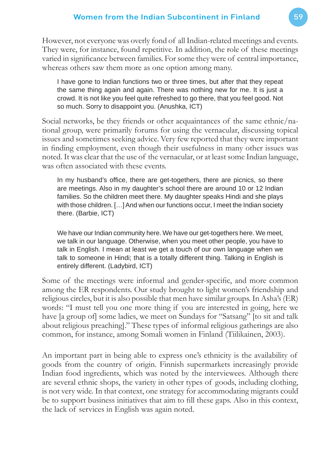However, not everyone was overly fond of all Indian-related meetings and events. They were, for instance, found repetitive. In addition, the role of these meetings varied in significance between families. For some they were of central importance, whereas others saw them more as one option among many.

I have gone to Indian functions two or three times, but after that they repeat the same thing again and again. There was nothing new for me. It is just a crowd. It is not like you feel quite refreshed to go there, that you feel good. Not so much. Sorry to disappoint you. (Anushka, ICT)

Social networks, be they friends or other acquaintances of the same ethnic/national group, were primarily forums for using the vernacular, discussing topical issues and sometimes seeking advice. Very few reported that they were important in finding employment, even though their usefulness in many other issues was noted. It was clear that the use of the vernacular, or at least some Indian language, was often associated with these events.

In my husband's office, there are get-togethers, there are picnics, so there are meetings. Also in my daughter's school there are around 10 or 12 Indian families. So the children meet there. My daughter speaks Hindi and she plays with those children. [...] And when our functions occur, I meet the Indian society there. (Barbie, ICT)

We have our Indian community here. We have our get-togethers here. We meet, we talk in our language. Otherwise, when you meet other people, you have to talk in English. I mean at least we get a touch of our own language when we talk to someone in Hindi; that is a totally different thing. Talking in English is entirely different. (Ladybird, ICT)

Some of the meetings were informal and gender-specific, and more common among the ER respondents. Our study brought to light women's friendship and religious circles, but it is also possible that men have similar groups. In Asha's (ER) words: "I must tell you one more thing if you are interested in going, here we have [a group of] some ladies, we meet on Sundays for "Satsang" [to sit and talk about religious preaching]." These types of informal religious gatherings are also common, for instance, among Somali women in Finland (Tiilikainen, 2003).

An important part in being able to express one's ethnicity is the availability of goods from the country of origin. Finnish supermarkets increasingly provide Indian food ingredients, which was noted by the interviewees. Although there are several ethnic shops, the variety in other types of goods, including clothing, is not very wide. In that context, one strategy for accommodating migrants could be to support business initiatives that aim to fill these gaps. Also in this context, the lack of services in English was again noted.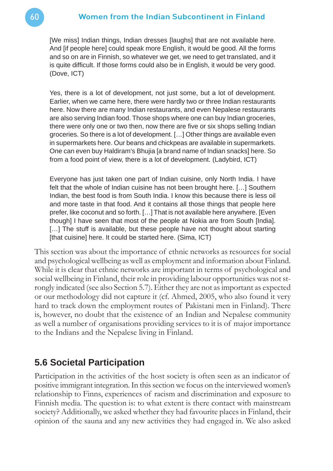[We miss] Indian things, Indian dresses [laughs] that are not available here. And [if people here] could speak more English, it would be good. All the forms and so on are in Finnish, so whatever we get, we need to get translated, and it is quite difficult. If those forms could also be in English, it would be very good. (Dove, ICT)

Yes, there is a lot of development, not just some, but a lot of development. Earlier, when we came here, there were hardly two or three Indian restaurants here. Now there are many Indian restaurants, and even Nepalese restaurants are also serving Indian food. Those shops where one can buy Indian groceries, there were only one or two then, now there are five or six shops selling Indian groceries. So there is a lot of development. […] Other things are available even in supermarkets here. Our beans and chickpeas are available in supermarkets. One can even buy Haldiram's Bhujia [a brand name of Indian snacks] here. So from a food point of view, there is a lot of development. (Ladybird, ICT)

Everyone has just taken one part of Indian cuisine, only North India. I have felt that the whole of Indian cuisine has not been brought here. […] Southern Indian, the best food is from South India. I know this because there is less oil and more taste in that food. And it contains all those things that people here prefer, like coconut and so forth. […] That is not available here anywhere. [Even though] I have seen that most of the people at Nokia are from South [India]. [...] The stuff is available, but these people have not thought about starting [that cuisine] here. It could be started here. (Sima, ICT)

This section was about the importance of ethnic networks as resources for social and psychological wellbeing as well as employment and information about Finland. While it is clear that ethnic networks are important in terms of psychological and social wellbeing in Finland, their role in providing labour opportunities was not strongly indicated (see also Section 5.7). Either they are not as important as expected or our methodology did not capture it (cf. Ahmed, 2005, who also found it very hard to track down the employment routes of Pakistani men in Finland). There is, however, no doubt that the existence of an Indian and Nepalese community as well a number of organisations providing services to it is of major importance to the Indians and the Nepalese living in Finland.

### **5.6 Societal Participation**

Participation in the activities of the host society is often seen as an indicator of positive immigrant integration. In this section we focus on the interviewed women's relationship to Finns, experiences of racism and discrimination and exposure to Finnish media. The question is: to what extent is there contact with mainstream society? Additionally, we asked whether they had favourite places in Finland, their opinion of the sauna and any new activities they had engaged in. We also asked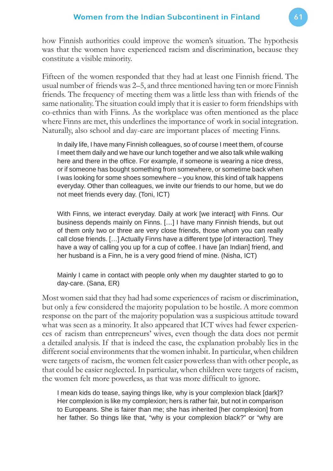how Finnish authorities could improve the women's situation. The hypothesis was that the women have experienced racism and discrimination, because they constitute a visible minority.

Fifteen of the women responded that they had at least one Finnish friend. The usual number of friends was 2–5, and three mentioned having ten or more Finnish friends. The frequency of meeting them was a little less than with friends of the same nationality. The situation could imply that it is easier to form friendships with co-ethnics than with Finns. As the workplace was often mentioned as the place where Finns are met, this underlines the importance of work in social integration. Naturally, also school and day-care are important places of meeting Finns.

In daily life, I have many Finnish colleagues, so of course I meet them, of course I meet them daily and we have our lunch together and we also talk while walking here and there in the office. For example, if someone is wearing a nice dress, or if someone has bought something from somewhere, or sometime back when I was looking for some shoes somewhere – you know, this kind of talk happens everyday. Other than colleagues, we invite our friends to our home, but we do not meet friends every day. (Toni, ICT)

With Finns, we interact everyday. Daily at work [we interact] with Finns. Our business depends mainly on Finns. […] I have many Finnish friends, but out of them only two or three are very close friends, those whom you can really call close friends. […] Actually Finns have a different type [of interaction]. They have a way of calling you up for a cup of coffee. I have [an Indian] friend, and her husband is a Finn, he is a very good friend of mine. (Nisha, ICT)

Mainly I came in contact with people only when my daughter started to go to day-care. (Sana, ER)

Most women said that they had had some experiences of racism or discrimination, but only a few considered the majority population to be hostile. A more common response on the part of the majority population was a suspicious attitude toward what was seen as a minority. It also appeared that ICT wives had fewer experiences of racism than entrepreneurs' wives, even though the data does not permit a detailed analysis. If that is indeed the case, the explanation probably lies in the different social environments that the women inhabit. In particular, when children were targets of racism, the women felt easier powerless than with other people, as that could be easier neglected. In particular, when children were targets of racism, the women felt more powerless, as that was more difficult to ignore.

I mean kids do tease, saying things like, why is your complexion black [dark]? Her complexion is like my complexion; hers is rather fair, but not in comparison to Europeans. She is fairer than me; she has inherited [her complexion] from her father. So things like that, "why is your complexion black?" or "why are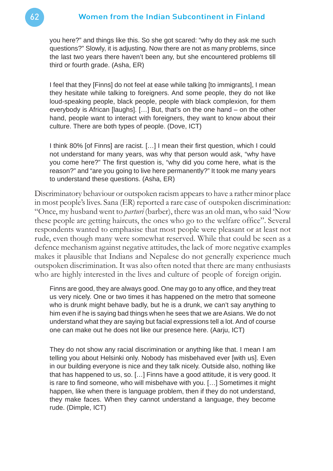you here?" and things like this. So she got scared: "why do they ask me such questions?" Slowly, it is adjusting. Now there are not as many problems, since the last two years there haven't been any, but she encountered problems till third or fourth grade. (Asha, ER)

I feel that they [Finns] do not feel at ease while talking [to immigrants], I mean they hesitate while talking to foreigners. And some people, they do not like loud-speaking people, black people, people with black complexion, for them everybody is African [laughs]. […] But, that's on the one hand – on the other hand, people want to interact with foreigners, they want to know about their culture. There are both types of people. (Dove, ICT)

I think 80% [of Finns] are racist. [...] I mean their first question, which I could not understand for many years, was why that person would ask, "why have you come here?" The first question is, "why did you come here, what is the reason?" and "are you going to live here permanently?" It took me many years to understand these questions. (Asha, ER)

Discriminatory behaviour or outspoken racism appears to have a rather minor place in most people's lives. Sana (ER) reported a rare case of outspoken discrimination: "Once, my husband went to *parturi* (barber), there was an old man, who said 'Now these people are getting haircuts, the ones who go to the welfare office". Several respondents wanted to emphasise that most people were pleasant or at least not rude, even though many were somewhat reserved. While that could be seen as a defence mechanism against negative attitudes, the lack of more negative examples makes it plausible that Indians and Nepalese do not generally experience much outspoken discrimination. It was also often noted that there are many enthusiasts who are highly interested in the lives and culture of people of foreign origin.

Finns are good, they are always good. One may go to any office, and they treat us very nicely. One or two times it has happened on the metro that someone who is drunk might behave badly, but he is a drunk, we can't say anything to him even if he is saying bad things when he sees that we are Asians. We do not understand what they are saying but facial expressions tell a lot. And of course one can make out he does not like our presence here. (Aarju, ICT)

They do not show any racial discrimination or anything like that. I mean I am telling you about Helsinki only. Nobody has misbehaved ever [with us]. Even in our building everyone is nice and they talk nicely. Outside also, nothing like that has happened to us, so. […] Finns have a good attitude, it is very good. It is rare to find someone, who will misbehave with you. [...] Sometimes it might happen, like when there is language problem, then if they do not understand, they make faces. When they cannot understand a language, they become rude. (Dimple, ICT)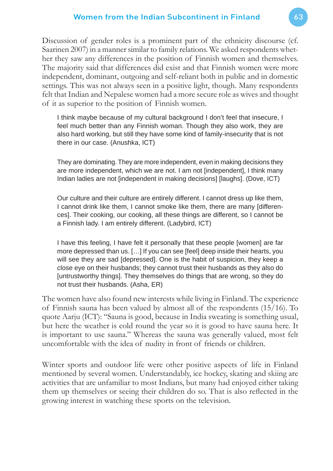#### Women from the Indian Subcontinent in Finland 63

Discussion of gender roles is a prominent part of the ethnicity discourse (cf. Saarinen 2007) in a manner similar to family relations. We asked respondents whether they saw any differences in the position of Finnish women and themselves. The majority said that differences did exist and that Finnish women were more independent, dominant, outgoing and self-reliant both in public and in domestic settings. This was not always seen in a positive light, though. Many respondents felt that Indian and Nepalese women had a more secure role as wives and thought of it as superior to the position of Finnish women.

I think maybe because of my cultural background I don't feel that insecure, I feel much better than any Finnish woman. Though they also work, they are also hard working, but still they have some kind of family-insecurity that is not there in our case. (Anushka, ICT)

They are dominating. They are more independent, even in making decisions they are more independent, which we are not. I am not [independent], I think many Indian ladies are not [independent in making decisions] [laughs]. (Dove, ICT)

Our culture and their culture are entirely different. I cannot dress up like them, I cannot drink like them, I cannot smoke like them, there are many [differences]. Their cooking, our cooking, all these things are different, so I cannot be a Finnish lady. I am entirely different. (Ladybird, ICT)

I have this feeling, I have felt it personally that these people [women] are far more depressed than us. […] If you can see [feel] deep inside their hearts, you will see they are sad [depressed]. One is the habit of suspicion, they keep a close eye on their husbands; they cannot trust their husbands as they also do [untrustworthy things]. They themselves do things that are wrong, so they do not trust their husbands. (Asha, ER)

The women have also found new interests while living in Finland. The experience of Finnish sauna has been valued by almost all of the respondents (15/16). To quote Aarju (ICT): "Sauna is good, because in India sweating is something usual, but here the weather is cold round the year so it is good to have sauna here. It is important to use sauna." Whereas the sauna was generally valued, most felt uncomfortable with the idea of nudity in front of friends or children.

Winter sports and outdoor life were other positive aspects of life in Finland mentioned by several women. Understandably, ice hockey, skating and skiing are activities that are unfamiliar to most Indians, but many had enjoyed either taking them up themselves or seeing their children do so. That is also reflected in the growing interest in watching these sports on the television.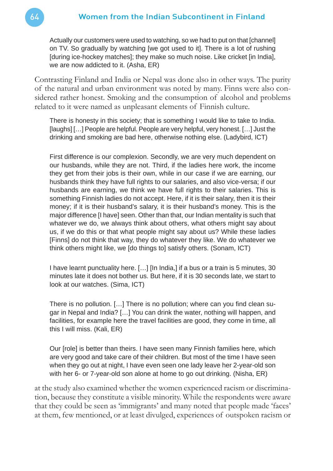Actually our customers were used to watching, so we had to put on that [channel] on TV. So gradually by watching [we got used to it]. There is a lot of rushing [during ice-hockey matches]; they make so much noise. Like cricket [in India], we are now addicted to it. (Asha, ER)

Contrasting Finland and India or Nepal was done also in other ways. The purity of the natural and urban environment was noted by many. Finns were also considered rather honest. Smoking and the consumption of alcohol and problems related to it were named as unpleasant elements of Finnish culture.

There is honesty in this society; that is something I would like to take to India. [laughs] [...] People are helpful. People are very helpful, very honest. [...] Just the drinking and smoking are bad here, otherwise nothing else. (Ladybird, ICT)

First difference is our complexion. Secondly, we are very much dependent on our husbands, while they are not. Third, if the ladies here work, the income they get from their jobs is their own, while in our case if we are earning, our husbands think they have full rights to our salaries, and also vice-versa; if our husbands are earning, we think we have full rights to their salaries. This is something Finnish ladies do not accept. Here, if it is their salary, then it is their money; if it is their husband's salary, it is their husband's money. This is the major difference [I have] seen. Other than that, our Indian mentality is such that whatever we do, we always think about others, what others might say about us, if we do this or that what people might say about us? While these ladies [Finns] do not think that way, they do whatever they like. We do whatever we think others might like, we [do things to] satisfy others. (Sonam, ICT)

I have learnt punctuality here. […] [In India,] if a bus or a train is 5 minutes, 30 minutes late it does not bother us. But here, if it is 30 seconds late, we start to look at our watches. (Sima, ICT)

There is no pollution. [...] There is no pollution; where can you find clean sugar in Nepal and India? […] You can drink the water, nothing will happen, and facilities, for example here the travel facilities are good, they come in time, all this I will miss. (Kali, ER)

Our [role] is better than theirs. I have seen many Finnish families here, which are very good and take care of their children. But most of the time I have seen when they go out at night, I have even seen one lady leave her 2-year-old son with her 6- or 7-year-old son alone at home to go out drinking. (Nisha, ER)

at the study also examined whether the women experienced racism or discrimination, because they constitute a visible minority. While the respondents were aware that they could be seen as 'immigrants' and many noted that people made 'faces' at them, few mentioned, or at least divulged, experiences of outspoken racism or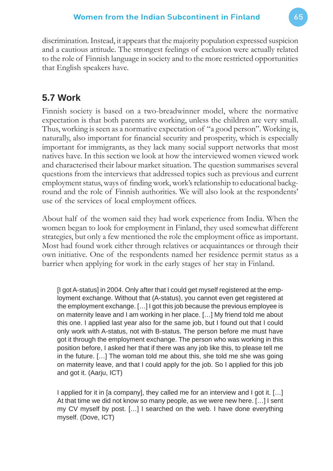discrimination. Instead, it appears that the majority population expressed suspicion and a cautious attitude. The strongest feelings of exclusion were actually related to the role of Finnish language in society and to the more restricted opportunities that English speakers have.

## **5.7 Work**

Finnish society is based on a two-breadwinner model, where the normative expectation is that both parents are working, unless the children are very small. Thus, working is seen as a normative expectation of "a good person". Working is, naturally, also important for financial security and prosperity, which is especially important for immigrants, as they lack many social support networks that most natives have. In this section we look at how the interviewed women viewed work and characterised their labour market situation. The question summarises several questions from the interviews that addressed topics such as previous and current employment status, ways of finding work, work's relationship to educational background and the role of Finnish authorities. We will also look at the respondents' use of the services of local employment offices.

About half of the women said they had work experience from India. When the women began to look for employment in Finland, they used somewhat different strategies, but only a few mentioned the role the employment office as important. Most had found work either through relatives or acquaintances or through their own initiative. One of the respondents named her residence permit status as a barrier when applying for work in the early stages of her stay in Finland.

[I got A-status] in 2004. Only after that I could get myself registered at the employment exchange. Without that (A-status), you cannot even get registered at the employment exchange. […] I got this job because the previous employee is on maternity leave and I am working in her place. […] My friend told me about this one. I applied last year also for the same job, but I found out that I could only work with A-status, not with B-status. The person before me must have got it through the employment exchange. The person who was working in this position before, I asked her that if there was any job like this, to please tell me in the future. […] The woman told me about this, she told me she was going on maternity leave, and that I could apply for the job. So I applied for this job and got it. (Aarju, ICT)

I applied for it in [a company], they called me for an interview and I got it. […] At that time we did not know so many people, as we were new here. […] I sent my CV myself by post. […] I searched on the web. I have done everything myself. (Dove, ICT)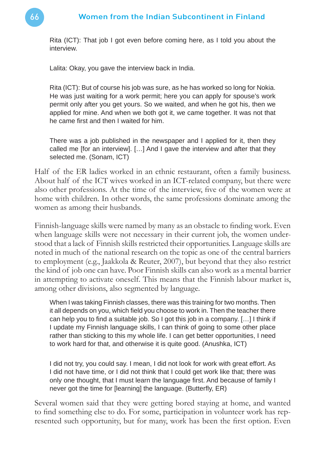Rita (ICT): That job I got even before coming here, as I told you about the interview.

Lalita: Okay, you gave the interview back in India.

Rita (ICT): But of course his job was sure, as he has worked so long for Nokia. He was just waiting for a work permit; here you can apply for spouse's work permit only after you get yours. So we waited, and when he got his, then we applied for mine. And when we both got it, we came together. It was not that he came first and then I waited for him.

There was a job published in the newspaper and I applied for it, then they called me [for an interview]. […] And I gave the interview and after that they selected me. (Sonam, ICT)

Half of the ER ladies worked in an ethnic restaurant, often a family business. About half of the ICT wives worked in an ICT-related company, but there were also other professions. At the time of the interview, five of the women were at home with children. In other words, the same professions dominate among the women as among their husbands.

Finnish-language skills were named by many as an obstacle to finding work. Even when language skills were not necessary in their current job, the women understood that a lack of Finnish skills restricted their opportunities. Language skills are noted in much of the national research on the topic as one of the central barriers to employment (e.g., Jaakkola & Reuter, 2007), but beyond that they also restrict the kind of job one can have. Poor Finnish skills can also work as a mental barrier in attempting to activate oneself. This means that the Finnish labour market is, among other divisions, also segmented by language.

When I was taking Finnish classes, there was this training for two months. Then it all depends on you, which field you choose to work in. Then the teacher there can help you to find a suitable job. So I got this job in a company.  $[...]$  I think if I update my Finnish language skills, I can think of going to some other place rather than sticking to this my whole life. I can get better opportunities, I need to work hard for that, and otherwise it is quite good. (Anushka, ICT)

I did not try, you could say. I mean, I did not look for work with great effort. As I did not have time, or I did not think that I could get work like that; there was only one thought, that I must learn the language first. And because of family I never got the time for [learning] the language. (Butterfly, ER)

Several women said that they were getting bored staying at home, and wanted to find something else to do. For some, participation in volunteer work has represented such opportunity, but for many, work has been the first option. Even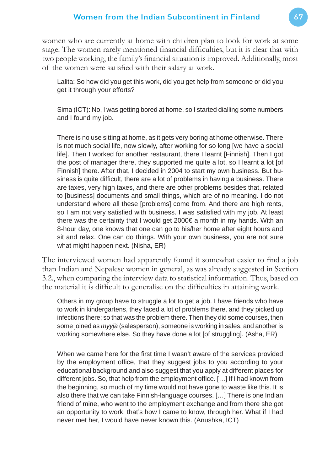women who are currently at home with children plan to look for work at some stage. The women rarely mentioned financial difficulties, but it is clear that with two people working, the family's financial situation is improved. Additionally, most of the women were satisfied with their salary at work.

Lalita: So how did you get this work, did you get help from someone or did you get it through your efforts?

Sima (ICT): No, I was getting bored at home, so I started dialling some numbers and I found my job.

There is no use sitting at home, as it gets very boring at home otherwise. There is not much social life, now slowly, after working for so long [we have a social life]. Then I worked for another restaurant, there I learnt [Finnish]. Then I got the post of manager there, they supported me quite a lot, so I learnt a lot [of Finnish] there. After that, I decided in 2004 to start my own business. But business is quite difficult, there are a lot of problems in having a business. There are taxes, very high taxes, and there are other problems besides that, related to [business] documents and small things, which are of no meaning. I do not understand where all these [problems] come from. And there are high rents, so I am not very satisfied with business. I was satisfied with my job. At least there was the certainty that I would get 2000€ a month in my hands. With an 8-hour day, one knows that one can go to his/her home after eight hours and sit and relax. One can do things. With your own business, you are not sure what might happen next. (Nisha, ER)

The interviewed women had apparently found it somewhat easier to find a job than Indian and Nepalese women in general, as was already suggested in Section 3.2., when comparing the interview data to statistical information. Thus, based on the material it is difficult to generalise on the difficulties in attaining work.

Others in my group have to struggle a lot to get a job. I have friends who have to work in kindergartens, they faced a lot of problems there, and they picked up infections there; so that was the problem there. Then they did some courses, then some joined as *myyjä* (salesperson), someone is working in sales, and another is working somewhere else. So they have done a lot [of struggling]. (Asha, ER)

When we came here for the first time I wasn't aware of the services provided by the employment office, that they suggest jobs to you according to your educational background and also suggest that you apply at different places for different jobs. So, that help from the employment office. [...] If I had known from the beginning, so much of my time would not have gone to waste like this. It is also there that we can take Finnish-language courses. […] There is one Indian friend of mine, who went to the employment exchange and from there she got an opportunity to work, that's how I came to know, through her. What if I had never met her, I would have never known this. (Anushka, ICT)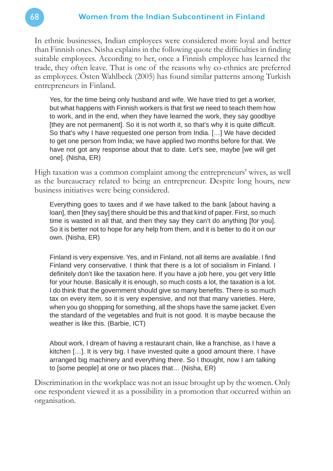In ethnic businesses, Indian employees were considered more loyal and better than Finnish ones. Nisha explains in the following quote the difficulties in finding suitable employees. According to her, once a Finnish employee has learned the trade, they often leave. That is one of the reasons why co-ethnics are preferred as employees. Östen Wahlbeck (2005) has found similar patterns among Turkish entrepreneurs in Finland.

Yes, for the time being only husband and wife. We have tried to get a worker, but what happens with Finnish workers is that first we need to teach them how to work, and in the end, when they have learned the work, they say goodbye [they are not permanent]. So it is not worth it, so that's why it is quite difficult. So that's why I have requested one person from India. […] We have decided to get one person from India; we have applied two months before for that. We have not got any response about that to date. Let's see, maybe [we will get one]. (Nisha, ER)

High taxation was a common complaint among the entrepreneurs' wives, as well as the bureaucracy related to being an entrepreneur. Despite long hours, new business initiatives were being considered.

Everything goes to taxes and if we have talked to the bank [about having a loan], then [they say] there should be this and that kind of paper. First, so much time is wasted in all that, and then they say they can't do anything [for you]. So it is better not to hope for any help from them, and it is better to do it on our own. (Nisha, ER)

Finland is very expensive. Yes, and in Finland, not all items are available. I find Finland very conservative. I think that there is a lot of socialism in Finland. I definitely don't like the taxation here. If you have a job here, you get very little for your house. Basically it is enough, so much costs a lot, the taxation is a lot. I do think that the government should give so many benefits. There is so much tax on every item, so it is very expensive, and not that many varieties. Here, when you go shopping for something, all the shops have the same jacket. Even the standard of the vegetables and fruit is not good. It is maybe because the weather is like this. (Barbie, ICT)

About work, I dream of having a restaurant chain, like a franchise, as I have a kitchen […]. It is very big. I have invested quite a good amount there. I have arranged big machinery and everything there. So I thought, now I am talking to [some people] at one or two places that… (Nisha, ER)

Discrimination in the workplace was not an issue brought up by the women. Only one respondent viewed it as a possibility in a promotion that occurred within an organisation.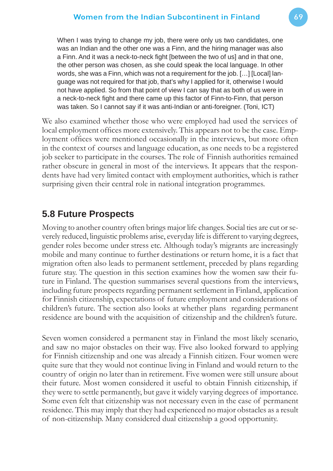When I was trying to change my job, there were only us two candidates, one was an Indian and the other one was a Finn, and the hiring manager was also a Finn. And it was a neck-to-neck fight [between the two of us] and in that one, the other person was chosen, as she could speak the local language. In other words, she was a Finn, which was not a requirement for the job. […] [Local] language was not required for that job, that's why I applied for it, otherwise I would not have applied. So from that point of view I can say that as both of us were in a neck-to-neck fight and there came up this factor of Finn-to-Finn, that person was taken. So I cannot say if it was anti-Indian or anti-foreigner. (Toni, ICT)

We also examined whether those who were employed had used the services of local employment offices more extensively. This appears not to be the case. Employment offices were mentioned occasionally in the interviews, but more often in the context of courses and language education, as one needs to be a registered job seeker to participate in the courses. The role of Finnish authorities remained rather obscure in general in most of the interviews. It appears that the respondents have had very limited contact with employment authorities, which is rather surprising given their central role in national integration programmes.

## **5.8 Future Prospects**

Moving to another country often brings major life changes. Social ties are cut or severely reduced, linguistic problems arise, everyday life is different to varying degrees, gender roles become under stress etc. Although today's migrants are increasingly mobile and many continue to further destinations or return home, it is a fact that migration often also leads to permanent settlement, preceded by plans regarding future stay. The question in this section examines how the women saw their future in Finland. The question summarises several questions from the interviews, including future prospects regarding permanent settlement in Finland, application for Finnish citizenship, expectations of future employment and considerations of children's future. The section also looks at whether plans regarding permanent residence are bound with the acquisition of citizenship and the children's future.

Seven women considered a permanent stay in Finland the most likely scenario, and saw no major obstacles on their way. Five also looked forward to applying for Finnish citizenship and one was already a Finnish citizen. Four women were quite sure that they would not continue living in Finland and would return to the country of origin no later than in retirement. Five women were still unsure about their future. Most women considered it useful to obtain Finnish citizenship, if they were to settle permanently, but gave it widely varying degrees of importance. Some even felt that citizenship was not necessary even in the case of permanent residence. This may imply that they had experienced no major obstacles as a result of non-citizenship. Many considered dual citizenship a good opportunity.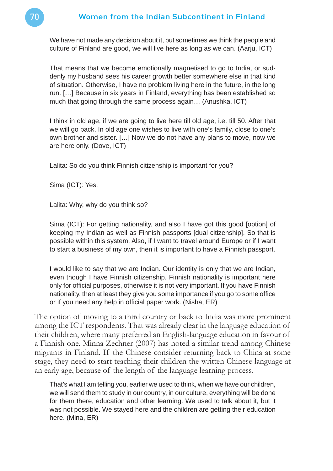#### 70 Women from the Indian Subcontinent in Finland

We have not made any decision about it, but sometimes we think the people and culture of Finland are good, we will live here as long as we can. (Aarju, ICT)

That means that we become emotionally magnetised to go to India, or suddenly my husband sees his career growth better somewhere else in that kind of situation. Otherwise, I have no problem living here in the future, in the long run. […] Because in six years in Finland, everything has been established so much that going through the same process again… (Anushka, ICT)

I think in old age, if we are going to live here till old age, i.e. till 50. After that we will go back. In old age one wishes to live with one's family, close to one's own brother and sister. […] Now we do not have any plans to move, now we are here only. (Dove, ICT)

Lalita: So do you think Finnish citizenship is important for you?

Sima (ICT): Yes.

Lalita: Why, why do you think so?

Sima (ICT): For getting nationality, and also I have got this good [option] of keeping my Indian as well as Finnish passports [dual citizenship]. So that is possible within this system. Also, if I want to travel around Europe or if I want to start a business of my own, then it is important to have a Finnish passport.

I would like to say that we are Indian. Our identity is only that we are Indian, even though I have Finnish citizenship. Finnish nationality is important here only for official purposes, otherwise it is not very important. If you have Finnish nationality, then at least they give you some importance if you go to some office or if you need any help in official paper work. (Nisha, ER)

The option of moving to a third country or back to India was more prominent among the ICT respondents. That was already clear in the language education of their children, where many preferred an English-language education in favour of a Finnish one. Minna Zechner (2007) has noted a similar trend among Chinese migrants in Finland. If the Chinese consider returning back to China at some stage, they need to start teaching their children the written Chinese language at an early age, because of the length of the language learning process.

That's what I am telling you, earlier we used to think, when we have our children, we will send them to study in our country, in our culture, everything will be done for them there, education and other learning. We used to talk about it, but it was not possible. We stayed here and the children are getting their education here. (Mina, ER)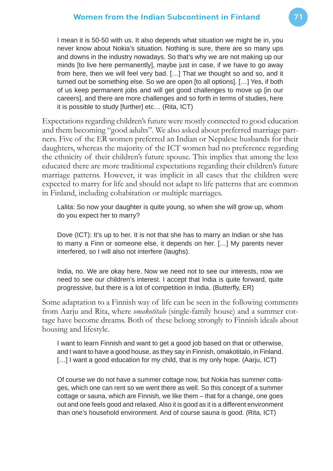I mean it is 50-50 with us. It also depends what situation we might be in, you never know about Nokia's situation. Nothing is sure, there are so many ups and downs in the industry nowadays. So that's why we are not making up our minds [to live here permanently], maybe just in case, if we have to go away from here, then we will feel very bad. […] That we thought so and so, and it turned out be something else. So we are open [to all options]. […] Yes, if both of us keep permanent jobs and will get good challenges to move up [in our careers], and there are more challenges and so forth in terms of studies, here it is possible to study [further] etc… (Rita, ICT)

Expectations regarding children's future were mostly connected to good education and them becoming "good adults". We also asked about preferred marriage partners. Five of the ER women preferred an Indian or Nepalese husbands for their daughters, whereas the majority of the ICT women had no preference regarding the ethnicity of their children's future spouse. This implies that among the less educated there are more traditional expectations regarding their children's future marriage patterns. However, it was implicit in all cases that the children were expected to marry for life and should not adapt to life patterns that are common in Finland, including cohabitation or multiple marriages.

Lalita: So now your daughter is quite young, so when she will grow up, whom do you expect her to marry?

Dove (ICT): It's up to her. It is not that she has to marry an Indian or she has to marry a Finn or someone else, it depends on her. […] My parents never interfered, so I will also not interfere (laughs).

India, no. We are okay here. Now we need not to see our interests, now we need to see our children's interest. I accept that India is quite forward, quite progressive, but there is a lot of competition in India. (Butterfly, ER)

Some adaptation to a Finnish way of life can be seen in the following comments from Aarju and Rita, where *omakotitalo* (single-family house) and a summer cottage have become dreams. Both of these belong strongly to Finnish ideals about housing and lifestyle.

I want to learn Finnish and want to get a good job based on that or otherwise, and I want to have a good house, as they say in Finnish, omakotitalo, in Finland. [...] I want a good education for my child, that is my only hope. (Aarju, ICT)

Of course we do not have a summer cottage now, but Nokia has summer cottages, which one can rent so we went there as well. So this concept of a summer cottage or sauna, which are Finnish, we like them – that for a change, one goes out and one feels good and relaxed. Also it is good as it is a different environment than one's household environment. And of course sauna is good. (Rita, ICT)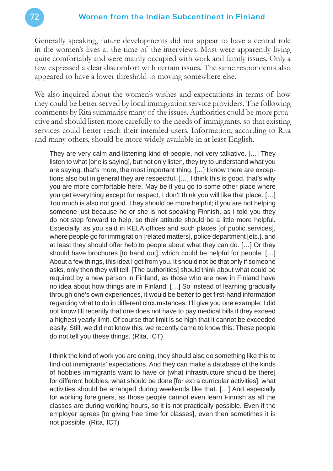Generally speaking, future developments did not appear to have a central role in the women's lives at the time of the interviews. Most were apparently living quite comfortably and were mainly occupied with work and family issues. Only a few expressed a clear discomfort with certain issues. The same respondents also appeared to have a lower threshold to moving somewhere else.

We also inquired about the women's wishes and expectations in terms of how they could be better served by local immigration service providers. The following comments by Rita summarise many of the issues. Authorities could be more proactive and should listen more carefully to the needs of immigrants, so that existing services could better reach their intended users. Information, according to Rita and many others, should be more widely available in at least English.

They are very calm and listening kind of people, not very talkative. […] They listen to what [one is saying], but not only listen, they try to understand what you are saying, that's more, the most important thing. […] I know there are exceptions also but in general they are respectful. […] I think this is good, that's why you are more comfortable here. May be if you go to some other place where you get everything except for respect, I don't think you will like that place. […] Too much is also not good. They should be more helpful; if you are not helping someone just because he or she is not speaking Finnish, as I told you they do not step forward to help, so their attitude should be a little more helpful. Especially, as you said in KELA offices and such places [of public services], where people go for immigration [related matters], police department [etc.], and at least they should offer help to people about what they can do. […] Or they should have brochures [to hand out], which could be helpful for people. […] About a few things, this idea I got from you. It should not be that only if someone asks, only then they will tell. [The authorities] should think about what could be required by a new person in Finland, as those who are new in Finland have no idea about how things are in Finland. […] So instead of learning gradually through one's own experiences, it would be better to get first-hand information regarding what to do in different circumstances. I'll give you one example: I did not know till recently that one does not have to pay medical bills if they exceed a highest yearly limit. Of course that limit is so high that it cannot be exceeded easily. Still, we did not know this; we recently came to know this. These people do not tell you these things. (Rita, ICT)

I think the kind of work you are doing, they should also do something like this to find out immigrants' expectations. And they can make a database of the kinds of hobbies immigrants want to have or [what infrastructure should be there] for different hobbies, what should be done [for extra curricular activities], what activities should be arranged during weekends like that. […] And especially for working foreigners, as those people cannot even learn Finnish as all the classes are during working hours, so it is not practically possible. Even if the employer agrees [to giving free time for classes], even then sometimes it is not possible. (Rita, ICT)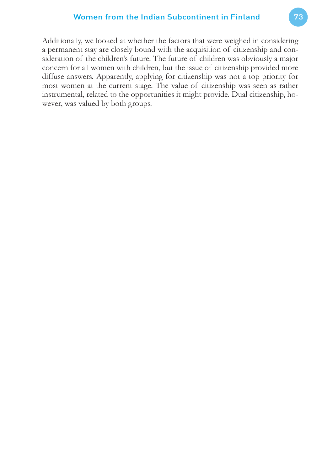Additionally, we looked at whether the factors that were weighed in considering a permanent stay are closely bound with the acquisition of citizenship and consideration of the children's future. The future of children was obviously a major concern for all women with children, but the issue of citizenship provided more diffuse answers. Apparently, applying for citizenship was not a top priority for most women at the current stage. The value of citizenship was seen as rather instrumental, related to the opportunities it might provide. Dual citizenship, however, was valued by both groups.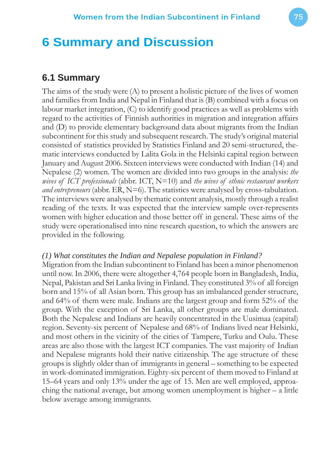# **6 Summary and Discussion**

# **6.1 Summary**

The aims of the study were (A) to present a holistic picture of the lives of women and families from India and Nepal in Finland that is (B) combined with a focus on labour market integration, (C) to identify good practices as well as problems with regard to the activities of Finnish authorities in migration and integration affairs and (D) to provide elementary background data about migrants from the Indian subcontinent for this study and subsequent research. The study's original material consisted of statistics provided by Statistics Finland and 20 semi-structured, thematic interviews conducted by Lalita Gola in the Helsinki capital region between January and August 2006. Sixteen interviews were conducted with Indian (14) and Nepalese (2) women. The women are divided into two groups in the analysis: *the wives of ICT professionals* (abbr. ICT, N=10) and *the wives of ethnic restaurant workers and entrepreneurs* (abbr. ER, N=6). The statistics were analysed by cross-tabulation. The interviews were analysed by thematic content analysis, mostly through a realist reading of the texts. It was expected that the interview sample over-represents women with higher education and those better off in general. These aims of the study were operationalised into nine research question, to which the answers are provided in the following.

#### *(1) What constitutes the Indian and Nepalese population in Finland?*

Migration from the Indian subcontinent to Finland has been a minor phenomenon until now. In 2006, there were altogether 4,764 people born in Bangladesh, India, Nepal, Pakistan and Sri Lanka living in Finland. They constituted 3% of all foreign born and 15% of all Asian born. This group has an imbalanced gender structure, and 64% of them were male. Indians are the largest group and form 52% of the group. With the exception of Sri Lanka, all other groups are male dominated. Both the Nepalese and Indians are heavily concentrated in the Uusimaa (capital) region. Seventy-six percent of Nepalese and 68% of Indians lived near Helsinki, and most others in the vicinity of the cities of Tampere, Turku and Oulu. These areas are also those with the largest ICT companies. The vast majority of Indian and Nepalese migrants hold their native citizenship. The age structure of these groups is slightly older than of immigrants in general – something to be expected in work-dominated immigration. Eighty-six percent of them moved to Finland at 15–64 years and only 13% under the age of 15. Men are well employed, approaching the national average, but among women unemployment is higher – a little below average among immigrants.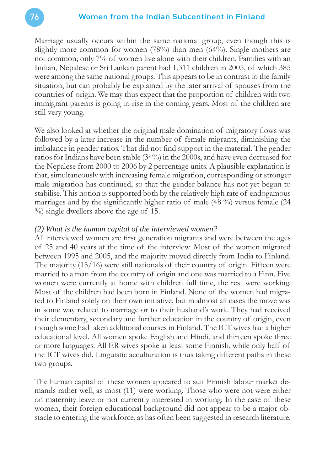Marriage usually occurs within the same national group, even though this is slightly more common for women  $(78%)$  than men  $(64%)$ . Single mothers are not common; only 7% of women live alone with their children. Families with an Indian, Nepalese or Sri Lankan parent had 1,311 children in 2005, of which 385 were among the same national groups. This appears to be in contrast to the family situation, but can probably be explained by the later arrival of spouses from the countries of origin. We may thus expect that the proportion of children with two immigrant parents is going to rise in the coming years. Most of the children are still very young.

We also looked at whether the original male domination of migratory flows was followed by a later increase in the number of female migrants, diminishing the imbalance in gender ratios. That did not find support in the material. The gender ratios for Indians have been stable (34%) in the 2000s, and have even decreased for the Nepalese from 2000 to 2006 by 2 percentage units. A plausible explanation is that, simultaneously with increasing female migration, corresponding or stronger male migration has continued, so that the gender balance has not yet begun to stabilise. This notion is supported both by the relatively high rate of endogamous marriages and by the significantly higher ratio of male  $(48\%)$  versus female  $(24\%)$ %) single dwellers above the age of 15.

#### *(2) What is the human capital of the interviewed women?*

All interviewed women are first generation migrants and were between the ages of 25 and 40 years at the time of the interview. Most of the women migrated between 1995 and 2005, and the majority moved directly from India to Finland. The majority (15/16) were still nationals of their country of origin. Fifteen were married to a man from the country of origin and one was married to a Finn. Five women were currently at home with children full time, the rest were working. Most of the children had been born in Finland. None of the women had migrated to Finland solely on their own initiative, but in almost all cases the move was in some way related to marriage or to their husband's work. They had received their elementary, secondary and further education in the country of origin, even though some had taken additional courses in Finland. The ICT wives had a higher educational level. All women spoke English and Hindi, and thirteen spoke three or more languages. All ER wives spoke at least some Finnish, while only half of the ICT wives did. Linguistic acculturation is thus taking different paths in these two groups.

The human capital of these women appeared to suit Finnish labour market demands rather well, as most (11) were working. Those who were not were either on maternity leave or not currently interested in working. In the case of these women, their foreign educational background did not appear to be a major obstacle to entering the workforce, as has often been suggested in research literature.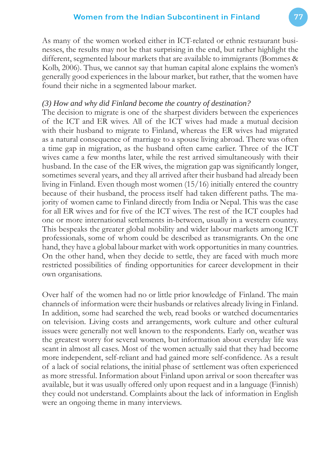As many of the women worked either in ICT-related or ethnic restaurant businesses, the results may not be that surprising in the end, but rather highlight the different, segmented labour markets that are available to immigrants (Bommes & Kolb, 2006). Thus, we cannot say that human capital alone explains the women's generally good experiences in the labour market, but rather, that the women have found their niche in a segmented labour market.

#### *(3) How and why did Finland become the country of destination?*

The decision to migrate is one of the sharpest dividers between the experiences of the ICT and ER wives. All of the ICT wives had made a mutual decision with their husband to migrate to Finland, whereas the ER wives had migrated as a natural consequence of marriage to a spouse living abroad. There was often a time gap in migration, as the husband often came earlier. Three of the ICT wives came a few months later, while the rest arrived simultaneously with their husband. In the case of the ER wives, the migration gap was significantly longer, sometimes several years, and they all arrived after their husband had already been living in Finland. Even though most women (15/16) initially entered the country because of their husband, the process itself had taken different paths. The majority of women came to Finland directly from India or Nepal. This was the case for all ER wives and for five of the ICT wives. The rest of the ICT couples had one or more international settlements in-between, usually in a western country. This bespeaks the greater global mobility and wider labour markets among ICT professionals, some of whom could be described as transmigrants. On the one hand, they have a global labour market with work opportunities in many countries. On the other hand, when they decide to settle, they are faced with much more restricted possibilities of finding opportunities for career development in their own organisations.

Over half of the women had no or little prior knowledge of Finland. The main channels of information were their husbands or relatives already living in Finland. In addition, some had searched the web, read books or watched documentaries on television. Living costs and arrangements, work culture and other cultural issues were generally not well known to the respondents. Early on, weather was the greatest worry for several women, but information about everyday life was scant in almost all cases. Most of the women actually said that they had become more independent, self-reliant and had gained more self-confidence. As a result of a lack of social relations, the initial phase of settlement was often experienced as more stressful. Information about Finland upon arrival or soon thereafter was available, but it was usually offered only upon request and in a language (Finnish) they could not understand. Complaints about the lack of information in English were an ongoing theme in many interviews.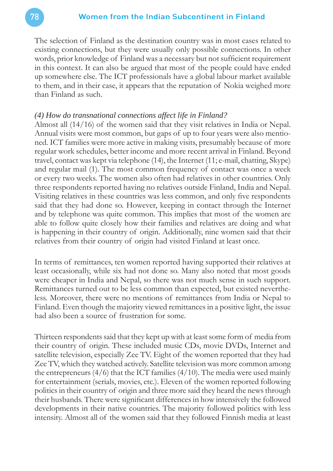The selection of Finland as the destination country was in most cases related to existing connections, but they were usually only possible connections. In other words, prior knowledge of Finland was a necessary but not sufficient requirement in this context. It can also be argued that most of the people could have ended up somewhere else. The ICT professionals have a global labour market available to them, and in their case, it appears that the reputation of Nokia weighed more than Finland as such.

#### *(4) How do transnational connections affect life in Finland?*

Almost all (14/16) of the women said that they visit relatives in India or Nepal. Annual visits were most common, but gaps of up to four years were also mentioned. ICT families were more active in making visits, presumably because of more regular work schedules, better income and more recent arrival in Finland. Beyond travel, contact was kept via telephone (14), the Internet (11; e-mail, chatting, Skype) and regular mail (1). The most common frequency of contact was once a week or every two weeks. The women also often had relatives in other countries. Only three respondents reported having no relatives outside Finland, India and Nepal. Visiting relatives in these countries was less common, and only five respondents said that they had done so. However, keeping in contact through the Internet and by telephone was quite common. This implies that most of the women are able to follow quite closely how their families and relatives are doing and what is happening in their country of origin. Additionally, nine women said that their relatives from their country of origin had visited Finland at least once.

In terms of remittances, ten women reported having supported their relatives at least occasionally, while six had not done so. Many also noted that most goods were cheaper in India and Nepal, so there was not much sense in such support. Remittances turned out to be less common than expected, but existed nevertheless. Moreover, there were no mentions of remittances from India or Nepal to Finland. Even though the majority viewed remittances in a positive light, the issue had also been a source of frustration for some.

Thirteen respondents said that they kept up with at least some form of media from their country of origin. These included music CDs, movie DVDs, Internet and satellite television, especially Zee TV. Eight of the women reported that they had Zee TV, which they watched actively. Satellite television was more common among the entrepreneurs  $(4/6)$  that the ICT families  $(4/10)$ . The media were used mainly for entertainment (serials, movies, etc.). Eleven of the women reported following politics in their country of origin and three more said they heard the news through their husbands. There were significant differences in how intensively the followed developments in their native countries. The majority followed politics with less intensity. Almost all of the women said that they followed Finnish media at least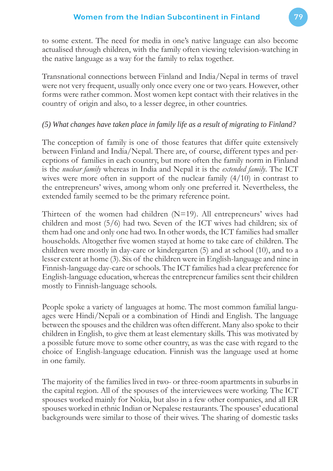to some extent. The need for media in one's native language can also become actualised through children, with the family often viewing television-watching in the native language as a way for the family to relax together.

Transnational connections between Finland and India/Nepal in terms of travel were not very frequent, usually only once every one or two years. However, other forms were rather common. Most women kept contact with their relatives in the country of origin and also, to a lesser degree, in other countries.

# *(5) What changes have taken place in family life as a result of migrating to Finland?*

The conception of family is one of those features that differ quite extensively between Finland and India/Nepal. There are, of course, different types and perceptions of families in each country, but more often the family norm in Finland is the *nuclear family* whereas in India and Nepal it is the *extended family*. The ICT wives were more often in support of the nuclear family  $(4/10)$  in contrast to the entrepreneurs' wives, among whom only one preferred it. Nevertheless, the extended family seemed to be the primary reference point.

Thirteen of the women had children  $(N=19)$ . All entrepreneurs' wives had children and most (5/6) had two. Seven of the ICT wives had children; six of them had one and only one had two. In other words, the ICT families had smaller households. Altogether five women stayed at home to take care of children. The children were mostly in day-care or kindergarten (5) and at school (10), and to a lesser extent at home (3). Six of the children were in English-language and nine in Finnish-language day-care or schools. The ICT families had a clear preference for English-language education, whereas the entrepreneur families sent their children mostly to Finnish-language schools.

People spoke a variety of languages at home. The most common familial languages were Hindi/Nepali or a combination of Hindi and English. The language between the spouses and the children was often different. Many also spoke to their children in English, to give them at least elementary skills. This was motivated by a possible future move to some other country, as was the case with regard to the choice of English-language education. Finnish was the language used at home in one family.

The majority of the families lived in two- or three-room apartments in suburbs in the capital region. All of the spouses of the interviewees were working. The ICT spouses worked mainly for Nokia, but also in a few other companies, and all ER spouses worked in ethnic Indian or Nepalese restaurants. The spouses' educational backgrounds were similar to those of their wives. The sharing of domestic tasks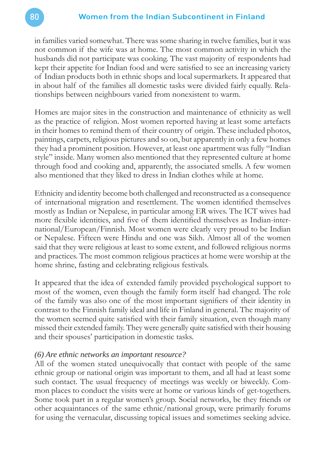in families varied somewhat. There was some sharing in twelve families, but it was not common if the wife was at home. The most common activity in which the husbands did not participate was cooking. The vast majority of respondents had kept their appetite for Indian food and were satisfied to see an increasing variety of Indian products both in ethnic shops and local supermarkets. It appeared that in about half of the families all domestic tasks were divided fairly equally. Relationships between neighbours varied from nonexistent to warm.

Homes are major sites in the construction and maintenance of ethnicity as well as the practice of religion. Most women reported having at least some artefacts in their homes to remind them of their country of origin. These included photos, paintings, carpets, religious pictures and so on, but apparently in only a few homes they had a prominent position. However, at least one apartment was fully "Indian style" inside. Many women also mentioned that they represented culture at home through food and cooking and, apparently, the associated smells. A few women also mentioned that they liked to dress in Indian clothes while at home.

Ethnicity and identity become both challenged and reconstructed as a consequence of international migration and resettlement. The women identified themselves mostly as Indian or Nepalese, in particular among ER wives. The ICT wives had more flexible identities, and five of them identified themselves as Indian-international/European/Finnish. Most women were clearly very proud to be Indian or Nepalese. Fifteen were Hindu and one was Sikh. Almost all of the women said that they were religious at least to some extent, and followed religious norms and practices. The most common religious practices at home were worship at the home shrine, fasting and celebrating religious festivals.

It appeared that the idea of extended family provided psychological support to most of the women, even though the family form itself had changed. The role of the family was also one of the most important signifiers of their identity in contrast to the Finnish family ideal and life in Finland in general. The majority of the women seemed quite satisfied with their family situation, even though many missed their extended family. They were generally quite satisfied with their housing and their spouses' participation in domestic tasks.

#### *(6) Are ethnic networks an important resource?*

All of the women stated unequivocally that contact with people of the same ethnic group or national origin was important to them, and all had at least some such contact. The usual frequency of meetings was weekly or biweekly. Common places to conduct the visits were at home or various kinds of get-togethers. Some took part in a regular women's group. Social networks, be they friends or other acquaintances of the same ethnic/national group, were primarily forums for using the vernacular, discussing topical issues and sometimes seeking advice.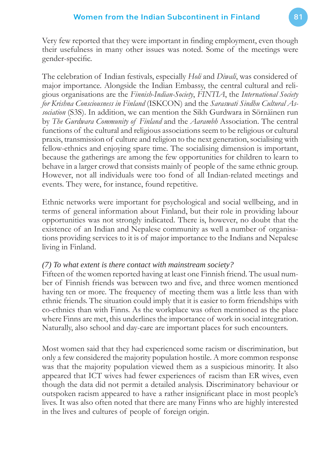Very few reported that they were important in finding employment, even though their usefulness in many other issues was noted. Some of the meetings were gender-specific.

The celebration of Indian festivals, especially *Holi* and *Diwali*, was considered of major importance. Alongside the Indian Embassy, the central cultural and religious organisations are the *Finnish-Indian-Society*, *FINTIA*, the *International Society for Krishna Consciousness in Finland* (ISKCON) and the *Saraswati Sindhu Cultural Association* (S3S). In addition, we can mention the Sikh Gurdwara in Sörnäinen run by *The Gurdwara Community of Finland* and the *Aarambh* Association. The central functions of the cultural and religious associations seem to be religious or cultural praxis, transmission of culture and religion to the next generation, socialising with fellow-ethnics and enjoying spare time. The socialising dimension is important, because the gatherings are among the few opportunities for children to learn to behave in a larger crowd that consists mainly of people of the same ethnic group. However, not all individuals were too fond of all Indian-related meetings and events. They were, for instance, found repetitive.

Ethnic networks were important for psychological and social wellbeing, and in terms of general information about Finland, but their role in providing labour opportunities was not strongly indicated. There is, however, no doubt that the existence of an Indian and Nepalese community as well a number of organisations providing services to it is of major importance to the Indians and Nepalese living in Finland.

#### *(7) To what extent is there contact with mainstream society?*

Fifteen of the women reported having at least one Finnish friend. The usual number of Finnish friends was between two and five, and three women mentioned having ten or more. The frequency of meeting them was a little less than with ethnic friends. The situation could imply that it is easier to form friendships with co-ethnics than with Finns. As the workplace was often mentioned as the place where Finns are met, this underlines the importance of work in social integration. Naturally, also school and day-care are important places for such encounters.

Most women said that they had experienced some racism or discrimination, but only a few considered the majority population hostile. A more common response was that the majority population viewed them as a suspicious minority. It also appeared that ICT wives had fewer experiences of racism than ER wives, even though the data did not permit a detailed analysis. Discriminatory behaviour or outspoken racism appeared to have a rather insignificant place in most people's lives. It was also often noted that there are many Finns who are highly interested in the lives and cultures of people of foreign origin.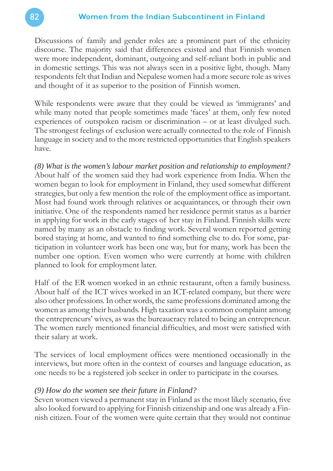Discussions of family and gender roles are a prominent part of the ethnicity discourse. The majority said that differences existed and that Finnish women were more independent, dominant, outgoing and self-reliant both in public and in domestic settings. This was not always seen in a positive light, though. Many respondents felt that Indian and Nepalese women had a more secure role as wives and thought of it as superior to the position of Finnish women.

While respondents were aware that they could be viewed as 'immigrants' and while many noted that people sometimes made 'faces' at them, only few noted experiences of outspoken racism or discrimination – or at least divulged such. The strongest feelings of exclusion were actually connected to the role of Finnish language in society and to the more restricted opportunities that English speakers have.

*(8) What is the women's labour market position and relationship to employment?* About half of the women said they had work experience from India. When the women began to look for employment in Finland, they used somewhat different strategies, but only a few mention the role of the employment office as important. Most had found work through relatives or acquaintances, or through their own initiative. One of the respondents named her residence permit status as a barrier in applying for work in the early stages of her stay in Finland. Finnish skills were named by many as an obstacle to finding work. Several women reported getting bored staying at home, and wanted to find something else to do. For some, participation in volunteer work has been one way, but for many, work has been the number one option. Even women who were currently at home with children planned to look for employment later.

Half of the ER women worked in an ethnic restaurant, often a family business. About half of the ICT wives worked in an ICT-related company, but there were also other professions. In other words, the same professions dominated among the women as among their husbands. High taxation was a common complaint among the entrepreneurs' wives, as was the bureaucracy related to being an entrepreneur. The women rarely mentioned financial difficulties, and most were satisfied with their salary at work.

The services of local employment offices were mentioned occasionally in the interviews, but more often in the context of courses and language education, as one needs to be a registered job seeker in order to participate in the courses.

#### *(9) How do the women see their future in Finland?*

Seven women viewed a permanent stay in Finland as the most likely scenario, five also looked forward to applying for Finnish citizenship and one was already a Finnish citizen. Four of the women were quite certain that they would not continue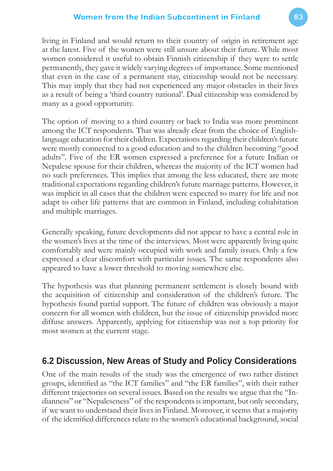living in Finland and would return to their country of origin in retirement age at the latest. Five of the women were still unsure about their future. While most women considered it useful to obtain Finnish citizenship if they were to settle permanently, they gave it widely varying degrees of importance. Some mentioned that even in the case of a permanent stay, citizenship would not be necessary. This may imply that they had not experienced any major obstacles in their lives as a result of being a 'third country national'. Dual citizenship was considered by many as a good opportunity.

The option of moving to a third country or back to India was more prominent among the ICT respondents. That was already clear from the choice of Englishlanguage education for their children. Expectations regarding their children's future were mostly connected to a good education and to the children becoming "good adults". Five of the ER women expressed a preference for a future Indian or Nepalese spouse for their children, whereas the majority of the ICT women had no such preferences. This implies that among the less educated, there are more traditional expectations regarding children's future marriage patterns. However, it was implicit in all cases that the children were expected to marry for life and not adapt to other life patterns that are common in Finland, including cohabitation and multiple marriages.

Generally speaking, future developments did not appear to have a central role in the women's lives at the time of the interviews. Most were apparently living quite comfortably and were mainly occupied with work and family issues. Only a few expressed a clear discomfort with particular issues. The same respondents also appeared to have a lower threshold to moving somewhere else.

The hypothesis was that planning permanent settlement is closely bound with the acquisition of citizenship and consideration of the children's future. The hypothesis found partial support. The future of children was obviously a major concern for all women with children, but the issue of citizenship provided more diffuse answers. Apparently, applying for citizenship was not a top priority for most women at the current stage.

# **6.2 Discussion, New Areas of Study and Policy Considerations**

One of the main results of the study was the emergence of two rather distinct groups, identified as "the ICT families" and "the ER families", with their rather different trajectories on several issues. Based on the results we argue that the "Indianness" or "Nepaleseness" of the respondents is important, but only secondary, if we want to understand their lives in Finland. Moreover, it seems that a majority of the identified differences relate to the women's educational background, social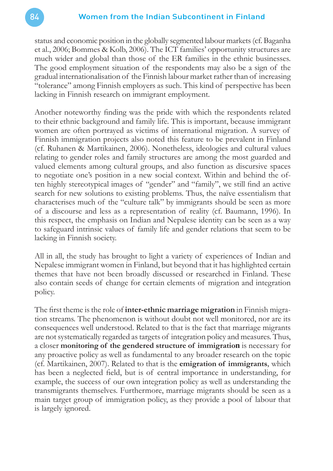status and economic position in the globally segmented labour markets (cf. Baganha et al., 2006; Bommes & Kolb, 2006). The ICT families' opportunity structures are much wider and global than those of the ER families in the ethnic businesses. The good employment situation of the respondents may also be a sign of the gradual internationalisation of the Finnish labour market rather than of increasing "tolerance" among Finnish employers as such. This kind of perspective has been lacking in Finnish research on immigrant employment.

Another noteworthy finding was the pride with which the respondents related to their ethnic background and family life. This is important, because immigrant women are often portrayed as victims of international migration. A survey of Finnish immigration projects also noted this feature to be prevalent in Finland (cf. Ruhanen & Martikainen, 2006). Nonetheless, ideologies and cultural values relating to gender roles and family structures are among the most guarded and valued elements among cultural groups, and also function as discursive spaces to negotiate one's position in a new social context. Within and behind the often highly stereotypical images of "gender" and "family", we still find an active search for new solutions to existing problems. Thus, the naïve essentialism that characterises much of the "culture talk" by immigrants should be seen as more of a discourse and less as a representation of reality (cf. Baumann, 1996). In this respect, the emphasis on Indian and Nepalese identity can be seen as a way to safeguard intrinsic values of family life and gender relations that seem to be lacking in Finnish society.

All in all, the study has brought to light a variety of experiences of Indian and Nepalese immigrant women in Finland, but beyond that it has highlighted certain themes that have not been broadly discussed or researched in Finland. These also contain seeds of change for certain elements of migration and integration policy.

The first theme is the role of **inter-ethnic marriage migration** in Finnish migration streams. The phenomenon is without doubt not well monitored, nor are its consequences well understood. Related to that is the fact that marriage migrants are not systematically regarded as targets of integration policy and measures. Thus, a closer **monitoring of the gendered structure of immigration** is necessary for any proactive policy as well as fundamental to any broader research on the topic (cf. Martikainen, 2007). Related to that is the **emigration of immigrants**, which has been a neglected field, but is of central importance in understanding, for example, the success of our own integration policy as well as understanding the transmigrants themselves. Furthermore, marriage migrants should be seen as a main target group of immigration policy, as they provide a pool of labour that is largely ignored.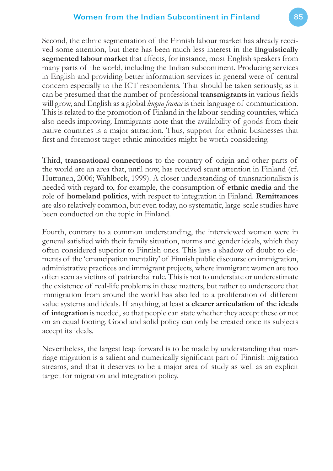Second, the ethnic segmentation of the Finnish labour market has already received some attention, but there has been much less interest in the **linguistically segmented labour market** that affects, for instance, most English speakers from many parts of the world, including the Indian subcontinent. Producing services in English and providing better information services in general were of central concern especially to the ICT respondents. That should be taken seriously, as it can be presumed that the number of professional **transmigrants** in various fields will grow, and English as a global *lingua franca* is their language of communication. This is related to the promotion of Finland in the labour-sending countries, which also needs improving. Immigrants note that the availability of goods from their native countries is a major attraction. Thus, support for ethnic businesses that first and foremost target ethnic minorities might be worth considering.

Third, **transnational connections** to the country of origin and other parts of the world are an area that, until now, has received scant attention in Finland (cf. Huttunen, 2006; Wahlbeck, 1999). A closer understanding of transnationalism is needed with regard to, for example, the consumption of **ethnic media** and the role of **homeland politics**, with respect to integration in Finland. **Remittances** are also relatively common, but even today, no systematic, large-scale studies have been conducted on the topic in Finland.

Fourth, contrary to a common understanding, the interviewed women were in general satisfied with their family situation, norms and gender ideals, which they often considered superior to Finnish ones. This lays a shadow of doubt to elements of the 'emancipation mentality' of Finnish public discourse on immigration, administrative practices and immigrant projects, where immigrant women are too often seen as victims of patriarchal rule. This is not to understate or underestimate the existence of real-life problems in these matters, but rather to underscore that immigration from around the world has also led to a proliferation of different value systems and ideals. If anything, at least **a clearer articulation of the ideals of integration** is needed, so that people can state whether they accept these or not on an equal footing. Good and solid policy can only be created once its subjects accept its ideals.

Nevertheless, the largest leap forward is to be made by understanding that marriage migration is a salient and numerically significant part of Finnish migration streams, and that it deserves to be a major area of study as well as an explicit target for migration and integration policy.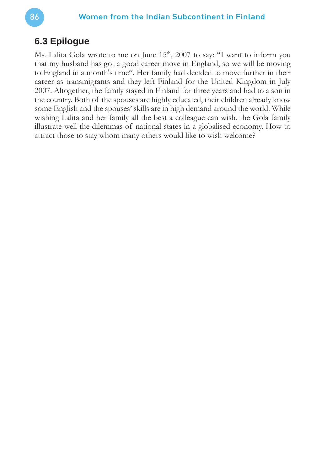# **6.3 Epilogue**

Ms. Lalita Gola wrote to me on June 15<sup>th</sup>, 2007 to say: "I want to inform you that my husband has got a good career move in England, so we will be moving to England in a month's time". Her family had decided to move further in their career as transmigrants and they left Finland for the United Kingdom in July 2007. Altogether, the family stayed in Finland for three years and had to a son in the country. Both of the spouses are highly educated, their children already know some English and the spouses' skills are in high demand around the world. While wishing Lalita and her family all the best a colleague can wish, the Gola family illustrate well the dilemmas of national states in a globalised economy. How to attract those to stay whom many others would like to wish welcome?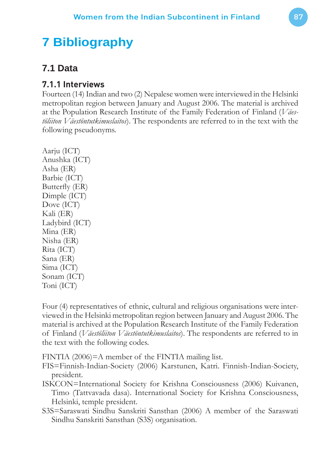# **7 Bibliography**

# **7.1 Data**

# **7.1.1 Interviews**

Fourteen (14) Indian and two (2) Nepalese women were interviewed in the Helsinki metropolitan region between January and August 2006. The material is archived at the Population Research Institute of the Family Federation of Finland (*Väestöliiton Väestöntutkimuslaitos*). The respondents are referred to in the text with the following pseudonyms.

Aarju (ICT) Anushka (ICT) Asha (ER) Barbie (ICT) Butterfly (ER) Dimple (ICT) Dove (ICT) Kali (ER) Ladybird (ICT) Mina (ER) Nisha (ER) Rita (ICT) Sana (ER) Sima (ICT) Sonam (ICT) Toni (ICT)

Four (4) representatives of ethnic, cultural and religious organisations were interviewed in the Helsinki metropolitan region between January and August 2006. The material is archived at the Population Research Institute of the Family Federation of Finland (*Väestöliiton Väestöntutkimuslaitos*). The respondents are referred to in the text with the following codes.

FINTIA (2006)=A member of the FINTIA mailing list.

- FIS=Finnish-Indian-Society (2006) Karstunen, Katri. Finnish-Indian-Society, president.
- ISKCON=International Society for Krishna Consciousness (2006) Kuivanen, Timo (Tattvavada dasa). International Society for Krishna Consciousness, Helsinki, temple president.
- S3S=Saraswati Sindhu Sanskriti Sansthan (2006) A member of the Saraswati Sindhu Sanskriti Sansthan (S3S) organisation.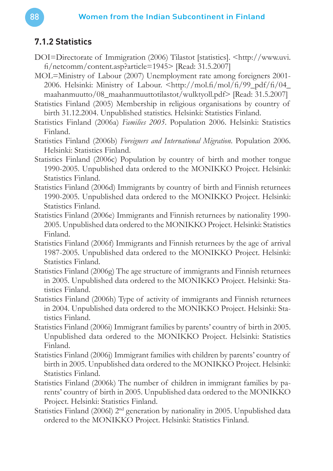# **7.1.2 Statistics**

- DOI=Directorate of Immigration (2006) Tilastot [statistics]. <http://www.uvi. fi /netcomm/content.asp?article=1945> [Read: 31.5.2007]
- MOL=Ministry of Labour (2007) Unemployment rate among foreigners 2001- 2006. Helsinki: Ministry of Labour.  $\frac{\text{http://mol.f/(mol/f/99.pdf/f/(04)}}{\text{http://mol.f/(mol/f/99.pdf/f)/(04}}$ maahanmuutto/08\_maahanmuuttotilastot/wulktyoll.pdf> [Read: 31.5.2007]
- Statistics Finland (2005) Membership in religious organisations by country of birth 31.12.2004. Unpublished statistics. Helsinki: Statistics Finland.
- Statistics Finland (2006a) *Families 2005*. Population 2006. Helsinki: Statistics Finland.
- Statistics Finland (2006b) *Foreigners and International Migration*. Population 2006. Helsinki: Statistics Finland.
- Statistics Finland (2006c) Population by country of birth and mother tongue 1990-2005. Unpublished data ordered to the MONIKKO Project. Helsinki: Statistics Finland.
- Statistics Finland (2006d) Immigrants by country of birth and Finnish returnees 1990-2005. Unpublished data ordered to the MONIKKO Project. Helsinki: Statistics Finland.
- Statistics Finland (2006e) Immigrants and Finnish returnees by nationality 1990- 2005. Unpublished data ordered to the MONIKKO Project. Helsinki: Statistics Finland.
- Statistics Finland (2006f) Immigrants and Finnish returnees by the age of arrival 1987-2005. Unpublished data ordered to the MONIKKO Project. Helsinki: Statistics Finland.
- Statistics Finland (2006g) The age structure of immigrants and Finnish returnees in 2005. Unpublished data ordered to the MONIKKO Project. Helsinki: Statistics Finland.
- Statistics Finland (2006h) Type of activity of immigrants and Finnish returnees in 2004. Unpublished data ordered to the MONIKKO Project. Helsinki: Statistics Finland.
- Statistics Finland (2006i) Immigrant families by parents' country of birth in 2005. Unpublished data ordered to the MONIKKO Project. Helsinki: Statistics Finland.
- Statistics Finland (2006j) Immigrant families with children by parents' country of birth in 2005. Unpublished data ordered to the MONIKKO Project. Helsinki: Statistics Finland.
- Statistics Finland (2006k) The number of children in immigrant families by parents' country of birth in 2005. Unpublished data ordered to the MONIKKO Project. Helsinki: Statistics Finland.
- Statistics Finland (2006l) 2nd generation by nationality in 2005. Unpublished data ordered to the MONIKKO Project. Helsinki: Statistics Finland.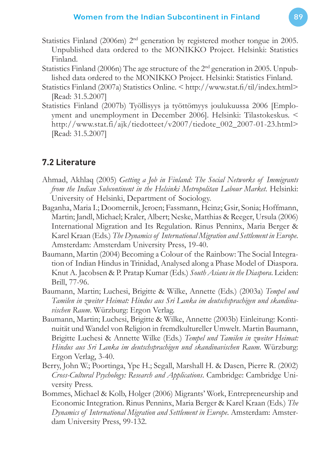- Statistics Finland (2006m) 2<sup>nd</sup> generation by registered mother tongue in 2005. Unpublished data ordered to the MONIKKO Project. Helsinki: Statistics Finland.
- Statistics Finland (2006n) The age structure of the 2nd generation in 2005. Unpublished data ordered to the MONIKKO Project. Helsinki: Statistics Finland.
- Statistics Finland (2007a) Statistics Online. < http://www.stat.fi /til/index.html> [Read: 31.5.2007]
- Statistics Finland (2007b) Työllisyys ja työttömyys joulukuussa 2006 [Employment and unemployment in December 2006]. Helsinki: Tilastokeskus. < http://www.stat.fi/ajk/tiedotteet/v2007/tiedote\_002\_2007-01-23.html> [Read: 31.5.2007]

# **7.2 Literature**

- Ahmad, Akhlaq (2005) *Getting a Job in Finland: The Social Networks of Immigrants from the Indian Subcontinent in the Helsinki Metropolitan Labour Market*. Helsinki: University of Helsinki, Department of Sociology.
- Baganha, Maria I.; Doomernik, Jeroen; Fassmann, Heinz; Gsir, Sonia; Hoffmann, Martin; Jandl, Michael; Kraler, Albert; Neske, Matthias & Reeger, Ursula (2006) International Migration and Its Regulation. Rinus Penninx, Maria Berger & Karel Kraan (Eds.) *The Dynamics of International Migration and Settlement in Europe*. Amsterdam: Amsterdam University Press, 19-40.
- Baumann, Martin (2004) Becoming a Colour of the Rainbow: The Social Integration of Indian Hindus in Trinidad, Analysed along a Phase Model of Diaspora. Knut A. Jacobsen & P. Pratap Kumar (Eds.) *South Asians in the Diaspora*. Leiden: Brill, 77-96.
- Baumann, Martin; Luchesi, Brigitte & Wilke, Annette (Eds.) (2003a) *Tempel und Tamilen in zweiter Heimat: Hindus aus Sri Lanka im deutschsprachigen und skandinavischen Raum*. Würzburg: Ergon Verlag.
- Baumann, Martin; Luchesi, Brigitte & Wilke, Annette (2003b) Einleitung: Kontinuität und Wandel von Religion in fremdkultureller Umwelt. Martin Baumann, Brigitte Luchesi & Annette Wilke (Eds.) *Tempel und Tamilen in zweiter Heimat: Hindus aus Sri Lanka im deutschsprachigen und skandinavischen Raum*. Würzburg: Ergon Verlag, 3-40.
- Berry, John W.; Poortinga, Ype H.; Segall, Marshall H. & Dasen, Pierre R. (2002) *Cross-Cultural Psychology: Research and Applications*. Cambridge: Cambridge University Press.
- Bommes, Michael & Kolb, Holger (2006) Migrants' Work, Entrepreneurship and Economic Integration. Rinus Penninx, Maria Berger & Karel Kraan (Eds.) *The Dynamics of International Migration and Settlement in Europe*. Amsterdam: Amsterdam University Press, 99-132.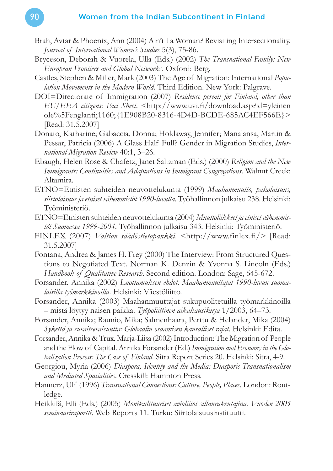- Brah, Avtar & Phoenix, Ann (2004) Ain't I a Woman? Revisiting Intersectionality. *Journal of International Women's Studies* 5(3), 75-86.
- Bryceson, Deborah & Vuorela, Ulla (Eds.) (2002) *The Transnational Family: New European Frontiers and Global Networks*. Oxford: Berg.
- Castles, Stephen & Miller, Mark (2003) The Age of Migration: International *Population Movements in the Modern World*. Third Edition. New York: Palgrave.
- DOI=Directorate of Immigration (2007) *Residence permit for Finland, other than EU/EEA citizens: Fact Sheet*. <http://www.uvi.fi /download.asp?id=yleinen ole%5Fenglanti;1160;{1E908B20-8316-4D4D-BCDE-685AC4EF566E}> [Read: 31.5.2007]
- Donato, Katharine; Gabaccia, Donna; Holdaway, Jennifer; Manalansa, Martin & Pessar, Patricia (2006) A Glass Half Full? Gender in Migration Studies, *International Migration Review* 40:1, 3–26.
- Ebaugh, Helen Rose & Chafetz, Janet Saltzman (Eds.) (2000) *Religion and the New Immigrants: Continuities and Adaptations in Immigrant Congregations*. Walnut Creek: Altamira.
- ETNO=Etnisten suhteiden neuvottelukunta (1999) *Maahanmuutto, pakolaisuus, siirtolaisuus ja etniset vähemmistöt 1990-luvulla*. Työhallinnon julkaisu 238. Helsinki: Työministeriö.
- ETNO=Etnisten suhteiden neuvottelukunta (2004) *Muuttoliikkeet ja etniset vähemmistöt Suomessa 1999-2004*. Työhallinnon julkaisu 343. Helsinki: Työministeriö.
- FINLEX (2007) *Valtion säädöstietopankki*. <http://www.finlex.fi/> [Read: 31.5.2007]
- Fontana, Andrea & James H. Frey (2000) The Interview: From Structured Questions to Negotiated Text. Norman K. Denzin & Yvonna S. Lincoln (Eds.) *Handbook of Qualitative Research*. Second edition. London: Sage, 645-672.
- Forsander, Annika (2002) *Luottamuksen ehdot: Maahanmuuttajat 1990-luvun suomalaisilla työmarkkinoilla*. Helsinki: Väestöliitto.
- Forsander, Annika (2003) Maahanmuuttajat sukupuolitetuilla työmarkkinoilla – mistä löytyy naisen paikka. *Työpoliittinen aikakausikirja* 1/2003, 64–73.
- Forsander, Annika; Raunio, Mika; Salmenhaara, Perttu & Helander, Mika (2004) *Sykettä ja suvaitsevaisuutta: Globaalin osaamisen kansalliset rajat*. Helsinki: Edita.
- Forsander, Annika & Trux, Marja-Liisa (2002) Introduction: The Migration of People and the Flow of Capital. Annika Forsander (Ed.) *Immigration and Economy in the Globalization Process: The Case of Finland*. Sitra Report Series 20. Helsinki: Sitra, 4-9.
- Georgiou, Myria (2006) *Diaspora, Identity and the Media: Diasporic Transnationalism and Mediated Spatialities*. Cresskill: Hampton Press.
- Hannerz, Ulf (1996) *Transnational Connections: Culture, People, Places*. London: Routledge.
- Heikkilä, Elli (Eds.) (2005) *Monikulttuuriset avioliitot sillanrakentajina. Vuoden 2005 seminaariraportti*. Web Reports 11. Turku: Siirtolaisuusinstituutti.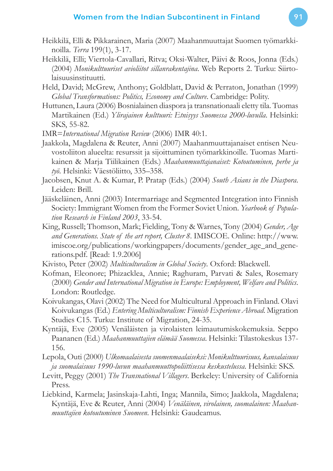- Heikkilä, Elli & Pikkarainen, Maria (2007) Maahanmuuttajat Suomen työmarkkinoilla. *Terra* 199(1), 3-17.
- Heikkilä, Elli; Viertola-Cavallari, Ritva; Oksi-Walter, Päivi & Roos, Jonna (Eds.) (2004) *Monikulttuuriset avioliitot sillanrakentajina*. Web Reports 2. Turku: Siirtolaisuusinstituutti.
- Held, David; McGrew, Anthony; Goldblatt, David & Perraton, Jonathan (1999) *Global Transformations: Politics, Economy and Culture*. Cambridge: Polity.
- Huttunen, Laura (2006) Bosnialainen diaspora ja transnationaali eletty tila. Tuomas Martikainen (Ed.) *Ylirajainen kulttuuri: Etnisyys Suomessa 2000-luvulla*. Helsinki: SKS, 55-82.

IMR=*International Migration Review* (2006) IMR 40:1.

- Jaakkola, Magdalena & Reuter, Anni (2007) Maahanmuuttajanaiset entisen Neuvostoliiton alueelta: resurssit ja sijoittuminen työmarkkinoille. Tuomas Martikainen & Marja Tiilikainen (Eds.) *Maahanmuuttajanaiset: Kotoutuminen, perhe ja työ*. Helsinki: Väestöliitto, 335–358.
- Jacobsen, Knut A. & Kumar, P. Pratap (Eds.) (2004) *South Asians in the Diaspora*. Leiden: Brill.
- Jääskeläinen, Anni (2003) Intermarriage and Segmented Integration into Finnish Society: Immigrant Women from the Former Soviet Union. *Yearbook of Population Research in Finland 2003*, 33-54.
- King, Russell; Thomson, Mark; Fielding, Tony & Warnes, Tony (2004) *Gender, Age and Generations. State of the art report, Cluster 8*. IMISCOE. Online: http://www. imiscoe.org/publications/workingpapers/documents/gender\_age\_and\_generations.pdf. [Read: 1.9.2006]
- Kivisto, Peter (2002) *Multiculturalism in Global Society*. Oxford: Blackwell.
- Kofman, Eleonore; Phizacklea, Annie; Raghuram, Parvati & Sales, Rosemary (2000) *Gender and International Migration in Europe: Employment, Welfare and Politics*. London: Routledge.
- Koivukangas, Olavi (2002) The Need for Multicultural Approach in Finland. Olavi Koivukangas (Ed.) *Entering Multiculturalism: Finnish Experience Abroad*. Migration Studies C15. Turku: Institute of Migration, 24-35.
- Kyntäjä, Eve (2005) Venäläisten ja virolaisten leimautumiskokemuksia. Seppo Paananen (Ed.) *Maahanmuuttajien elämää Suomessa*. Helsinki: Tilastokeskus 137- 156.
- Lepola, Outi (2000) *Ulkomaalaisesta suomenmaalaiseksi: Monikulttuurisuus, kansalaisuus ja suomalaisuus 1990-luvun maahanmuuttopoliittisessa keskustelussa*. Helsinki: SKS.
- Levitt, Peggy (2001) *The Transnational Villagers*. Berkeley: University of California Press.
- Liebkind, Karmela; Jasinskaja-Lahti, Inga; Mannila, Simo; Jaakkola, Magdalena; Kyntäjä, Eve & Reuter, Anni (2004) *Venäläinen, virolainen, suomalainen: Maahanmuuttajien kotoutuminen Suomeen*. Helsinki: Gaudeamus.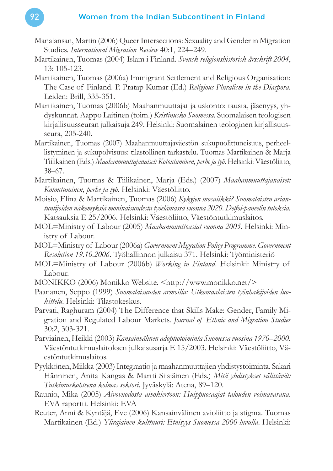- Manalansan, Martin (2006) Queer Intersections: Sexuality and Gender in Migration Studies. *International Migration Review* 40:1, 224–249.
- Martikainen, Tuomas (2004) Islam i Finland. *Svensk religionshistorisk årsskrift 2004*, 13: 105-123.
- Martikainen, Tuomas (2006a) Immigrant Settlement and Religious Organisation: The Case of Finland. P. Pratap Kumar (Ed.) *Religious Pluralism in the Diaspora*. Leiden: Brill, 335-351.
- Martikainen, Tuomas (2006b) Maahanmuuttajat ja uskonto: tausta, jäsenyys, yhdyskunnat. Aappo Laitinen (toim.) *Kristinusko Suomessa*. Suomalaisen teologisen kirjallisuusseuran julkaisuja 249. Helsinki: Suomalainen teologinen kirjallisuusseura, 205-240.
- Martikainen, Tuomas (2007) Maahanmuuttajaväestön sukupuolittuneisuus, perheellistyminen ja sukupolvisuus: tilastollinen tarkastelu. Tuomas Martikainen & Marja Tiilikainen (Eds.) *Maahanmuuttajanaiset: Kotoutuminen, perhe ja työ*. Helsinki: Väestöliitto, 38–67.
- Martikainen, Tuomas & Tiilikainen, Marja (Eds.) (2007) *Maahanmuuttajanaiset: Kotoutuminen, perhe ja työ*. Helsinki: Väestöliitto.
- Moisio, Elina & Martikainen, Tuomas (2006) *Kykyjen mosaiikki? Suomalaisten asiantuntijoiden näkemyksiä moninaisuudesta työelämässä vuonna 2020. Delfoi-paneelin tuloksia.* Katsauksia E 25/2006. Helsinki: Väestöliitto, Väestöntutkimuslaitos.
- MOL=Ministry of Labour (2005) *Maahanmuuttoasiat vuonna 2005*. Helsinki: Ministry of Labour.
- MOL=Ministry of Labour (2006a) *Government Migration Policy Programme. Government Resolution 19.10.2006*. Työhallinnon julkaisu 371. Helsinki: Työministeriö
- MOL=Ministry of Labour (2006b) *Working in Finland*. Helsinki: Ministry of Labour.
- MONIKKO (2006) Monikko Website. <http://www.monikko.net/>
- Paananen, Seppo (1999) *Suomalaisuuden armoilla: Ulkomaalaisten työnhakijoiden luokittelu*. Helsinki: Tilastokeskus.
- Parvati, Raghuram (2004) The Difference that Skills Make: Gender, Family Migration and Regulated Labour Markets. *Journal of Ethnic and Migration Studies* 30:2, 303-321.
- Parviainen, Heikki (2003) *Kansainvälinen adoptiotoiminta Suomessa vuosina 1970–2000*. Väestöntutkimuslaitoksen julkaisusarja E 15/2003. Helsinki: Väestöliitto, Väestöntutkimuslaitos.
- Pyykkönen, Miikka (2003) Integraatio ja maahanmuuttajien yhdistystoiminta. Sakari Hänninen, Anita Kangas & Martti Siisiäinen (Eds.) *Mitä yhdistykset välittävät: Tutkimuskohteena kolmas sektori*. Jyväskylä: Atena, 89–120.
- Raunio, Mika (2005) *Aivovuodosta aivokiertoon: Huippuosaajat talouden voimavarana*. EVA raportti. Helsinki: EVA
- Reuter, Anni & Kyntäjä, Eve (2006) Kansainvälinen avioliitto ja stigma. Tuomas Martikainen (Ed.) *Ylirajainen kulttuuri: Etnisyys Suomessa 2000-luvulla*. Helsinki: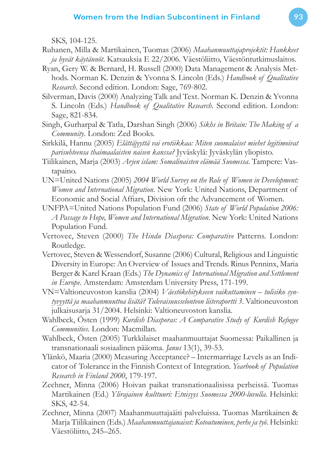SKS, 104-125.

- Ruhanen, Milla & Martikainen, Tuomas (2006) *Maahanmuuttajaprojektit: Hankkeet ja hyvät käytännöt*. Katsauksia E 22/2006. Väestöliitto, Väestöntutkimuslaitos.
- Ryan, Gery W. & Bernard, H. Russell (2000) Data Management & Analysis Methods. Norman K. Denzin & Yvonna S. Lincoln (Eds.) *Handbook of Qualitative Research*. Second edition. London: Sage, 769-802.
- Silverman, Davis (2000) Analyzing Talk and Text. Norman K. Denzin & Yvonna S. Lincoln (Eds.) *Handbook of Qualitative Research*. Second edition. London: Sage, 821-834.
- Singh, Gurharpal & Tatla, Darshan Singh (2006) *Sikhs in Britain: The Making of a Community*. London: Zed Books.
- Sirkkilä, Hannu (2005) *Elättäjyyttä vai erotiikkaa: Miten suomalaiset miehet legitimoivat parisuhteensa thaimaalaisten naisen kanssa?* Jyväskylä: Jyväskylän yliopisto.
- Tiilikainen, Marja (2003) *Arjen islam: Somalinaisten elämää Suomessa*. Tampere: Vastapaino.
- UN=United Nations (2005) *2004 World Survey on the Role of Women in Development: Women and International Migration*. New York: United Nations, Department of Economic and Social Affiars, Division of the Advancement of Women.
- UNFPA=United Nations Population Fund (2006) *State of World Population 2006: A Passage to Hope, Women and International Migration*. New York: United Nations Population Fund.
- Vertovec, Steven (2000) *The Hindu Diaspora: Comparative* Patterns. London: Routledge.
- Vertovec, Steven & Wessendorf, Susanne (2006) Cultural, Religious and Linguistic Diversity in Europe: An Overview of Issues and Trends. Rinus Penninx, Maria Berger & Karel Kraan (Eds.) *The Dynamics of International Migration and Settlement in Europe*. Amsterdam: Amsterdam University Press, 171-199.
- VN=Valtioneuvoston kanslia (2004) *Väestökehitykseen vaikuttaminen tulisiko syntyvyyttä ja maahanmuuttoa lisätä? Tulevaisuusselonteon liiteraportti 3*. Valtioneuvoston julkaisusarja 31/2004. Helsinki: Valtioneuvoston kanslia.
- Wahlbeck, Östen (1999) *Kurdish Diasporas: A Comparative Study of Kurdish Refugee Communities*. London: Macmillan.
- Wahlbeck, Östen (2005) Turkkilaiset maahanmuuttajat Suomessa: Paikallinen ja transnationaali sosiaalinen pääoma. *Janus* 13(1), 39-53.
- Ylänkö, Maaria (2000) Measuring Acceptance? Intermarriage Levels as an Indicator of Tolerance in the Finnish Context of Integration. *Yearbook of Population Research in Finland 2000*, 179-197.
- Zechner, Minna (2006) Hoivan paikat transnationaalisissa perheissä. Tuomas Martikainen (Ed.) *Ylirajainen kulttuuri: Etnisyys Suomessa 2000-luvulla*. Helsinki: SKS, 42-54.
- Zechner, Minna (2007) Maahanmuuttajaäiti palveluissa. Tuomas Martikainen & Marja Tiilikainen (Eds.) *Maahanmuuttajanaiset: Kotoutuminen, perhe ja työ*. Helsinki: Väestöliitto, 245–265.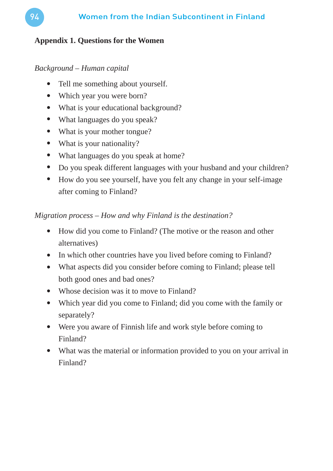# **Appendix 1. Questions for the Women**

*Background – Human capital*

- Tell me something about yourself.
- Which year you were born?
- What is your educational background?
- What languages do you speak?
- What is your mother tongue?
- What is your nationality?
- What languages do you speak at home?
- Do you speak different languages with your husband and your children?
- How do you see yourself, have you felt any change in your self-image after coming to Finland?

# *Migration process – How and why Finland is the destination?*

- How did you come to Finland? (The motive or the reason and other alternatives)
- In which other countries have you lived before coming to Finland?
- What aspects did you consider before coming to Finland; please tell both good ones and bad ones?
- Whose decision was it to move to Finland?
- Which year did you come to Finland; did you come with the family or separately?
- Were you aware of Finnish life and work style before coming to Finland?
- What was the material or information provided to you on your arrival in Finland?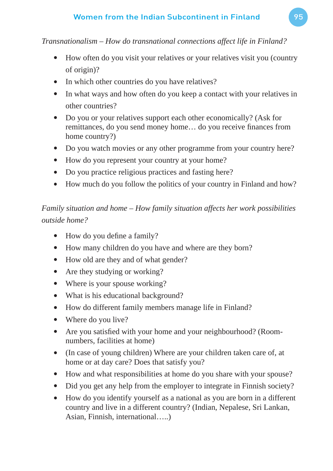*Transnationalism – How do transnational connections affect life in Finland?*

- How often do you visit your relatives or your relatives visit you (country of origin)?
- In which other countries do you have relatives?
- In what ways and how often do you keep a contact with your relatives in other countries?
- Do you or your relatives support each other economically? (Ask for remittances, do you send money home... do you receive finances from home country?)
- Do you watch movies or any other programme from your country here?
- How do you represent your country at your home?
- Do you practice religious practices and fasting here?
- How much do you follow the politics of your country in Finland and how?

*Family situation and home – How family situation affects her work possibilities outside home?*

- How do you define a family?
- How many children do you have and where are they born?
- How old are they and of what gender?
- Are they studying or working?
- Where is your spouse working?
- What is his educational background?
- How do different family members manage life in Finland?
- Where do you live?
- Are you satisfied with your home and your neighbourhood? (Roomnumbers, facilities at home)
- (In case of young children) Where are your children taken care of, at home or at day care? Does that satisfy you?
- How and what responsibilities at home do you share with your spouse?
- Did you get any help from the employer to integrate in Finnish society?
- How do you identify yourself as a national as you are born in a different country and live in a different country? (Indian, Nepalese, Sri Lankan, Asian, Finnish, international…..)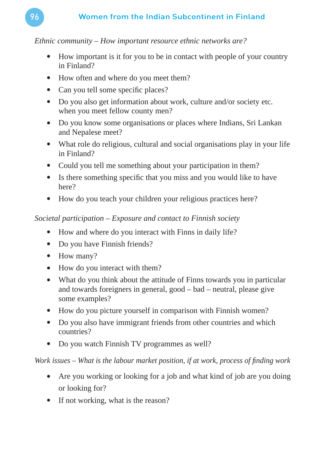# *Ethnic community – How important resource ethnic networks are?*

- How important is it for you to be in contact with people of your country in Finland?
- How often and where do you meet them?
- Can you tell some specific places?
- Do you also get information about work, culture and/or society etc. when you meet fellow county men?
- Do you know some organisations or places where Indians, Sri Lankan and Nepalese meet?
- What role do religious, cultural and social organisations play in your life in Finland?
- Could you tell me something about your participation in them?
- Is there something specific that you miss and you would like to have here?
- How do you teach your children your religious practices here?

# *Societal participation – Exposure and contact to Finnish society*

- How and where do you interact with Finns in daily life?
- Do you have Finnish friends?
- How many?
- How do you interact with them?
- What do you think about the attitude of Finns towards you in particular and towards foreigners in general, good – bad – neutral, please give some examples?
- How do you picture yourself in comparison with Finnish women?
- Do you also have immigrant friends from other countries and which countries?
- Do you watch Finnish TV programmes as well?

*Work issues – What is the labour market position, if at work, process of finding work* 

- Are you working or looking for a job and what kind of job are you doing or looking for?
- If not working, what is the reason?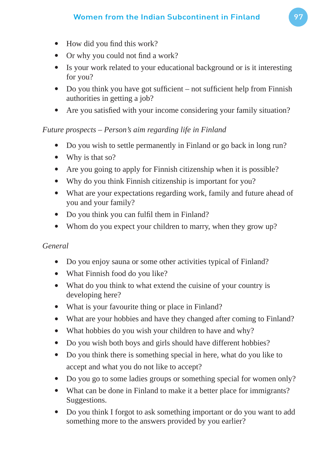- $\bullet$  How did you find this work?
- Or why you could not find a work?
- Is your work related to your educational background or is it interesting for you?
- Do you think you have got sufficient not sufficient help from Finnish authorities in getting a job?
- Are you satisfied with your income considering your family situation?

# *Future prospects – Person's aim regarding life in Finland*

- Do you wish to settle permanently in Finland or go back in long run?
- Why is that so?
- Are you going to apply for Finnish citizenship when it is possible?
- Why do you think Finnish citizenship is important for you?
- What are your expectations regarding work, family and future ahead of you and your family?
- Do you think you can fulfil them in Finland?
- Whom do you expect your children to marry, when they grow up?

# *General*

- Do you enjoy sauna or some other activities typical of Finland?
- What Finnish food do you like?
- What do you think to what extend the cuisine of your country is developing here?
- What is your favourite thing or place in Finland?
- What are your hobbies and have they changed after coming to Finland?
- What hobbies do you wish your children to have and why?
- Do you wish both boys and girls should have different hobbies?
- Do you think there is something special in here, what do you like to accept and what you do not like to accept?
- Do you go to some ladies groups or something special for women only?
- What can be done in Finland to make it a better place for immigrants? Suggestions.
- Do you think I forgot to ask something important or do you want to add something more to the answers provided by you earlier?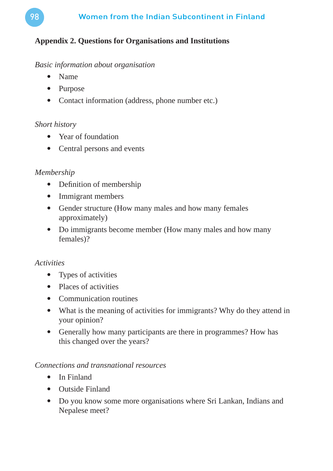# **Appendix 2. Questions for Organisations and Institutions**

#### *Basic information about organisation*

- Name
- Purpose
- Contact information (address, phone number etc.)

# *Short history*

- Year of foundation
- Central persons and events

# *Membership*

- $\bullet$  Definition of membership
- Immigrant members
- Gender structure (How many males and how many females approximately)
- Do immigrants become member (How many males and how many females)?

# *Activities*

- Types of activities
- Places of activities
- Communication routines
- What is the meaning of activities for immigrants? Why do they attend in your opinion?
- Generally how many participants are there in programmes? How has this changed over the years?

# *Connections and transnational resources*

- In Finland
- Outside Finland
- Do you know some more organisations where Sri Lankan, Indians and Nepalese meet?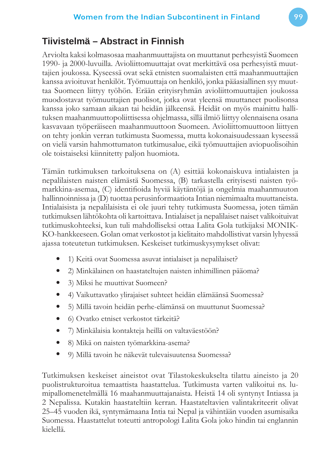# **Tiivistelmä – Abstract in Finnish**

Arviolta kaksi kolmasosaa maahanmuuttajista on muuttanut perhesyistä Suomeen 1990- ja 2000-luvuilla. Avioliittomuuttajat ovat merkittävä osa perhesyistä muuttajien joukossa. Kyseessä ovat sekä etnisten suomalaisten että maahanmuuttajien kanssa avioituvat henkilöt. Työmuuttaja on henkilö, jonka pääasiallinen syy muuttaa Suomeen liittyy työhön. Erään erityisryhmän avioliittomuuttajien joukossa muodostavat työmuuttajien puolisot, jotka ovat yleensä muuttaneet puolisonsa kanssa joko samaan aikaan tai heidän jälkeensä. Heidät on myös mainittu hallituksen maahanmuuttopoliittisessa ohjelmassa, sillä ilmiö liittyy olennaisena osana kasvavaan työperäiseen maahanmuuttoon Suomeen. Avioliittomuuttoon liittyen on tehty jonkin verran tutkimusta Suomessa, mutta kokonaisuudessaan kyseessä on vielä varsin hahmottumaton tutkimusalue, eikä työmuuttajien aviopuolisoihin ole toistaiseksi kiinnitetty paljon huomiota.

Tämän tutkimuksen tarkoituksena on (A) esittää kokonaiskuva intialaisten ja nepalilaisten naisten elämästä Suomessa, (B) tarkastella erityisesti naisten työmarkkina-asemaa, (C) identifioida hyviä käytäntöjä ja ongelmia maahanmuuton hallinnoinnissa ja (D) tuottaa perusinformaatiota Intian niemimaalta muuttaneista. Intialaisista ja nepalilaisista ei ole juuri tehty tutkimusta Suomessa, joten tämän tutkimuksen lähtökohta oli kartoittava. Intialaiset ja nepalilaiset naiset valikoituivat tutkimuskohteeksi, kun tuli mahdolliseksi ottaa Lalita Gola tutkijaksi MONIK-KO-hankkeeseen. Golan omat verkostot ja kielitaito mahdollistivat varsin lyhyessä ajassa toteutetun tutkimuksen. Keskeiset tutkimuskysymykset olivat:

- 1) Keitä ovat Suomessa asuvat intialaiset ja nepalilaiset?
- 2) Minkälainen on haastateltujen naisten inhimillinen pääoma?
- 3) Miksi he muuttivat Suomeen?
- 4) Vaikuttavatko ylirajaiset suhteet heidän elämäänsä Suomessa?
- 5) Millä tavoin heidän perhe-elämänsä on muuttunut Suomessa?
- 6) Ovatko etniset verkostot tärkeitä?
- 7) Minkälaisia kontakteja heillä on valtaväestöön?
- 8) Mikä on naisten työmarkkina-asema?
- 9) Millä tavoin he näkevät tulevaisuutensa Suomessa?

Tutkimuksen keskeiset aineistot ovat Tilastokeskukselta tilattu aineisto ja 20 puolistrukturoitua temaattista haastattelua. Tutkimusta varten valikoitui ns. lumipallomenetelmällä 16 maahanmuuttajanaista. Heistä 14 oli syntynyt Intiassa ja 2 Nepalissa. Kutakin haastateltiin kerran. Haastateltavien valintakriteerit olivat 25–45 vuoden ikä, syntymämaana Intia tai Nepal ja vähintään vuoden asumisaika Suomessa. Haastattelut toteutti antropologi Lalita Gola joko hindin tai englannin kielellä.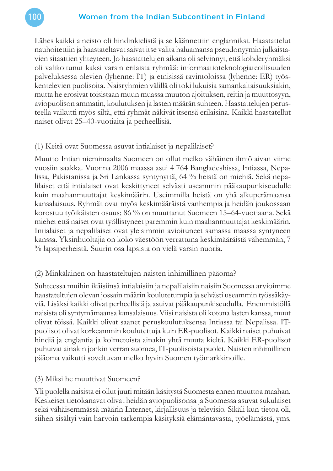

Lähes kaikki aineisto oli hindinkielistä ja se käännettiin englanniksi. Haastattelut nauhoitettiin ja haastateltavat saivat itse valita haluamansa pseudonyymin julkaistavien sitaattien yhteyteen. Jo haastattelujen aikana oli selvinnyt, että kohderyhmäksi oli valikoitunut kaksi varsin erilaista ryhmää: informaatioteknologiateollisuuden palveluksessa olevien (lyhenne: IT) ja etnisissä ravintoloissa (lyhenne: ER) työskentelevien puolisoita. Naisryhmien välillä oli toki lukuisia samankaltaisuuksiakin, mutta he erosivat toisistaan muun muassa muuton ajoituksen, reitin ja muuttosyyn, aviopuolison ammatin, koulutuksen ja lasten määrän suhteen. Haastattelujen perusteella vaikutti myös siltä, että ryhmät näkivät itsensä erilaisina. Kaikki haastatellut naiset olivat 25–40-vuotiaita ja perheellisiä.

# (1) Keitä ovat Suomessa asuvat intialaiset ja nepalilaiset?

Muutto Intian niemimaalta Suomeen on ollut melko vähäinen ilmiö aivan viime vuosiin saakka. Vuonna 2006 maassa asui 4 764 Bangladeshissa, Intiassa, Nepalissa, Pakistanissa ja Sri Lankassa syntynyttä, 64 % heistä on miehiä. Sekä nepalilaiset että intialaiset ovat keskittyneet selvästi useammin pääkaupunkiseudulle kuin maahanmuuttajat keskimäärin. Useimmilla heistä on yhä alkuperämaansa kansalaisuus. Ryhmät ovat myös keskimääräistä vanhempia ja heidän joukossaan korostuu työikäisten osuus; 86 % on muuttanut Suomeen 15–64-vuotiaana. Sekä miehet että naiset ovat työllistyneet paremmin kuin maahanmuuttajat keskimäärin. Intialaiset ja nepalilaiset ovat yleisimmin avioituneet samassa maassa syntyneen kanssa. Yksinhuoltajia on koko väestöön verrattuna keskimääräistä vähemmän, 7 % lapsiperheistä. Suurin osa lapsista on vielä varsin nuoria.

# (2) Minkälainen on haastateltujen naisten inhimillinen pääoma?

Suhteessa muihin ikäisiinsä intialaisiin ja nepalilaisiin naisiin Suomessa arvioimme haastateltujen olevan jossain määrin koulutetumpia ja selvästi useammin työssäkäyviä. Lisäksi kaikki olivat perheellisiä ja asuivat pääkaupunkiseudulla. Enemmistöllä naisista oli syntymämaansa kansalaisuus. Viisi naisista oli kotona lasten kanssa, muut olivat töissä. Kaikki olivat saanet peruskoulutuksensa Intiassa tai Nepalissa. ITpuolisot olivat korkeammin koulutettuja kuin ER-puolisot. Kaikki naiset puhuivat hindiä ja englantia ja kolmetoista ainakin yhtä muuta kieltä. Kaikki ER-puolisot puhuivat ainakin jonkin verran suomea, IT-puolisoista puolet. Naisten inhimillinen pääoma vaikutti soveltuvan melko hyvin Suomen työmarkkinoille.

# (3) Miksi he muuttivat Suomeen?

Yli puolella naisista ei ollut juuri mitään käsitystä Suomesta ennen muuttoa maahan. Keskeiset tietokanavat olivat heidän aviopuolisonsa ja Suomessa asuvat sukulaiset sekä vähäisemmässä määrin Internet, kirjallisuus ja televisio. Sikäli kun tietoa oli, siihen sisältyi vain harvoin tarkempia käsityksiä elämäntavasta, työelämästä, yms.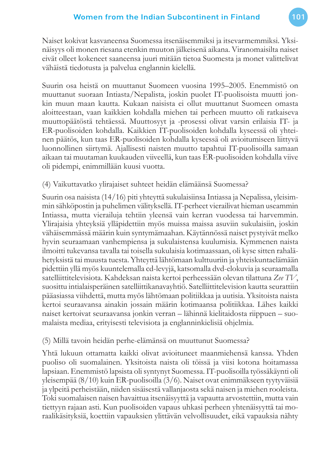Naiset kokivat kasvaneensa Suomessa itsenäisemmiksi ja itsevarmemmiksi. Yksinäisyys oli monen riesana etenkin muuton jälkeisenä aikana. Viranomaisilta naiset eivät olleet kokeneet saaneensa juuri mitään tietoa Suomesta ja monet valittelivat vähäistä tiedotusta ja palvelua englannin kielellä.

Suurin osa heistä on muuttanut Suomeen vuosina 1995–2005. Enemmistö on muuttanut suoraan Intiasta/Nepalista, joskin puolet IT-puolisoista muutti jonkin muun maan kautta. Kukaan naisista ei ollut muuttanut Suomeen omasta aloitteestaan, vaan kaikkien kohdalla miehen tai perheen muutto oli ratkaiseva muuttopäätöstä tehtäessä. Muuttosyyt ja -prosessi olivat varsin erilaisia IT- ja ER-puolisoiden kohdalla. Kaikkien IT-puolisoiden kohdalla kyseessä oli yhteinen päätös, kun taas ER-puolisoiden kohdalla kyseessä oli avioitumiseen liittyvä luonnollinen siirtymä. Ajallisesti naisten muutto tapahtui IT-puolisoilla samaan aikaan tai muutaman kuukauden viiveellä, kun taas ER-puolisoiden kohdalla viive oli pidempi, enimmillään kuusi vuotta.

# (4) Vaikuttavatko ylirajaiset suhteet heidän elämäänsä Suomessa?

Suurin osa naisista (14/16) piti yhteyttä sukulaisiinsa Intiassa ja Nepalissa, yleisimmin sähköpostin ja puhelimen välityksellä. IT-perheet vierailivat hieman useammin Intiassa, mutta vierailuja tehtiin yleensä vain kerran vuodessa tai harvemmin. Ylirajaisia yhteyksiä ylläpidettiin myös muissa maissa asuviin sukulaisiin, joskin vähäisemmässä määrin kuin syntymämaahan. Käytännössä naiset pystyivät melko hyvin seuraamaan vanhempiensa ja sukulaistensa kuulumisia. Kymmenen naista ilmoitti tukevansa tavalla tai toisella sukulaisia kotimaassaan, oli kyse sitten rahalähetyksistä tai muusta tuesta. Yhteyttä lähtömaan kulttuuriin ja yhteiskuntaelämään pidettiin yllä myös kuuntelemalla cd-levyjä, katsomalla dvd-elokuvia ja seuraamalla satelliittitelevisiota. Kahdeksan naista kertoi perheessään olevan tilattuna *Zee TV*, suosittu intialaisperäinen satelliittikanavayhtiö. Satelliittitelevision kautta seurattiin pääasiassa viihdettä, mutta myös lähtömaan politiikkaa ja uutisia. Yksitoista naista kertoi seuraavansa ainakin jossain määrin kotimaansa politiikkaa. Lähes kaikki naiset kertoivat seuraavansa jonkin verran – lähinnä kielitaidosta riippuen – suomalaista mediaa, erityisesti televisiota ja englanninkielisiä ohjelmia.

# (5) Millä tavoin heidän perhe-elämänsä on muuttunut Suomessa?

Yhtä lukuun ottamatta kaikki olivat avioituneet maanmiehensä kanssa. Yhden puoliso oli suomalainen. Yksitoista naista oli töissä ja viisi kotona hoitamassa lapsiaan. Enemmistö lapsista oli syntynyt Suomessa. IT-puolisoilla työssäkäynti oli yleisempää (8/10) kuin ER-puolisoilla (3/6). Naiset ovat enimmäkseen tyytyväisiä ja ylpeitä perheistään, niiden sisäisestä vallanjaosta sekä naisen ja miehen rooleista. Toki suomalaisen naisen havaittua itsenäisyyttä ja vapautta arvostettiin, mutta vain tiettyyn rajaan asti. Kun puolisoiden vapaus uhkasi perheen yhtenäisyyttä tai moraalikäsityksiä, koettiin vapauksien ylittävän velvollisuudet, eikä vapauksia nähty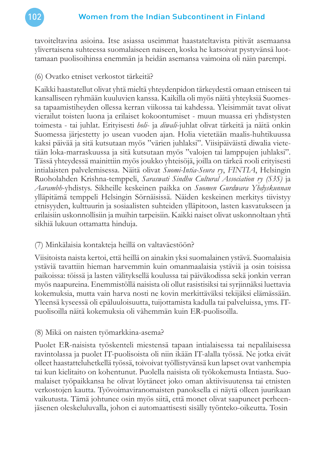

tavoiteltavina asioina. Itse asiassa useimmat haastateltavista pitivät asemaansa ylivertaisena suhteessa suomalaiseen naiseen, koska he katsoivat pystyvänsä luottamaan puolisoihinsa enemmän ja heidän asemansa vaimoina oli näin parempi.

#### (6) Ovatko etniset verkostot tärkeitä?

Kaikki haastatellut olivat yhtä mieltä yhteydenpidon tärkeydestä omaan etniseen tai kansalliseen ryhmään kuuluvien kanssa. Kaikilla oli myös näitä yhteyksiä Suomessa tapaamistiheyden ollessa kerran viikossa tai kahdessa. Yleisimmät tavat olivat vierailut toisten luona ja erilaiset kokoontumiset - muun muassa eri yhdistysten toimesta - tai juhlat. Erityisesti *holi*- ja *diwali*-juhlat olivat tärkeitä ja näitä onkin Suomessa järjestetty jo usean vuoden ajan. Holia vietetään maalis-huhtikuussa kaksi päivää ja sitä kutsutaan myös "värien juhlaksi". Viisipäiväistä diwalia vietetään loka-marraskuussa ja sitä kutsutaan myös "valojen tai lamppujen juhlaksi". Tässä yhteydessä mainittiin myös joukko yhteisöjä, joilla on tärkeä rooli erityisesti intialaisten palvelemisessa. Näitä olivat *Suomi-Intia-Seura ry*, *FINTIA*, Helsingin Ruoholahden Krishna-temppeli, *Saraswati Sindhu Cultural Association ry (S3S)* ja *Aarambh*-yhdistys. Sikheille keskeinen paikka on *Suomen Gurdwara Yhdyskunnan* ylläpitämä temppeli Helsingin Sörnäisissä. Näiden keskeinen merkitys tiivistyy etnisyyden, kulttuurin ja sosiaalisten suhteiden ylläpitoon, lasten kasvatukseen ja erilaisiin uskonnollisiin ja muihin tarpeisiin. Kaikki naiset olivat uskonnoltaan yhtä sikhiä lukuun ottamatta hinduja.

# (7) Minkälaisia kontakteja heillä on valtaväestöön?

Viisitoista naista kertoi, että heillä on ainakin yksi suomalainen ystävä. Suomalaisia ystäviä tavattiin hieman harvemmin kuin omanmaalaisia ystäviä ja osin toisissa paikoissa: töissä ja lasten välityksellä koulussa tai päiväkodissa sekä jonkin verran myös naapureina. Enemmistöllä naisista oli ollut rasistisiksi tai syrjinnäksi luettavia kokemuksia, mutta vain harva nosti ne kovin merkittäväksi tekijäksi elämässään. Yleensä kyseessä oli epäluuloisuutta, tuijottamista kadulla tai palveluissa, yms. ITpuolisoilla näitä kokemuksia oli vähemmän kuin ER-puolisoilla.

# (8) Mikä on naisten työmarkkina-asema?

Puolet ER-naisista työskenteli miestensä tapaan intialaisessa tai nepalilaisessa ravintolassa ja puolet IT-puolisoista oli niin ikään IT-alalla työssä. Ne jotka eivät olleet haastatteluhetkellä työssä, toivoivat työllistyvänsä kun lapset ovat vanhempia tai kun kielitaito on kohentunut. Puolella naisista oli työkokemusta Intiasta. Suomalaiset työpaikkansa he olivat löytäneet joko oman aktiivisuutensa tai etnisten verkostojen kautta. Työvoimaviranomaisten panoksella ei näytä olleen juurikaan vaikutusta. Tämä johtunee osin myös siitä, että monet olivat saapuneet perheenjäsenen oleskeluluvalla, johon ei automaattisesti sisälly työnteko-oikeutta. Tosin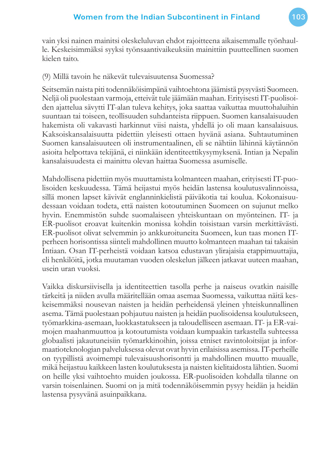vain yksi nainen mainitsi oleskeluluvan ehdot rajoitteena aikaisemmalle työnhaulle. Keskeisimmäksi syyksi työnsaantivaikeuksiin mainittiin puutteellinen suomen kielen taito.

#### (9) Millä tavoin he näkevät tulevaisuutensa Suomessa?

Seitsemän naista piti todennäköisimpänä vaihtoehtona jäämistä pysyvästi Suomeen. Neljä oli puolestaan varmoja, etteivät tule jäämään maahan. Erityisesti IT-puolisoiden ajattelua sävytti IT-alan tuleva kehitys, joka saattaa vaikuttaa muuttohaluihin suuntaan tai toiseen, teollisuuden suhdanteista riippuen. Suomen kansalaisuuden hakemista oli vakavasti harkinnut viisi naista, yhdellä jo oli maan kansalaisuus. Kaksoiskansalaisuutta pidettiin yleisesti ottaen hyvänä asiana. Suhtautuminen Suomen kansalaisuuteen oli instrumentaalinen, eli se nähtiin lähinnä käytännön asioita helpottava tekijänä, ei niinkään identiteettikysymyksenä. Intian ja Nepalin kansalaisuudesta ei mainittu olevan haittaa Suomessa asumiselle.

Mahdollisena pidettiin myös muuttamista kolmanteen maahan, erityisesti IT-puolisoiden keskuudessa. Tämä heijastui myös heidän lastensa koulutusvalinnoissa, sillä monen lapset kävivät englanninkielistä päiväkotia tai koulua. Kokonaisuudessaan voidaan todeta, että naisten kotoutuminen Suomeen on sujunut melko hyvin. Enemmistön suhde suomalaiseen yhteiskuntaan on myönteinen. IT- ja ER-puolisot eroavat kuitenkin monissa kohdin toisistaan varsin merkittävästi. ER-puolisot olivat selvemmin jo ankkuroituneita Suomeen, kun taas monen ITperheen horisontissa siinteli mahdollinen muutto kolmanteen maahan tai takaisin Intiaan. Osan IT-perheistä voidaan katsoa edustavan ylirajaisia etappimuuttajia, eli henkilöitä, jotka muutaman vuoden oleskelun jälkeen jatkavat uuteen maahan, usein uran vuoksi.

Vaikka diskursiivisella ja identiteettien tasolla perhe ja naiseus ovatkin naisille tärkeitä ja niiden avulla määritellään omaa asemaa Suomessa, vaikuttaa näitä keskeisemmäksi nousevan naisten ja heidän perheidensä yleinen yhteiskunnallinen asema. Tämä puolestaan pohjautuu naisten ja heidän puolisoidensa koulutukseen, työmarkkina-asemaan, luokkastatukseen ja taloudelliseen asemaan. IT- ja ER-vaimojen maahanmuuttoa ja kotoutumista voidaan kumpaakin tarkastella suhteessa globaalisti jakautuneisiin työmarkkinoihin, joissa etniset ravintoloitsijat ja informaatioteknologian palveluksessa olevat ovat hyvin erilaisissa asemissa. IT-perheille on tyypillistä avoimempi tulevaisuushorisontti ja mahdollinen muutto muualle, mikä heijastuu kaikkeen lasten koulutuksesta ja naisten kielitaidosta lähtien. Suomi on heille yksi vaihtoehto muiden joukossa. ER-puolisoiden kohdalla tilanne on varsin toisenlainen. Suomi on ja mitä todennäköisemmin pysyy heidän ja heidän lastensa pysyvänä asuinpaikkana.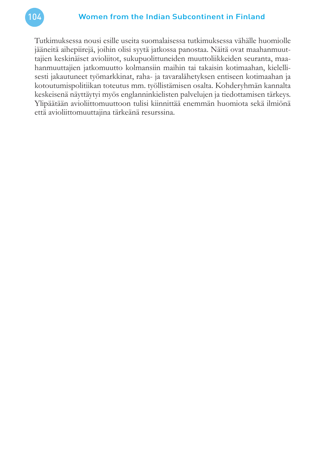Tutkimuksessa nousi esille useita suomalaisessa tutkimuksessa vähälle huomiolle jääneitä aihepiirejä, joihin olisi syytä jatkossa panostaa. Näitä ovat maahanmuuttajien keskinäiset avioliitot, sukupuolittuneiden muuttoliikkeiden seuranta, maahanmuuttajien jatkomuutto kolmansiin maihin tai takaisin kotimaahan, kielellisesti jakautuneet työmarkkinat, raha- ja tavaralähetyksen entiseen kotimaahan ja kotoutumispolitiikan toteutus mm. työllistämisen osalta. Kohderyhmän kannalta keskeisenä näyttäytyi myös englanninkielisten palvelujen ja tiedottamisen tärkeys. Ylipäätään avioliittomuuttoon tulisi kiinnittää enemmän huomiota sekä ilmiönä että avioliittomuuttajina tärkeänä resurssina.